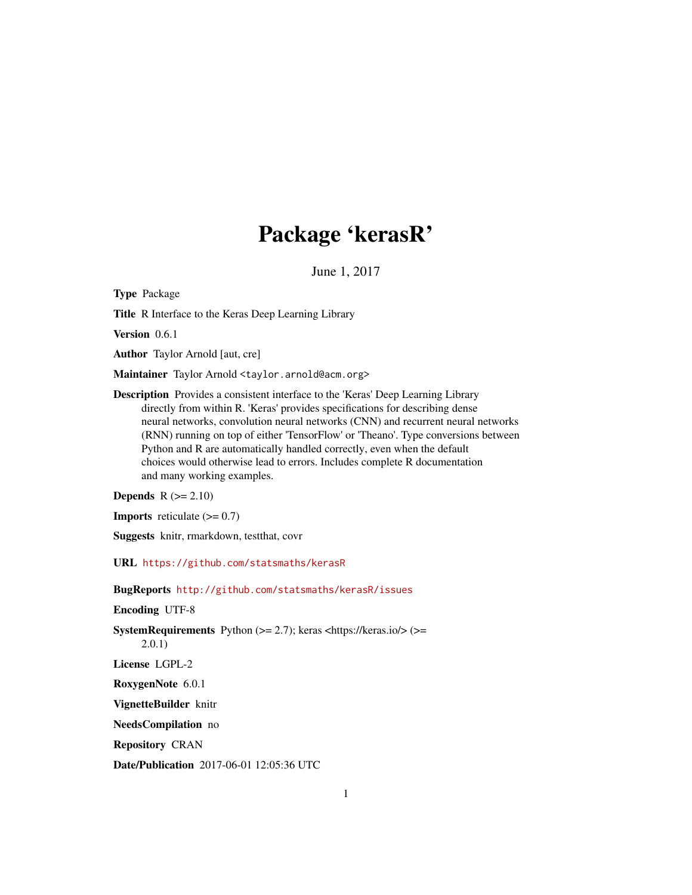# Package 'kerasR'

June 1, 2017

<span id="page-0-0"></span>Type Package

Title R Interface to the Keras Deep Learning Library

Version 0.6.1

Author Taylor Arnold [aut, cre]

Maintainer Taylor Arnold <taylor.arnold@acm.org>

Description Provides a consistent interface to the 'Keras' Deep Learning Library directly from within R. 'Keras' provides specifications for describing dense neural networks, convolution neural networks (CNN) and recurrent neural networks (RNN) running on top of either 'TensorFlow' or 'Theano'. Type conversions between Python and R are automatically handled correctly, even when the default choices would otherwise lead to errors. Includes complete R documentation and many working examples.

Depends  $R$  ( $>= 2.10$ )

**Imports** reticulate  $(>= 0.7)$ 

Suggests knitr, rmarkdown, testthat, covr

URL <https://github.com/statsmaths/kerasR>

BugReports <http://github.com/statsmaths/kerasR/issues>

Encoding UTF-8

SystemRequirements Python  $(>= 2.7)$ ; keras <https://keras.io/> $(>=$ 2.0.1)

License LGPL-2

RoxygenNote 6.0.1

VignetteBuilder knitr

NeedsCompilation no

Repository CRAN

Date/Publication 2017-06-01 12:05:36 UTC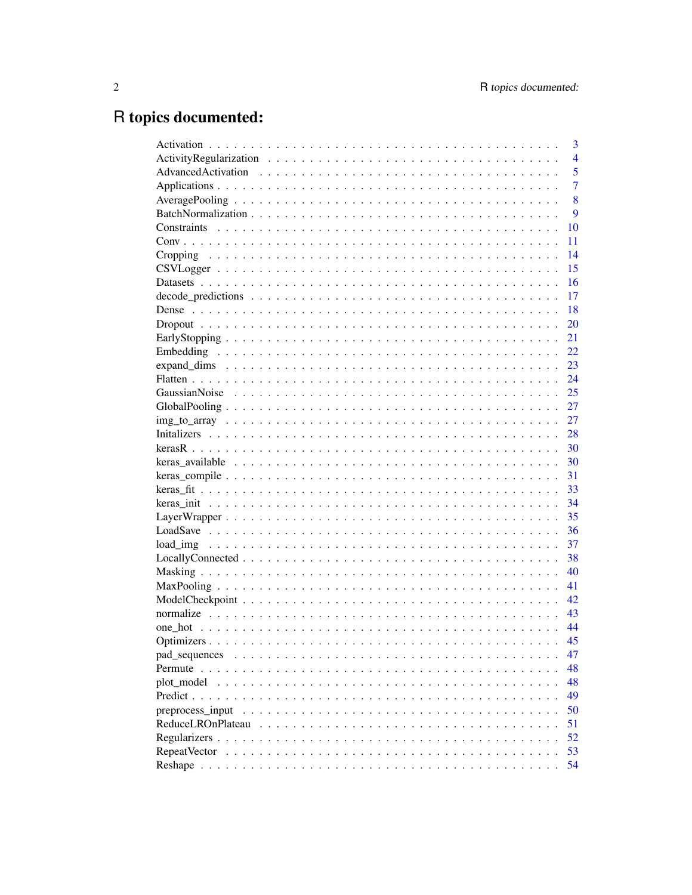# R topics documented:

|                   | 3              |
|-------------------|----------------|
|                   | $\overline{4}$ |
|                   | 5              |
|                   | 7              |
|                   | 8              |
|                   | 9              |
|                   | 10             |
|                   | 11             |
|                   | 14             |
|                   | 15             |
|                   | 16             |
|                   | 17             |
|                   | 18             |
|                   | 20             |
|                   | 21             |
|                   | 22             |
|                   | 23             |
|                   | 24             |
|                   | 25             |
|                   | 27             |
|                   | 27             |
|                   | 28             |
|                   | 30             |
|                   | 30             |
|                   | 31             |
|                   | 33             |
|                   | 34             |
|                   | 35             |
|                   | 36             |
|                   | 37             |
|                   | 38             |
|                   | 40             |
|                   | 41             |
|                   | 42             |
|                   | 43             |
|                   | 44             |
|                   | 45             |
|                   | 47             |
| Permute           | 48             |
| plot_model        | 48             |
|                   | 49             |
| preprocess input  | 50             |
| ReduceLROnPlateau | 51             |
|                   | 52             |
|                   | 53             |
|                   | 54             |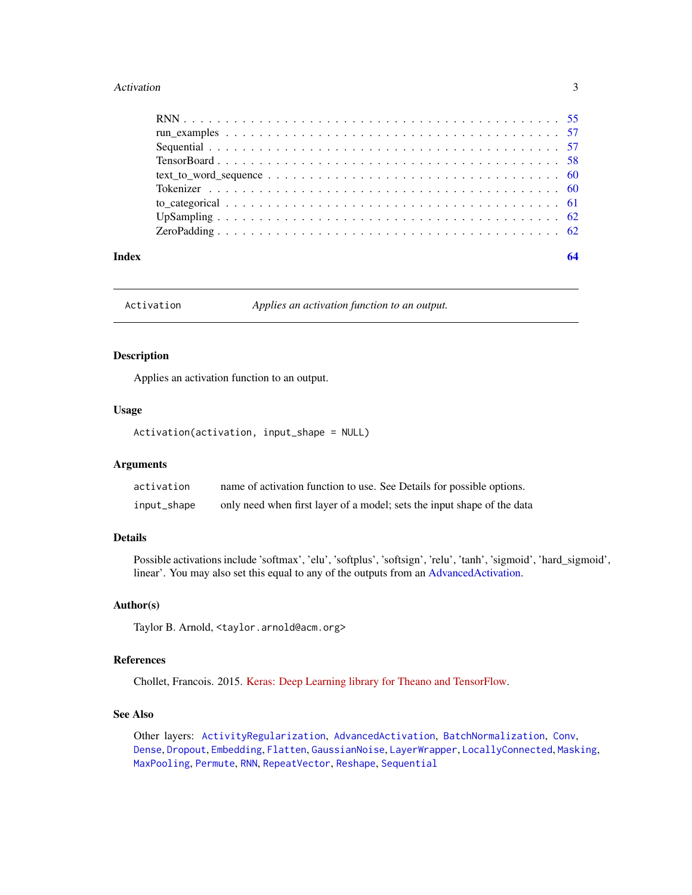#### <span id="page-2-0"></span>Activation 3

| Index | 64 |
|-------|----|

<span id="page-2-1"></span>Activation *Applies an activation function to an output.*

### Description

Applies an activation function to an output.

### Usage

Activation(activation, input\_shape = NULL)

#### Arguments

| activation  | name of activation function to use. See Details for possible options.   |
|-------------|-------------------------------------------------------------------------|
| input_shape | only need when first layer of a model; sets the input shape of the data |

### Details

Possible activations include 'softmax', 'elu', 'softplus', 'softsign', 'relu', 'tanh', 'sigmoid', 'hard\_sigmoid', linear'. You may also set this equal to any of the outputs from an [AdvancedActivation.](#page-4-1)

#### Author(s)

Taylor B. Arnold, <taylor.arnold@acm.org>

### References

Chollet, Francois. 2015. [Keras: Deep Learning library for Theano and TensorFlow.](https://keras.io/)

### See Also

Other layers: [ActivityRegularization](#page-3-1), [AdvancedActivation](#page-4-1), [BatchNormalization](#page-8-1), [Conv](#page-10-1), [Dense](#page-17-1), [Dropout](#page-19-1), [Embedding](#page-21-1), [Flatten](#page-23-1), [GaussianNoise](#page-24-1), [LayerWrapper](#page-34-1), [LocallyConnected](#page-37-1), [Masking](#page-39-1), [MaxPooling](#page-40-1), [Permute](#page-47-1), [RNN](#page-54-1), [RepeatVector](#page-52-1), [Reshape](#page-53-1), [Sequential](#page-56-1)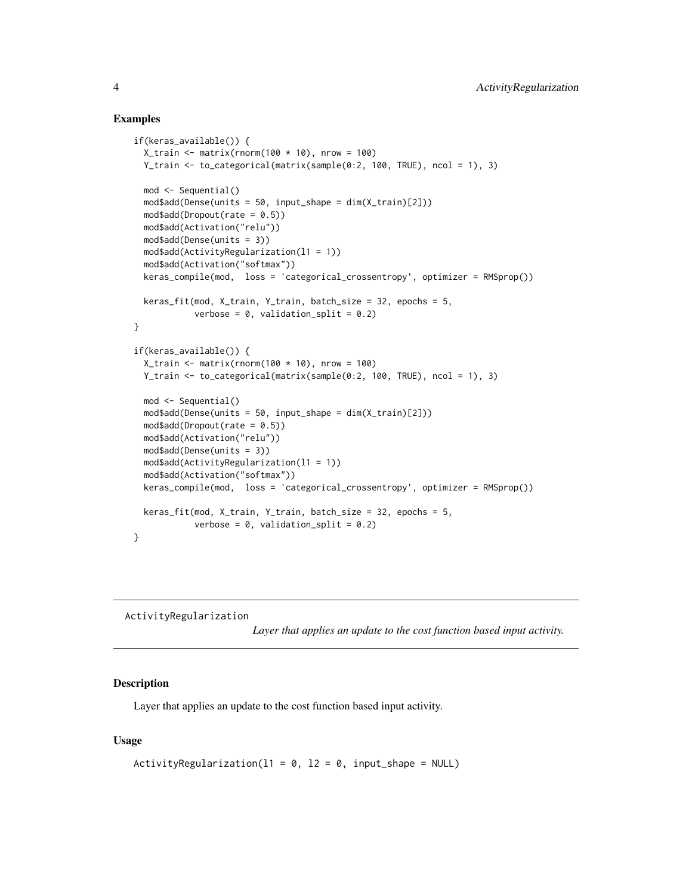#### Examples

```
if(keras_available()) {
 X_train <- matrix(rnorm(100 * 10), nrow = 100)
 Y_train <- to_categorical(matrix(sample(0:2, 100, TRUE), ncol = 1), 3)
 mod <- Sequential()
 mod$add(Dense(units = 50, input_shape = dim(X_train)[2]))
 mod$add(Dropout(rate = 0.5))mod$add(Activation("relu"))
 mod$add(Dense(units = 3))
 mod$add(ActivityRegularization(l1 = 1))
 mod$add(Activation("softmax"))
 keras_compile(mod, loss = 'categorical_crossentropy', optimizer = RMSprop())
 keras_fit(mod, X_train, Y_train, batch_size = 32, epochs = 5,
           verbose = 0, validation_split = 0.2)
}
if(keras_available()) {
 X_train <- matrix(rnorm(100 * 10), nrow = 100)
 Y_train <- to_categorical(matrix(sample(0:2, 100, TRUE), ncol = 1), 3)
 mod <- Sequential()
 mod$add(Dense(units = 50, input_shape = dim(X_train)[2]))
 mod$add(Dropout(rate = 0.5))
 mod$add(Activation("relu"))
 mod$add(Dense(units = 3))
 mod$add(ActivityRegularization(l1 = 1))
 mod$add(Activation("softmax"))
 keras_compile(mod, loss = 'categorical_crossentropy', optimizer = RMSprop())
 keras_fit(mod, X_train, Y_train, batch_size = 32, epochs = 5,
           verbose = 0, validation_split = 0.2)
}
```
<span id="page-3-1"></span>ActivityRegularization

*Layer that applies an update to the cost function based input activity.*

### Description

Layer that applies an update to the cost function based input activity.

#### Usage

```
ActivityRegularization(11 = 0, 12 = 0, input_shape = NULL)
```
<span id="page-3-0"></span>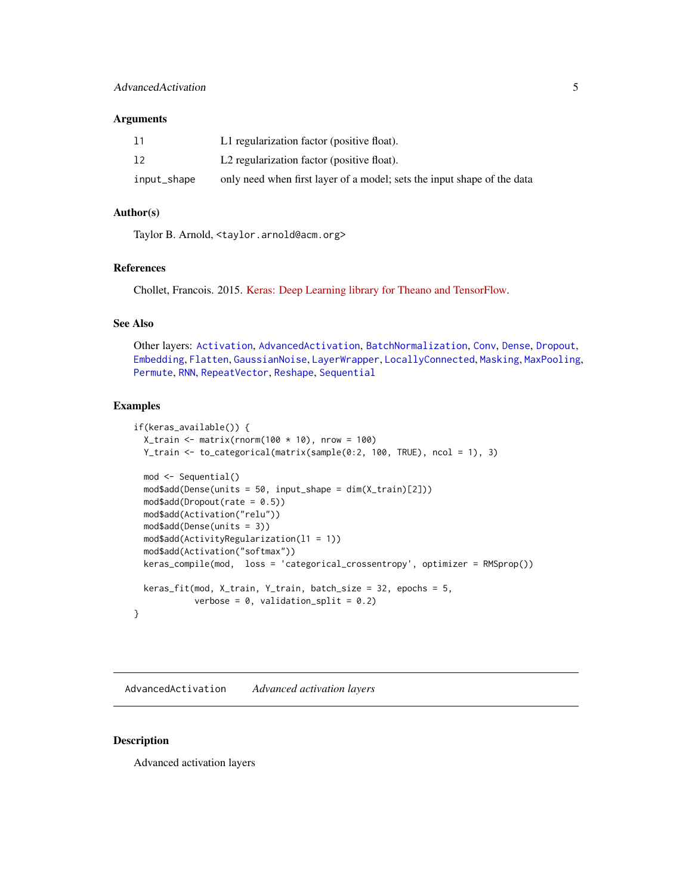#### <span id="page-4-0"></span>**Arguments**

| 11          | L1 regularization factor (positive float).                              |
|-------------|-------------------------------------------------------------------------|
| 12          | L2 regularization factor (positive float).                              |
| input_shape | only need when first layer of a model; sets the input shape of the data |

### Author(s)

Taylor B. Arnold, <taylor.arnold@acm.org>

### References

Chollet, Francois. 2015. [Keras: Deep Learning library for Theano and TensorFlow.](https://keras.io/)

### See Also

Other layers: [Activation](#page-2-1), [AdvancedActivation](#page-4-1), [BatchNormalization](#page-8-1), [Conv](#page-10-1), [Dense](#page-17-1), [Dropout](#page-19-1), [Embedding](#page-21-1), [Flatten](#page-23-1), [GaussianNoise](#page-24-1), [LayerWrapper](#page-34-1), [LocallyConnected](#page-37-1), [Masking](#page-39-1), [MaxPooling](#page-40-1), [Permute](#page-47-1), [RNN](#page-54-1), [RepeatVector](#page-52-1), [Reshape](#page-53-1), [Sequential](#page-56-1)

#### Examples

```
if(keras_available()) {
 X_train <- matrix(rnorm(100 * 10), nrow = 100)
 Y_train <- to_categorical(matrix(sample(0:2, 100, TRUE), ncol = 1), 3)
 mod <- Sequential()
 mod$add(Dense(units = 50, input_shape = dim(X_train)[2]))
 mod$add(Dropout(rate = 0.5))mod$add(Activation("relu"))
 mod$add(Dense(units = 3))
 mod$add(ActivityRegularization(l1 = 1))
 mod$add(Activation("softmax"))
 keras_compile(mod, loss = 'categorical_crossentropy', optimizer = RMSprop())
 keras_fit(mod, X_train, Y_train, batch_size = 32, epochs = 5,
           verbose = 0, validation_split = 0.2)
}
```
<span id="page-4-1"></span>AdvancedActivation *Advanced activation layers*

### <span id="page-4-2"></span>Description

Advanced activation layers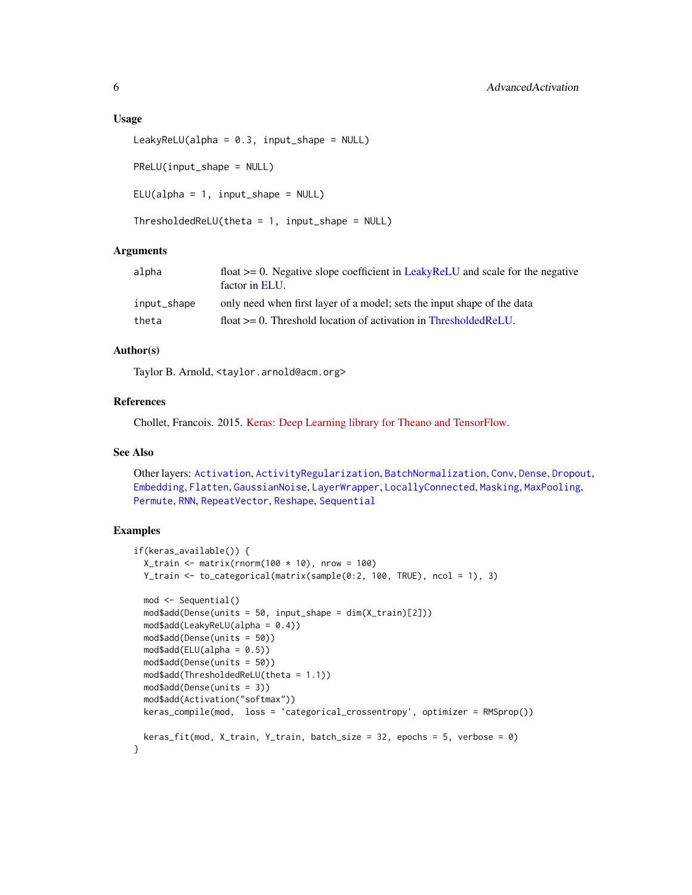#### <span id="page-5-0"></span>Usage

```
LeakyReLU(alpha = 0.3, input_shape = NULL)
PReLU(input_shape = NULL)
ELU(alpha = 1, input.shape = NULL)
```

```
ThresholdedReLU(theta = 1, input.shape = NULL)
```
#### **Arguments**

| alpha       | float $\ge$ = 0. Negative slope coefficient in LeakyReLU and scale for the negative<br>factor in ELU. |
|-------------|-------------------------------------------------------------------------------------------------------|
| input_shape | only need when first layer of a model; sets the input shape of the data                               |
| theta       | float $\geq 0$ . Threshold location of activation in ThresholdedReLU.                                 |
|             |                                                                                                       |

#### Author(s)

Taylor B. Arnold, <taylor.arnold@acm.org>

### References

Chollet, Francois. 2015. [Keras: Deep Learning library for Theano and TensorFlow.](https://keras.io/)

#### See Also

Other layers: [Activation](#page-2-1), [ActivityRegularization](#page-3-1), [BatchNormalization](#page-8-1), [Conv](#page-10-1), [Dense](#page-17-1), [Dropout](#page-19-1), [Embedding](#page-21-1), [Flatten](#page-23-1), [GaussianNoise](#page-24-1), [LayerWrapper](#page-34-1), [LocallyConnected](#page-37-1), [Masking](#page-39-1), [MaxPooling](#page-40-1), [Permute](#page-47-1), [RNN](#page-54-1), [RepeatVector](#page-52-1), [Reshape](#page-53-1), [Sequential](#page-56-1)

#### Examples

```
if(keras_available()) {
 X_train \leq matrix(rnorm(100 \star 10), nrow = 100)
 Y_train <- to_categorical(matrix(sample(0:2, 100, TRUE), ncol = 1), 3)
 mod <- Sequential()
 mod$add(Dense(units = 50, input_shape = dim(X_train)[2]))
 mod$add(LeakyReLU(alpha = 0.4))
 mod$add(Dense(units = 50))
 mod4add(ELU(alpha = 0.5))
 mod$add(Dense(units = 50))
 mod$add(ThresholdedReLU(theta = 1.1))
 mod$add(Dense(units = 3))
 mod$add(Activation("softmax"))
 keras_compile(mod, loss = 'categorical_crossentropy', optimizer = RMSprop())
 keras_fit(mod, X_train, Y_train, batch_size = 32, epochs = 5, verbose = 0)
}
```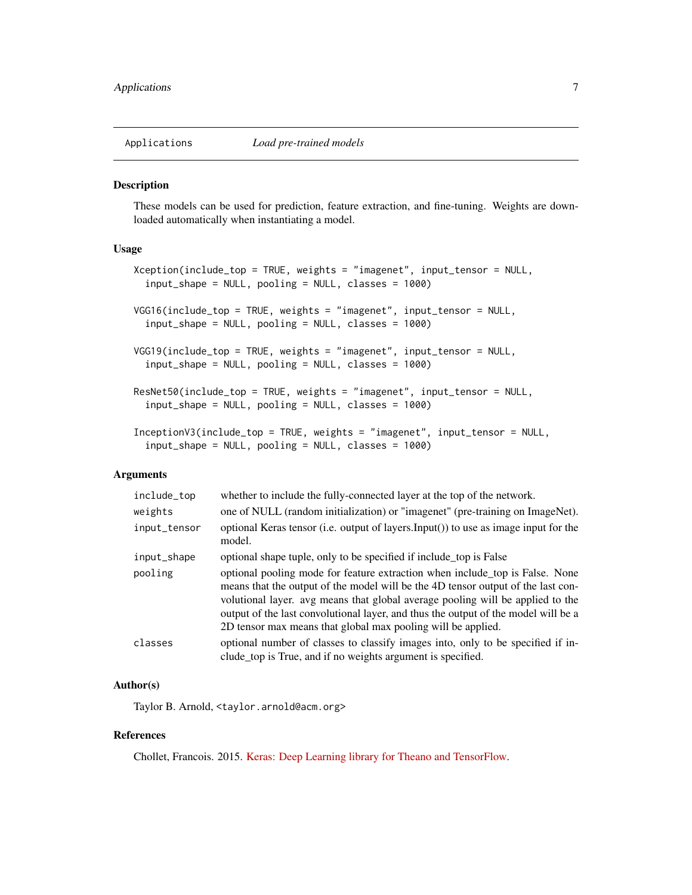<span id="page-6-0"></span>

### Description

These models can be used for prediction, feature extraction, and fine-tuning. Weights are downloaded automatically when instantiating a model.

### Usage

```
Xception(include_top = TRUE, weights = "imagenet", input_tensor = NULL,
  input_shape = NULL, pooling = NULL, classes = 1000)
VGG16(include_top = TRUE, weights = "imagenet", input_tensor = NULL,
  input_shape = NULL, pooling = NULL, classes = 1000)
VGG19(include_top = TRUE, weights = "imagenet", input_tensor = NULL,
  input_shape = NULL, pooling = NULL, classes = 1000)
ResNet50(include_top = TRUE, weights = "imagenet", input_tensor = NULL,
  input_shape = NULL, pooling = NULL, classes = 1000)
InceptionV3(include_top = TRUE, weights = "imagenet", input_tensor = NULL,
  input_shape = NULL, pooling = NULL, classes = 1000)
```
#### **Arguments**

| include_top  | whether to include the fully-connected layer at the top of the network.                                                                                                                                                                                                                                                                                                                                  |
|--------------|----------------------------------------------------------------------------------------------------------------------------------------------------------------------------------------------------------------------------------------------------------------------------------------------------------------------------------------------------------------------------------------------------------|
| weights      | one of NULL (random initialization) or "imagenet" (pre-training on ImageNet).                                                                                                                                                                                                                                                                                                                            |
| input_tensor | optional Keras tensor (i.e. output of layers. Input()) to use as image input for the<br>model.                                                                                                                                                                                                                                                                                                           |
| input_shape  | optional shape tuple, only to be specified if include top is False                                                                                                                                                                                                                                                                                                                                       |
| pooling      | optional pooling mode for feature extraction when include top is False. None<br>means that the output of the model will be the 4D tensor output of the last con-<br>volutional layer, avg means that global average pooling will be applied to the<br>output of the last convolutional layer, and thus the output of the model will be a<br>2D tensor max means that global max pooling will be applied. |
| classes      | optional number of classes to classify images into, only to be specified if in-<br>clude_top is True, and if no weights argument is specified.                                                                                                                                                                                                                                                           |

#### Author(s)

Taylor B. Arnold, <taylor.arnold@acm.org>

#### References

Chollet, Francois. 2015. [Keras: Deep Learning library for Theano and TensorFlow.](https://keras.io/)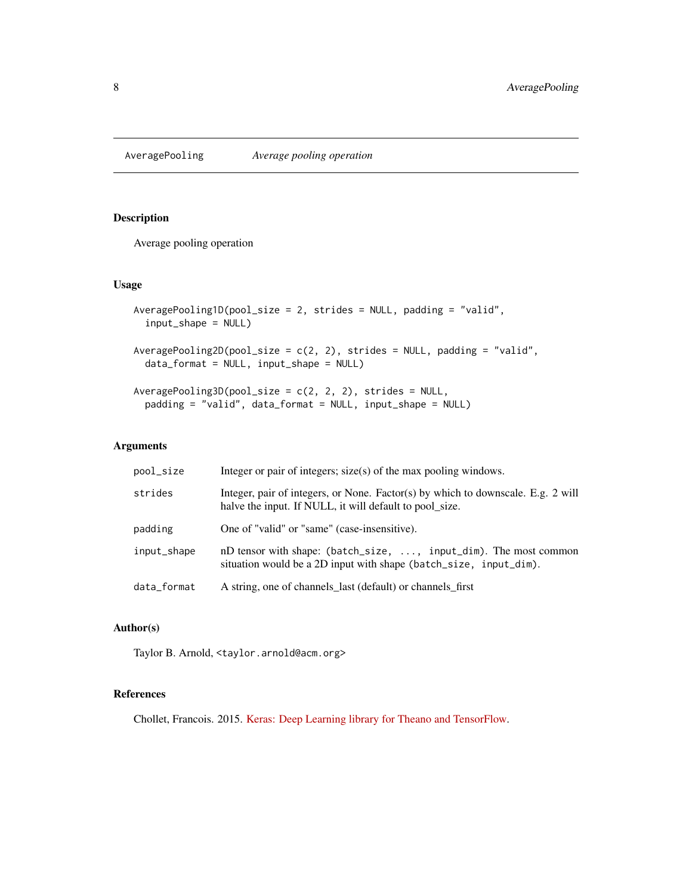<span id="page-7-0"></span>AveragePooling *Average pooling operation*

### Description

Average pooling operation

#### Usage

```
AveragePooling1D(pool_size = 2, strides = NULL, padding = "valid",
  input_shape = NULL)
AveragePooling2D(pool_size = c(2, 2), strides = NULL, padding = "valid",
  data_format = NULL, input_shape = NULL)
AveragePooling3D(pool_size = c(2, 2, 2), strides = NULL,
 padding = "valid", data_format = NULL, input_shape = NULL)
```
### Arguments

| pool_size   | Integer or pair of integers; size(s) of the max pooling windows.                                                                            |
|-------------|---------------------------------------------------------------------------------------------------------------------------------------------|
| strides     | Integer, pair of integers, or None. Factor(s) by which to downscale. E.g. 2 will<br>halve the input. If NULL, it will default to pool_size. |
| padding     | One of "valid" or "same" (case-insensitive).                                                                                                |
| input_shape | nD tensor with shape: (batch_size, , input_dim). The most common<br>situation would be a 2D input with shape (batch_size, input_dim).       |
| data_format | A string, one of channels_last (default) or channels_first                                                                                  |

### Author(s)

Taylor B. Arnold, <taylor.arnold@acm.org>

### References

Chollet, Francois. 2015. [Keras: Deep Learning library for Theano and TensorFlow.](https://keras.io/)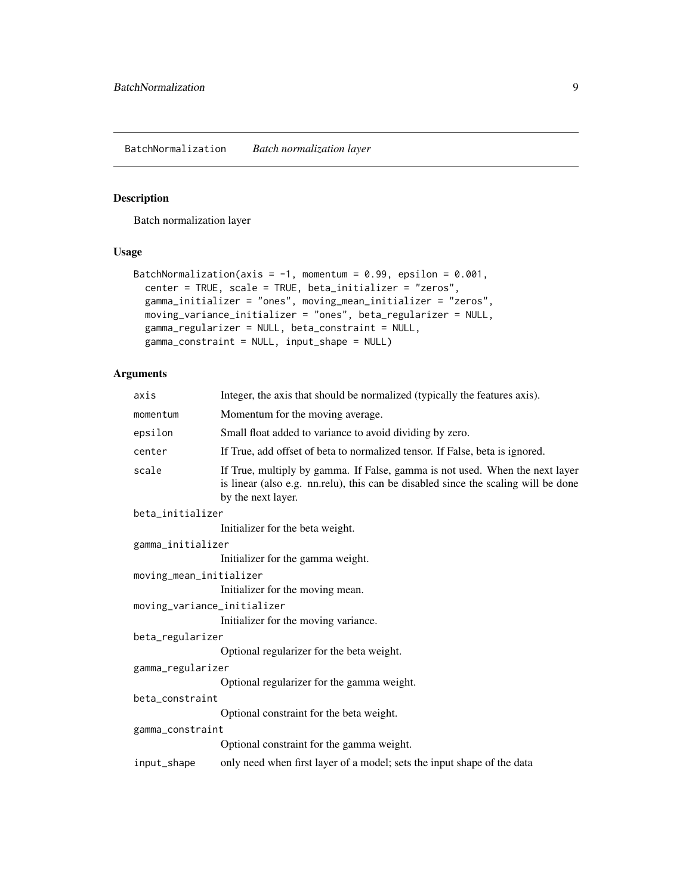<span id="page-8-1"></span><span id="page-8-0"></span>BatchNormalization *Batch normalization layer*

### Description

Batch normalization layer

### Usage

```
BatchNormalization(axis = -1, momentum = 0.99, epsilon = 0.001,
  center = TRUE, scale = TRUE, beta_initializer = "zeros",
  gamma_initializer = "ones", moving_mean_initializer = "zeros",
 moving_variance_initializer = "ones", beta_regularizer = NULL,
 gamma_regularizer = NULL, beta_constraint = NULL,
  gamma_constraint = NULL, input_shape = NULL)
```
### Arguments

| axis                        | Integer, the axis that should be normalized (typically the features axis).                                                                                                               |
|-----------------------------|------------------------------------------------------------------------------------------------------------------------------------------------------------------------------------------|
| momentum                    | Momentum for the moving average.                                                                                                                                                         |
| epsilon                     | Small float added to variance to avoid dividing by zero.                                                                                                                                 |
| center                      | If True, add offset of beta to normalized tensor. If False, beta is ignored.                                                                                                             |
| scale                       | If True, multiply by gamma. If False, gamma is not used. When the next layer<br>is linear (also e.g. nn.relu), this can be disabled since the scaling will be done<br>by the next layer. |
| beta_initializer            |                                                                                                                                                                                          |
|                             | Initializer for the beta weight.                                                                                                                                                         |
| gamma_initializer           |                                                                                                                                                                                          |
|                             | Initializer for the gamma weight.                                                                                                                                                        |
| moving_mean_initializer     |                                                                                                                                                                                          |
|                             | Initializer for the moving mean.                                                                                                                                                         |
| moving_variance_initializer |                                                                                                                                                                                          |
|                             | Initializer for the moving variance.                                                                                                                                                     |
| beta_regularizer            |                                                                                                                                                                                          |
|                             | Optional regularizer for the beta weight.                                                                                                                                                |
| gamma_regularizer           |                                                                                                                                                                                          |
|                             | Optional regularizer for the gamma weight.                                                                                                                                               |
| beta_constraint             |                                                                                                                                                                                          |
|                             | Optional constraint for the beta weight.                                                                                                                                                 |
| gamma_constraint            |                                                                                                                                                                                          |
|                             | Optional constraint for the gamma weight.                                                                                                                                                |
| input_shape                 | only need when first layer of a model; sets the input shape of the data                                                                                                                  |
|                             |                                                                                                                                                                                          |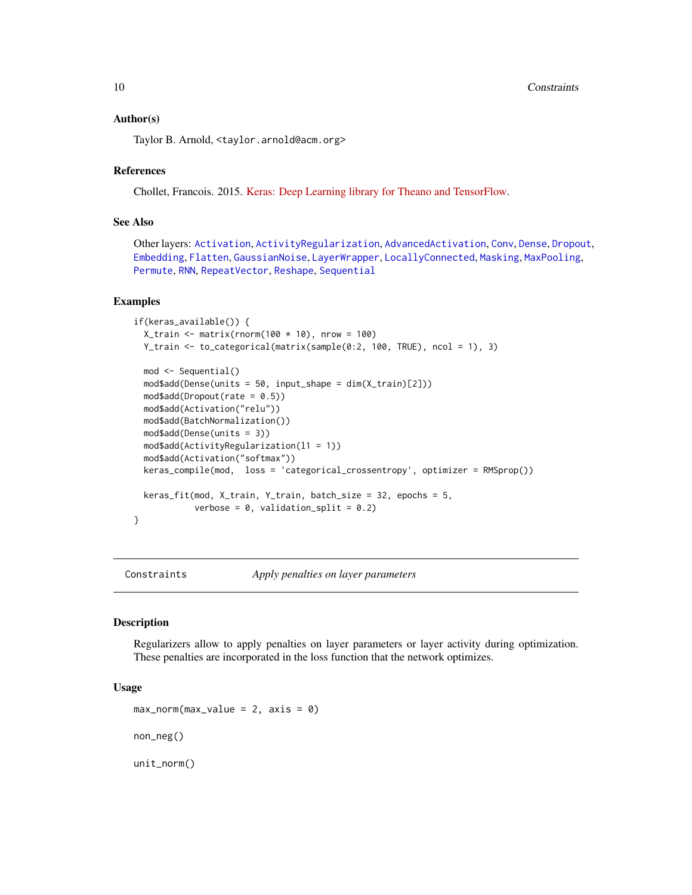<span id="page-9-0"></span>10 Constraints **Constraints** 

#### Author(s)

Taylor B. Arnold, <taylor.arnold@acm.org>

### References

Chollet, Francois. 2015. [Keras: Deep Learning library for Theano and TensorFlow.](https://keras.io/)

### See Also

Other layers: [Activation](#page-2-1), [ActivityRegularization](#page-3-1), [AdvancedActivation](#page-4-1), [Conv](#page-10-1), [Dense](#page-17-1), [Dropout](#page-19-1), [Embedding](#page-21-1), [Flatten](#page-23-1), [GaussianNoise](#page-24-1), [LayerWrapper](#page-34-1), [LocallyConnected](#page-37-1), [Masking](#page-39-1), [MaxPooling](#page-40-1), [Permute](#page-47-1), [RNN](#page-54-1), [RepeatVector](#page-52-1), [Reshape](#page-53-1), [Sequential](#page-56-1)

#### Examples

```
if(keras_available()) {
 X_train <- matrix(rnorm(100 * 10), nrow = 100)
 Y_train <- to_categorical(matrix(sample(0:2, 100, TRUE), ncol = 1), 3)
 mod <- Sequential()
 mod$add(Dense(units = 50, input_shape = dim(X_train)[2]))
 mod4add(Dropout(rate = 0.5))
 mod$add(Activation("relu"))
 mod$add(BatchNormalization())
 mod$add(Dense(units = 3))
 mod$add(ActivityRegularization(l1 = 1))
 mod$add(Activation("softmax"))
 keras_compile(mod, loss = 'categorical_crossentropy', optimizer = RMSprop())
 keras_fit(mod, X_train, Y_train, batch_size = 32, epochs = 5,
            verbose = 0, validation_split = 0.2)
}
```
Constraints *Apply penalties on layer parameters*

#### **Description**

Regularizers allow to apply penalties on layer parameters or layer activity during optimization. These penalties are incorporated in the loss function that the network optimizes.

### Usage

```
max\_norm(max\_value = 2, axis = 0)non_neg()
unit_norm()
```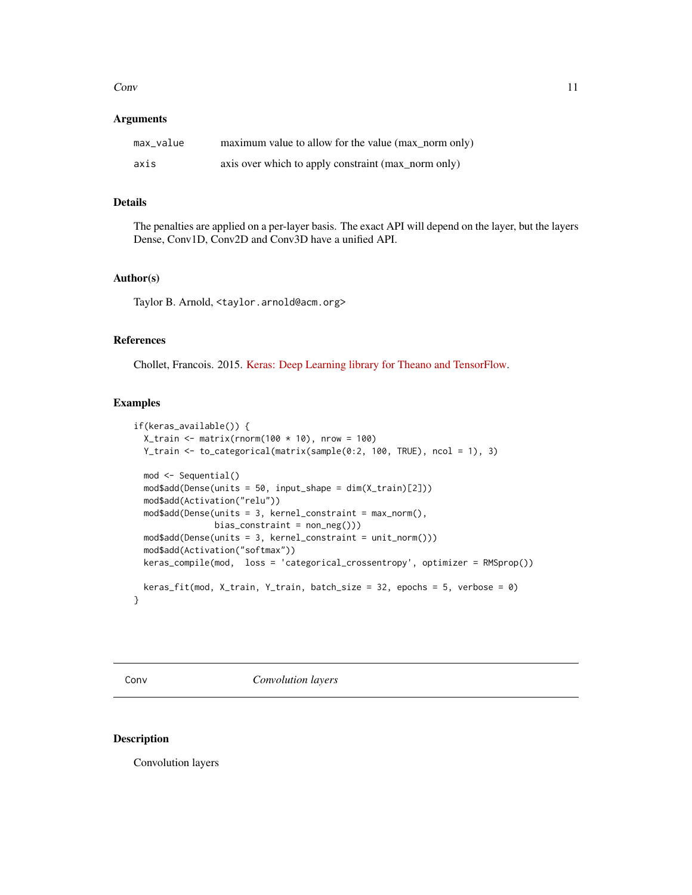<span id="page-10-0"></span>Conv 11

#### **Arguments**

| max_value | maximum value to allow for the value (max_norm only) |
|-----------|------------------------------------------------------|
| axis      | axis over which to apply constraint (max_norm only)  |

### Details

The penalties are applied on a per-layer basis. The exact API will depend on the layer, but the layers Dense, Conv1D, Conv2D and Conv3D have a unified API.

### Author(s)

Taylor B. Arnold, <taylor.arnold@acm.org>

#### References

Chollet, Francois. 2015. [Keras: Deep Learning library for Theano and TensorFlow.](https://keras.io/)

### Examples

```
if(keras_available()) {
 X_train <- matrix(rnorm(100 * 10), nrow = 100)
 Y_train <- to_categorical(matrix(sample(0:2, 100, TRUE), ncol = 1), 3)
 mod <- Sequential()
 mod$add(Dense(units = 50, input_shape = dim(X_train)[2]))
 mod$add(Activation("relu"))
 mod$add(Dense(units = 3, kernel_constraint = max_norm(),
               bias_{constraint} = non_{neg}())mod$add(Dense(units = 3, kernel_constraint = unit_norm()))
 mod$add(Activation("softmax"))
 keras_compile(mod, loss = 'categorical_crossentropy', optimizer = RMSprop())
 keras_fit(mod, X_train, Y_train, batch_size = 32, epochs = 5, verbose = 0)
}
```
<span id="page-10-1"></span>Conv *Convolution layers*

### Description

Convolution layers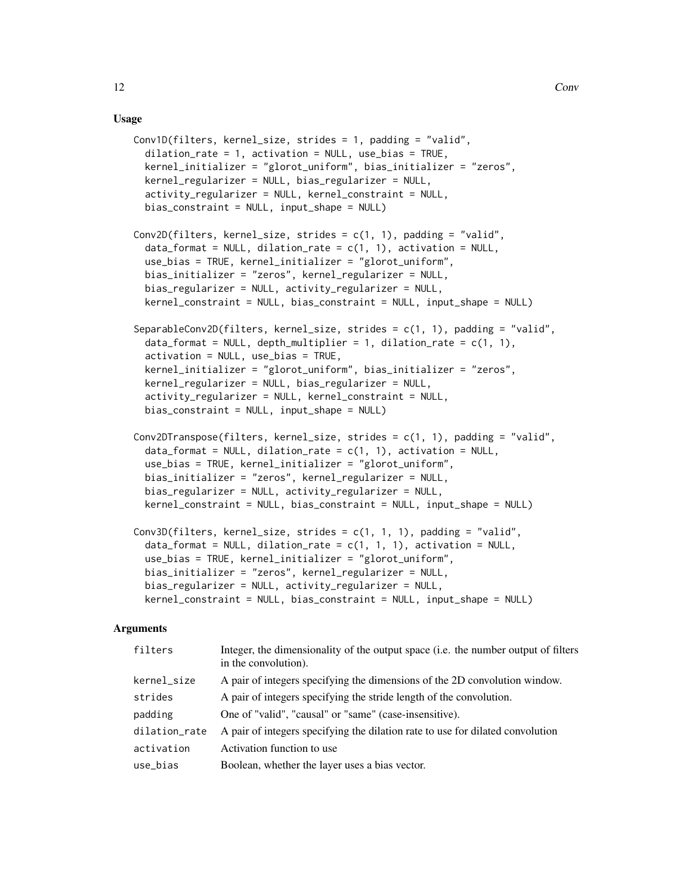#### Usage

```
Conv1D(filters, kernel_size, strides = 1, padding = "valid",
  dilation_rate = 1, activation = NULL, use_bias = TRUE,
  kernel_initializer = "glorot_uniform", bias_initializer = "zeros",
  kernel_regularizer = NULL, bias_regularizer = NULL,
  activity_regularizer = NULL, kernel_constraint = NULL,
 bias_constraint = NULL, input_shape = NULL)
Conv2D(filters, kernel_size, strides = c(1, 1), padding = "valid",
  data_format = NULL, dilation_rate = c(1, 1), activation = NULL,
  use_bias = TRUE, kernel_initializer = "glorot_uniform",
  bias_initializer = "zeros", kernel_regularizer = NULL,
 bias_regularizer = NULL, activity_regularizer = NULL,
  kernel_constraint = NULL, bias_constraint = NULL, input_shape = NULL)
SeparableConv2D(filters, kernel_size, strides = c(1, 1), padding = "valid",
  data_format = NULL, depth_multiplier = 1, dilation_rate = c(1, 1),
  activation = NULL, use_bias = TRUE,
 kernel_initializer = "glorot_uniform", bias_initializer = "zeros",
  kernel_regularizer = NULL, bias_regularizer = NULL,
  activity_regularizer = NULL, kernel_constraint = NULL,
 bias_constraint = NULL, input_shape = NULL)
Conv2DTranspose(filters, kernel_size, strides = c(1, 1), padding = "valid",
  data_format = NULL, dilation_rate = c(1, 1), activation = NULL,
  use_bias = TRUE, kernel_initializer = "glorot_uniform",
  bias_initializer = "zeros", kernel_regularizer = NULL,
  bias_regularizer = NULL, activity_regularizer = NULL,
  kernel_constraint = NULL, bias_constraint = NULL, input_shape = NULL)
Conv3D(filters, kernel_size, strides = c(1, 1, 1), padding = "valid",
  data_format = NULL, dilation_rate = c(1, 1, 1), activation = NULL,
  use_bias = TRUE, kernel_initializer = "glorot_uniform",
  bias_initializer = "zeros", kernel_regularizer = NULL,
  bias_regularizer = NULL, activity_regularizer = NULL,
  kernel_constraint = NULL, bias_constraint = NULL, input_shape = NULL)
```
#### Arguments

| filters       | Integer, the dimensionality of the output space ( <i>i.e.</i> the number output of filters<br>in the convolution). |
|---------------|--------------------------------------------------------------------------------------------------------------------|
| kernel_size   | A pair of integers specifying the dimensions of the 2D convolution window.                                         |
| strides       | A pair of integers specifying the stride length of the convolution.                                                |
| padding       | One of "valid", "causal" or "same" (case-insensitive).                                                             |
| dilation_rate | A pair of integers specifying the dilation rate to use for dilated convolution                                     |
| activation    | Activation function to use                                                                                         |
| use_bias      | Boolean, whether the layer uses a bias vector.                                                                     |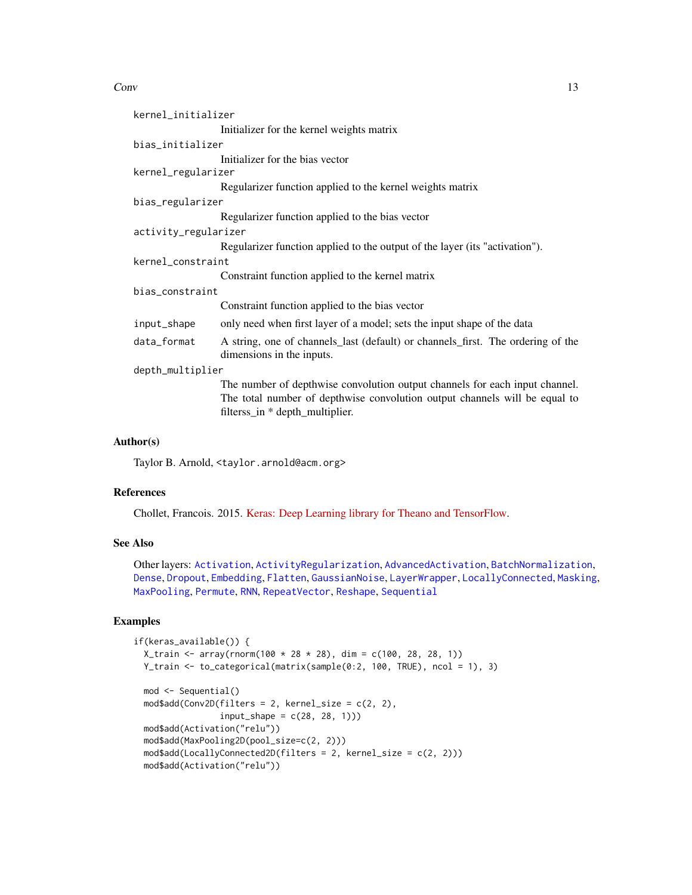#### <span id="page-12-0"></span> $Conv$  13

| kernel_initializer   |                                                                                                               |
|----------------------|---------------------------------------------------------------------------------------------------------------|
|                      | Initializer for the kernel weights matrix                                                                     |
| bias_initializer     |                                                                                                               |
|                      | Initializer for the bias vector                                                                               |
| kernel_regularizer   |                                                                                                               |
|                      | Regularizer function applied to the kernel weights matrix                                                     |
| bias_regularizer     |                                                                                                               |
|                      | Regularizer function applied to the bias vector                                                               |
| activity_regularizer |                                                                                                               |
|                      | Regularizer function applied to the output of the layer (its "activation").                                   |
| kernel_constraint    |                                                                                                               |
|                      | Constraint function applied to the kernel matrix                                                              |
| bias_constraint      |                                                                                                               |
|                      | Constraint function applied to the bias vector                                                                |
| input_shape          | only need when first layer of a model; sets the input shape of the data                                       |
| data_format          | A string, one of channels_last (default) or channels_first. The ordering of the<br>dimensions in the inputs.  |
| depth_multiplier     |                                                                                                               |
|                      | The number of depthwise convolution output channels for each input channel.                                   |
|                      | The total number of depthwise convolution output channels will be equal to<br>filterss_in * depth_multiplier. |

### Author(s)

Taylor B. Arnold, <taylor.arnold@acm.org>

#### References

Chollet, Francois. 2015. [Keras: Deep Learning library for Theano and TensorFlow.](https://keras.io/)

#### See Also

Other layers: [Activation](#page-2-1), [ActivityRegularization](#page-3-1), [AdvancedActivation](#page-4-1), [BatchNormalization](#page-8-1), [Dense](#page-17-1), [Dropout](#page-19-1), [Embedding](#page-21-1), [Flatten](#page-23-1), [GaussianNoise](#page-24-1), [LayerWrapper](#page-34-1), [LocallyConnected](#page-37-1), [Masking](#page-39-1), [MaxPooling](#page-40-1), [Permute](#page-47-1), [RNN](#page-54-1), [RepeatVector](#page-52-1), [Reshape](#page-53-1), [Sequential](#page-56-1)

### Examples

```
if(keras_available()) {
 X_train <- array(rnorm(100 * 28 * 28), dim = c(100, 28, 28, 1))
 Y_train <- to_categorical(matrix(sample(0:2, 100, TRUE), ncol = 1), 3)
 mod <- Sequential()
 mod4add(Conv2D(filters = 2, kernel_size = c(2, 2),
                input\_shape = c(28, 28, 1))mod$add(Activation("relu"))
 mod$add(MaxPooling2D(pool_size=c(2, 2)))
 mod$add(LocallyConnected2D(filters = 2, kernel_size = c(2, 2)))
 mod$add(Activation("relu"))
```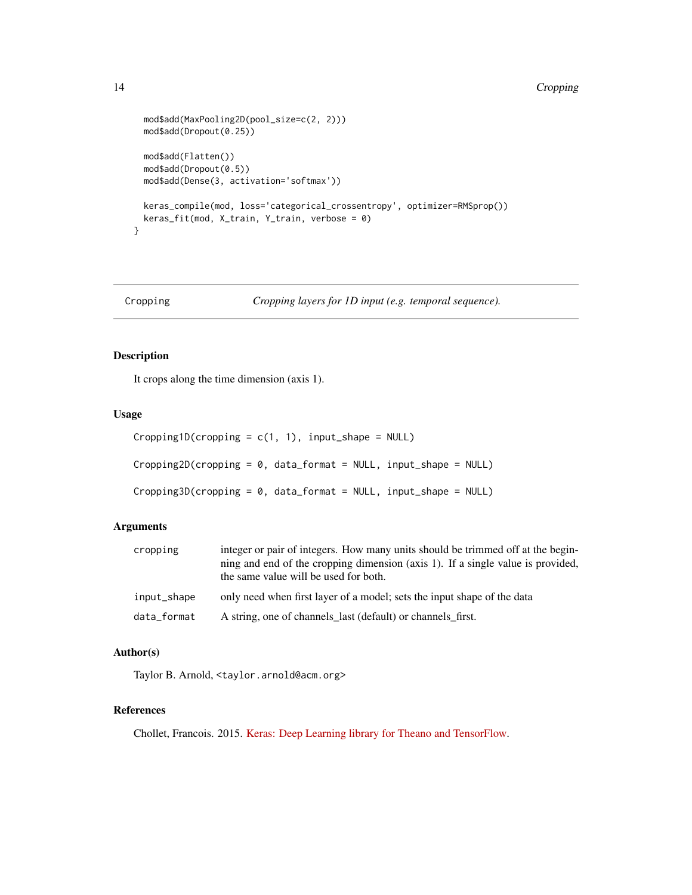#### <span id="page-13-0"></span>14 Cropping

```
mod$add(MaxPooling2D(pool_size=c(2, 2)))
 mod$add(Dropout(0.25))
 mod$add(Flatten())
 mod$add(Dropout(0.5))
 mod$add(Dense(3, activation='softmax'))
 keras_compile(mod, loss='categorical_crossentropy', optimizer=RMSprop())
 keras_fit(mod, X_train, Y_train, verbose = 0)
}
```
Cropping *Cropping layers for 1D input (e.g. temporal sequence).*

### Description

It crops along the time dimension (axis 1).

#### Usage

```
Cropping1D(cropping = c(1, 1), input.shape = NULL)Cropping2D(cropping = 0, data_format = NULL, input_shape = NULL)
Cropping3D(cropping = 0, data_format = NULL, input_shape = NULL)
```
### Arguments

| cropping    | integer or pair of integers. How many units should be trimmed off at the begin-<br>ning and end of the cropping dimension (axis 1). If a single value is provided,<br>the same value will be used for both. |
|-------------|-------------------------------------------------------------------------------------------------------------------------------------------------------------------------------------------------------------|
| input_shape | only need when first layer of a model; sets the input shape of the data                                                                                                                                     |
| data format | A string, one of channels last (default) or channels first.                                                                                                                                                 |

### Author(s)

Taylor B. Arnold, <taylor.arnold@acm.org>

### References

Chollet, Francois. 2015. [Keras: Deep Learning library for Theano and TensorFlow.](https://keras.io/)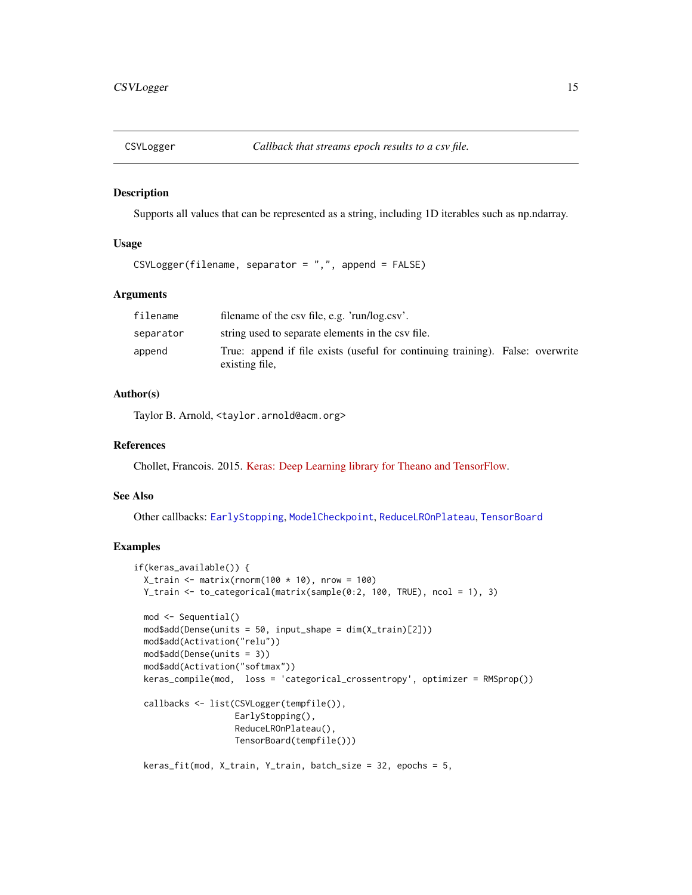<span id="page-14-1"></span><span id="page-14-0"></span>

#### Description

Supports all values that can be represented as a string, including 1D iterables such as np.ndarray.

### Usage

CSVLogger(filename, separator = ",", append = FALSE)

### Arguments

| filename  | filename of the csv file, e.g. 'run/log.csv'.                                                    |
|-----------|--------------------------------------------------------------------------------------------------|
| separator | string used to separate elements in the csy file.                                                |
| append    | True: append if file exists (useful for continuing training). False: overwrite<br>existing file, |

#### Author(s)

Taylor B. Arnold, <taylor.arnold@acm.org>

#### References

Chollet, Francois. 2015. [Keras: Deep Learning library for Theano and TensorFlow.](https://keras.io/)

### See Also

Other callbacks: [EarlyStopping](#page-20-1), [ModelCheckpoint](#page-41-1), [ReduceLROnPlateau](#page-50-1), [TensorBoard](#page-57-1)

### Examples

```
if(keras_available()) {
 X_train <- matrix(rnorm(100 * 10), nrow = 100)
 Y_train <- to_categorical(matrix(sample(0:2, 100, TRUE), ncol = 1), 3)
 mod <- Sequential()
 mod$add(Dense(units = 50, input_shape = dim(X_train)[2]))
 mod$add(Activation("relu"))
 mod$add(Dense(units = 3))
 mod$add(Activation("softmax"))
 keras_compile(mod, loss = 'categorical_crossentropy', optimizer = RMSprop())
 callbacks <- list(CSVLogger(tempfile()),
                    EarlyStopping(),
                    ReduceLROnPlateau(),
                    TensorBoard(tempfile()))
```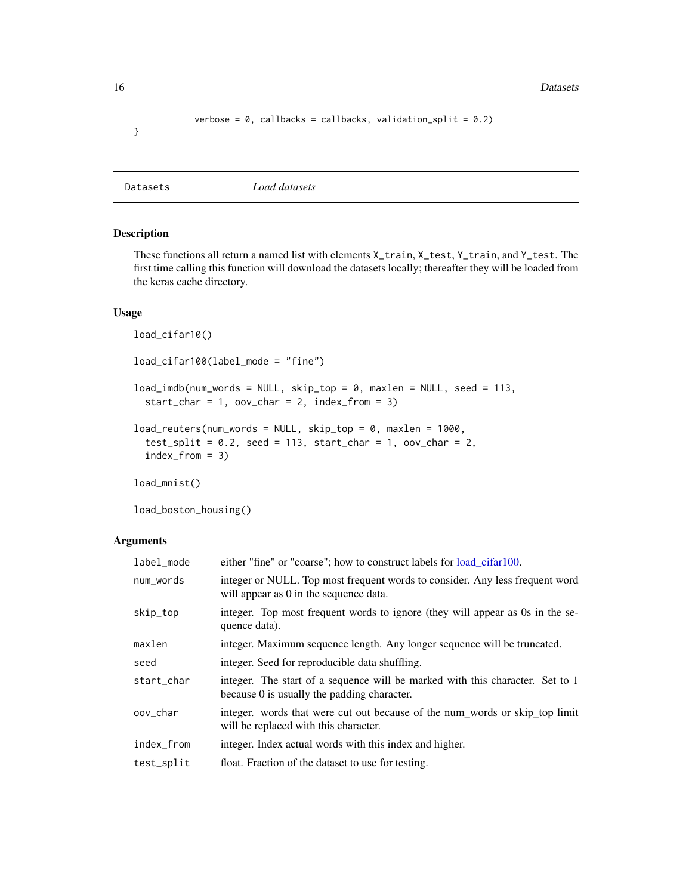<span id="page-15-0"></span>16 Datasets **Datasets** 

```
verbose = 0, callbacks = callbacks, validation_split = 0.2)
```
Datasets *Load datasets*

### <span id="page-15-1"></span>Description

These functions all return a named list with elements X\_train, X\_test, Y\_train, and Y\_test. The first time calling this function will download the datasets locally; thereafter they will be loaded from the keras cache directory.

#### Usage

load\_cifar10() load\_cifar100(label\_mode = "fine") load\_imdb(num\_words = NULL, skip\_top = 0, maxlen = NULL, seed = 113,  $start_{char} = 1$ ,  $oov_{char} = 2$ ,  $index_{form} = 3)$ load\_reuters(num\_words = NULL, skip\_top = 0, maxlen = 1000,  $test\_split = 0.2$ , seed = 113, start\_char = 1, oov\_char = 2, index\_from = 3)

load\_mnist()

load\_boston\_housing()

### Arguments

| label_mode | either "fine" or "coarse"; how to construct labels for <u>load</u> _cifar100.                                                |
|------------|------------------------------------------------------------------------------------------------------------------------------|
| num_words  | integer or NULL. Top most frequent words to consider. Any less frequent word<br>will appear as 0 in the sequence data.       |
| skip_top   | integer. Top most frequent words to ignore (they will appear as 0s in the se-<br>quence data).                               |
| maxlen     | integer. Maximum sequence length. Any longer sequence will be truncated.                                                     |
| seed       | integer. Seed for reproducible data shuffling.                                                                               |
| start char | integer. The start of a sequence will be marked with this character. Set to 1<br>because 0 is usually the padding character. |
| oov char   | integer. words that were cut out because of the num_words or skip_top limit<br>will be replaced with this character.         |
| index_from | integer. Index actual words with this index and higher.                                                                      |
| test_split | float. Fraction of the dataset to use for testing.                                                                           |

}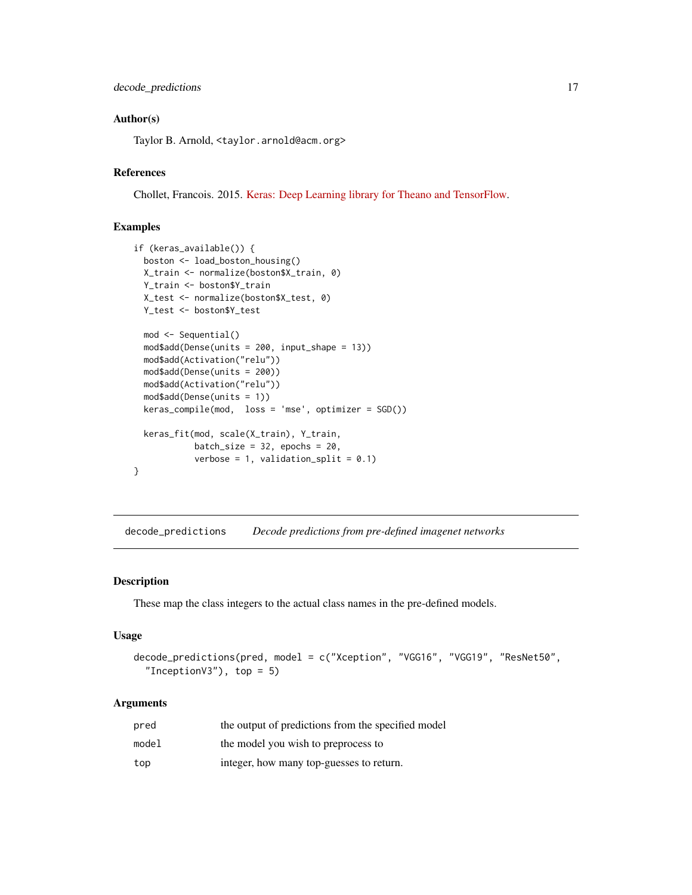#### <span id="page-16-0"></span>Author(s)

Taylor B. Arnold, <taylor.arnold@acm.org>

#### References

Chollet, Francois. 2015. [Keras: Deep Learning library for Theano and TensorFlow.](https://keras.io/)

### Examples

```
if (keras_available()) {
 boston <- load_boston_housing()
 X_train <- normalize(boston$X_train, 0)
 Y_train <- boston$Y_train
 X_test <- normalize(boston$X_test, 0)
 Y_test <- boston$Y_test
 mod <- Sequential()
 mod$add(Dense(units = 200, input_shape = 13))
 mod$add(Activation("relu"))
 mod$add(Dense(units = 200))
 mod$add(Activation("relu"))
 mod$add(Dense(units = 1))
 keras_compile(mod, loss = 'mse', optimizer = SGD())
 keras_fit(mod, scale(X_train), Y_train,
            batch_size = 32, epochs = 20,
            verbose = 1, validation_split = 0.1)
}
```
decode\_predictions *Decode predictions from pre-defined imagenet networks*

#### Description

These map the class integers to the actual class names in the pre-defined models.

#### Usage

```
decode_predictions(pred, model = c("Xception", "VGG16", "VGG19", "ResNet50",
  "InceptionV3"), top = 5)
```
#### Arguments

| pred  | the output of predictions from the specified model |
|-------|----------------------------------------------------|
| model | the model you wish to preprocess to                |
| top   | integer, how many top-guesses to return.           |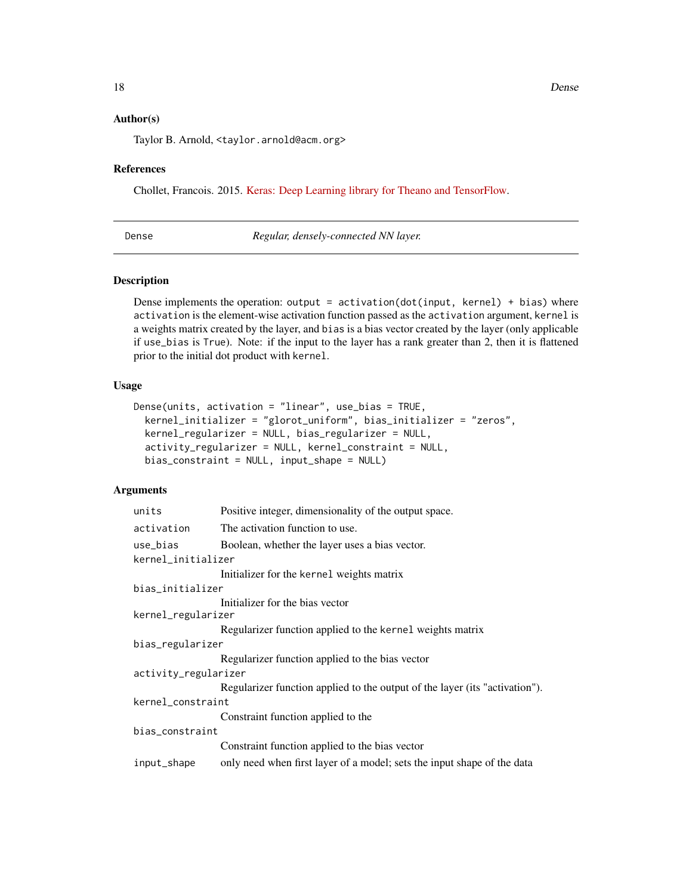### <span id="page-17-0"></span>Author(s)

Taylor B. Arnold, <taylor.arnold@acm.org>

#### References

Chollet, Francois. 2015. [Keras: Deep Learning library for Theano and TensorFlow.](https://keras.io/)

<span id="page-17-1"></span>Dense *Regular, densely-connected NN layer.*

### Description

Dense implements the operation: output =  $activation(dot(input, kernet) + bias)$  where activation is the element-wise activation function passed as the activation argument, kernel is a weights matrix created by the layer, and bias is a bias vector created by the layer (only applicable if use\_bias is True). Note: if the input to the layer has a rank greater than 2, then it is flattened prior to the initial dot product with kernel.

### Usage

```
Dense(units, activation = "linear", use_bias = TRUE,
  kernel_initializer = "glorot_uniform", bias_initializer = "zeros",
 kernel_regularizer = NULL, bias_regularizer = NULL,
  activity_regularizer = NULL, kernel_constraint = NULL,
  bias_constraint = NULL, input_shape = NULL)
```
### **Arguments**

| units                | Positive integer, dimensionality of the output space.                       |
|----------------------|-----------------------------------------------------------------------------|
| activation           | The activation function to use.                                             |
| use_bias             | Boolean, whether the layer uses a bias vector.                              |
| kernel_initializer   |                                                                             |
|                      | Initializer for the kernel weights matrix                                   |
| bias_initializer     |                                                                             |
|                      | Initializer for the bias vector                                             |
| kernel_regularizer   |                                                                             |
|                      | Regularizer function applied to the kernel weights matrix                   |
| bias_regularizer     |                                                                             |
|                      | Regularizer function applied to the bias vector                             |
| activity_regularizer |                                                                             |
|                      | Regularizer function applied to the output of the layer (its "activation"). |
| kernel_constraint    |                                                                             |
|                      | Constraint function applied to the                                          |
| bias_constraint      |                                                                             |
|                      | Constraint function applied to the bias vector                              |
| input_shape          | only need when first layer of a model; sets the input shape of the data     |
|                      |                                                                             |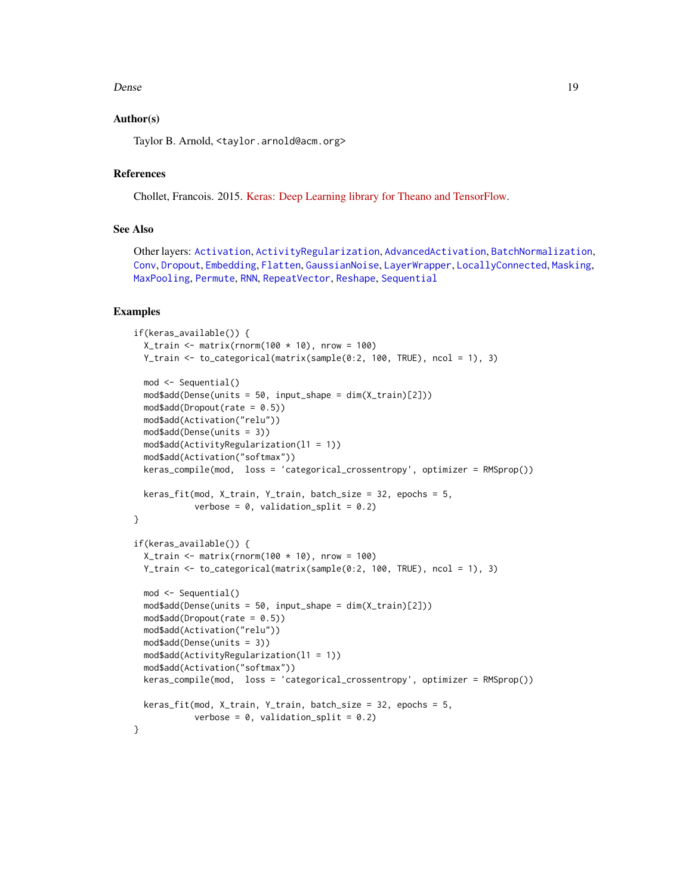#### <span id="page-18-0"></span>Dense and the set of the set of the set of the set of the set of the set of the set of the set of the set of the set of the set of the set of the set of the set of the set of the set of the set of the set of the set of the

### Author(s)

Taylor B. Arnold, <taylor.arnold@acm.org>

### References

Chollet, Francois. 2015. [Keras: Deep Learning library for Theano and TensorFlow.](https://keras.io/)

#### See Also

Other layers: [Activation](#page-2-1), [ActivityRegularization](#page-3-1), [AdvancedActivation](#page-4-1), [BatchNormalization](#page-8-1), [Conv](#page-10-1), [Dropout](#page-19-1), [Embedding](#page-21-1), [Flatten](#page-23-1), [GaussianNoise](#page-24-1), [LayerWrapper](#page-34-1), [LocallyConnected](#page-37-1), [Masking](#page-39-1), [MaxPooling](#page-40-1), [Permute](#page-47-1), [RNN](#page-54-1), [RepeatVector](#page-52-1), [Reshape](#page-53-1), [Sequential](#page-56-1)

#### Examples

```
if(keras_available()) {
 X_train <- matrix(rnorm(100 * 10), nrow = 100)
 Y_train <- to_categorical(matrix(sample(0:2, 100, TRUE), ncol = 1), 3)
 mod <- Sequential()
 mod$add(Dense(units = 50, input_shape = dim(X_train)[2]))
 mod$add(Dropout(rate = 0.5))mod$add(Activation("relu"))
 mod$add(Dense(units = 3))
 mod$add(ActivityRegularization(l1 = 1))
 mod$add(Activation("softmax"))
 keras_compile(mod, loss = 'categorical_crossentropy', optimizer = RMSprop())
 keras_fit(mod, X_train, Y_train, batch_size = 32, epochs = 5,
           verbose = 0, validation_split = 0.2)
}
if(keras_available()) {
 X_train <- matrix(rnorm(100 * 10), nrow = 100)
 Y_train <- to_categorical(matrix(sample(0:2, 100, TRUE), ncol = 1), 3)
 mod <- Sequential()
 mod$add(Dense(units = 50, input.shape = dim(X_train)[2]))mod$add(Dropout(rate = 0.5))
 mod$add(Activation("relu"))
 mod$add(Dense(units = 3))
 mod$add(ActivityRegularization(l1 = 1))
 mod$add(Activation("softmax"))
 keras_compile(mod, loss = 'categorical_crossentropy', optimizer = RMSprop())
 keras_fit(mod, X_train, Y_train, batch_size = 32, epochs = 5,
           verbose = 0, validation_split = 0.2)
}
```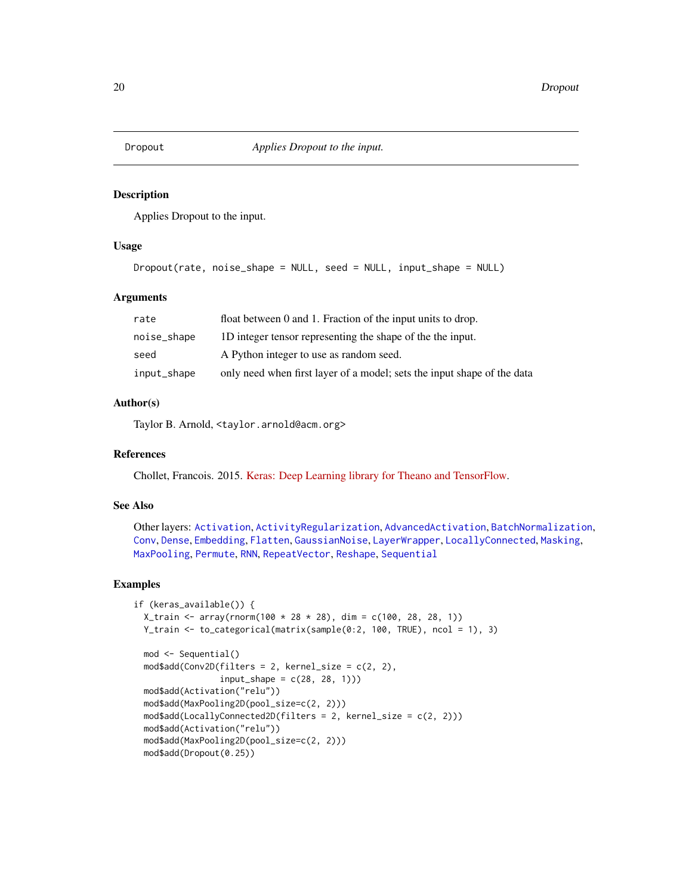<span id="page-19-1"></span><span id="page-19-0"></span>

#### Description

Applies Dropout to the input.

### Usage

```
Dropout(rate, noise_shape = NULL, seed = NULL, input_shape = NULL)
```
### Arguments

| rate        | float between 0 and 1. Fraction of the input units to drop.             |
|-------------|-------------------------------------------------------------------------|
| noise_shape | 1D integer tensor representing the shape of the the input.              |
| seed        | A Python integer to use as random seed.                                 |
| input_shape | only need when first layer of a model; sets the input shape of the data |

### Author(s)

Taylor B. Arnold, <taylor.arnold@acm.org>

### References

Chollet, Francois. 2015. [Keras: Deep Learning library for Theano and TensorFlow.](https://keras.io/)

### See Also

Other layers: [Activation](#page-2-1), [ActivityRegularization](#page-3-1), [AdvancedActivation](#page-4-1), [BatchNormalization](#page-8-1), [Conv](#page-10-1), [Dense](#page-17-1), [Embedding](#page-21-1), [Flatten](#page-23-1), [GaussianNoise](#page-24-1), [LayerWrapper](#page-34-1), [LocallyConnected](#page-37-1), [Masking](#page-39-1), [MaxPooling](#page-40-1), [Permute](#page-47-1), [RNN](#page-54-1), [RepeatVector](#page-52-1), [Reshape](#page-53-1), [Sequential](#page-56-1)

### Examples

```
if (keras_available()) {
 X_{\text{train}} < -\arctan(100 \times 28 \times 28), \text{ dim} = c(100, 28, 28, 1))Y_train <- to_categorical(matrix(sample(0:2, 100, TRUE), ncol = 1), 3)
 mod <- Sequential()
 mod4add(Conv2D(filters = 2, kernel_size = c(2, 2),
                 input\_shape = c(28, 28, 1))mod$add(Activation("relu"))
 mod$add(MaxPooling2D(pool_size=c(2, 2)))
 mod$add(LocallyConnected2D(filters = 2, kernel_size = c(2, 2)))
 mod$add(Activation("relu"))
 mod$add(MaxPooling2D(pool_size=c(2, 2)))
 mod$add(Dropout(0.25))
```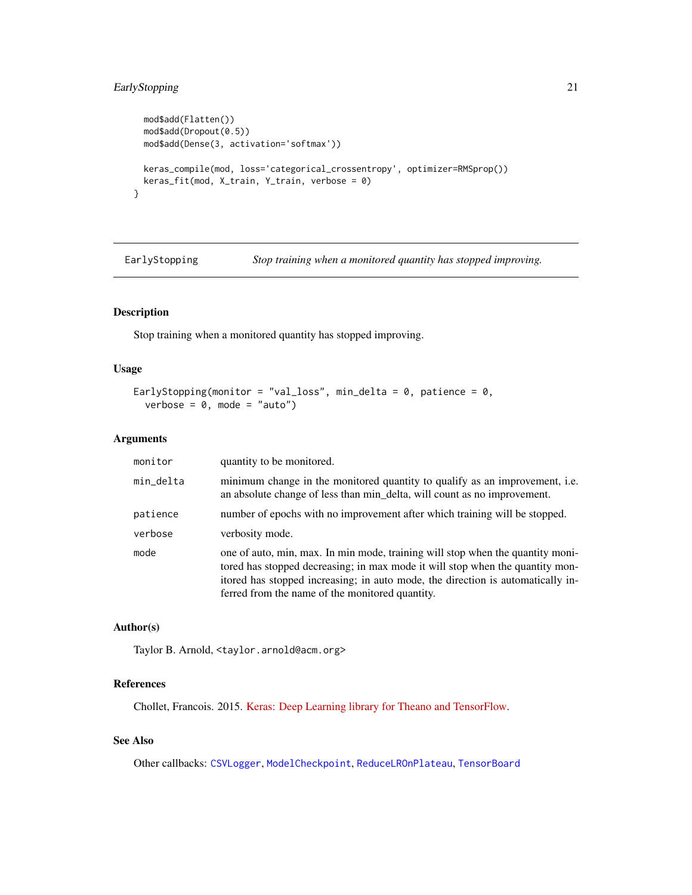### <span id="page-20-0"></span>EarlyStopping 21

```
mod$add(Flatten())
mod$add(Dropout(0.5))
mod$add(Dense(3, activation='softmax'))
keras_compile(mod, loss='categorical_crossentropy', optimizer=RMSprop())
keras_fit(mod, X_train, Y_train, verbose = 0)
```
<span id="page-20-1"></span>EarlyStopping *Stop training when a monitored quantity has stopped improving.*

### Description

}

Stop training when a monitored quantity has stopped improving.

### Usage

```
EarlyStopping(monitor = "val_loss", min_delta = 0, patience = 0,
  verbose = 0, mode = "auto")
```
#### Arguments

| monitor   | quantity to be monitored.                                                                                                                                                                                                                                                                             |
|-----------|-------------------------------------------------------------------------------------------------------------------------------------------------------------------------------------------------------------------------------------------------------------------------------------------------------|
| min_delta | minimum change in the monitored quantity to qualify as an improvement, i.e.<br>an absolute change of less than min_delta, will count as no improvement.                                                                                                                                               |
| patience  | number of epochs with no improvement after which training will be stopped.                                                                                                                                                                                                                            |
| verbose   | verbosity mode.                                                                                                                                                                                                                                                                                       |
| mode      | one of auto, min, max. In min mode, training will stop when the quantity moni-<br>tored has stopped decreasing; in max mode it will stop when the quantity mon-<br>itored has stopped increasing; in auto mode, the direction is automatically in-<br>ferred from the name of the monitored quantity. |

### Author(s)

Taylor B. Arnold, <taylor.arnold@acm.org>

#### References

Chollet, Francois. 2015. [Keras: Deep Learning library for Theano and TensorFlow.](https://keras.io/)

### See Also

Other callbacks: [CSVLogger](#page-14-1), [ModelCheckpoint](#page-41-1), [ReduceLROnPlateau](#page-50-1), [TensorBoard](#page-57-1)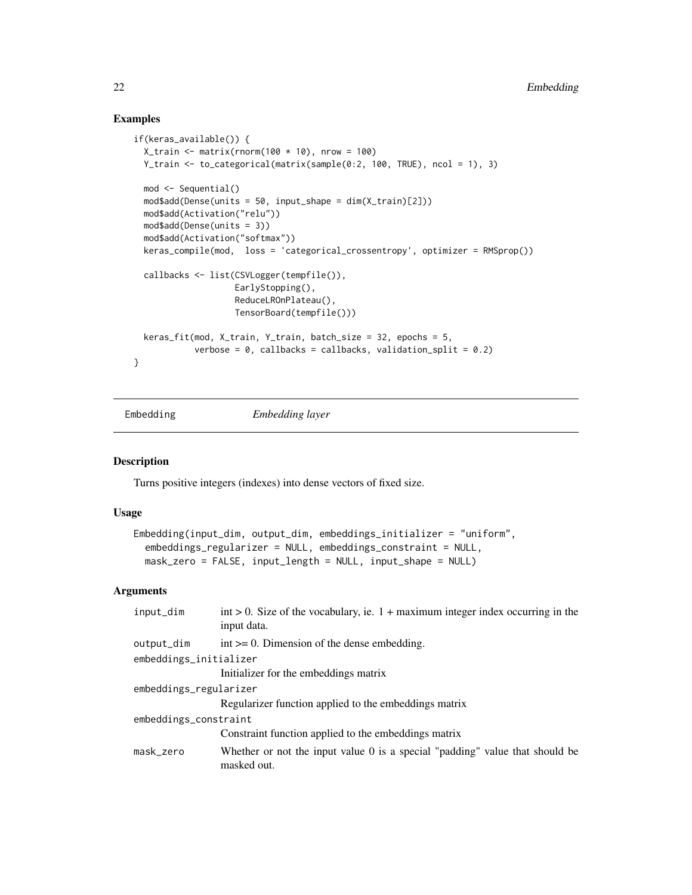### Examples

```
if(keras_available()) {
 X_train <- matrix(rnorm(100 * 10), nrow = 100)
 Y_train <- to_categorical(matrix(sample(0:2, 100, TRUE), ncol = 1), 3)
 mod <- Sequential()
 mod$add(Dense(units = 50, input_shape = dim(X_train)[2]))
 mod$add(Activation("relu"))
 mod$add(Dense(units = 3))
 mod$add(Activation("softmax"))
 keras_compile(mod, loss = 'categorical_crossentropy', optimizer = RMSprop())
 callbacks <- list(CSVLogger(tempfile()),
                   EarlyStopping(),
                    ReduceLROnPlateau(),
                    TensorBoard(tempfile()))
 keras_fit(mod, X_train, Y_train, batch_size = 32, epochs = 5,
            verbose = 0, callbacks = callbacks, validation_split = 0.2)
}
```
<span id="page-21-1"></span>

```
Embedding Embedding layer
```
### Description

Turns positive integers (indexes) into dense vectors of fixed size.

#### Usage

```
Embedding(input_dim, output_dim, embeddings_initializer = "uniform",
  embeddings_regularizer = NULL, embeddings_constraint = NULL,
 mask_zero = FALSE, input_length = NULL, input_shape = NULL)
```
#### **Arguments**

| input_dim              | $int > 0$ . Size of the vocabulary, ie. 1 + maximum integer index occurring in the<br>input data.  |  |
|------------------------|----------------------------------------------------------------------------------------------------|--|
| output_dim             | $int \ge 0$ . Dimension of the dense embedding.                                                    |  |
| embeddings_initializer |                                                                                                    |  |
|                        | Initializer for the embeddings matrix                                                              |  |
| embeddings_regularizer |                                                                                                    |  |
|                        | Regularizer function applied to the embeddings matrix                                              |  |
| embeddings_constraint  |                                                                                                    |  |
|                        | Constraint function applied to the embeddings matrix                                               |  |
| mask_zero              | Whether or not the input value $\theta$ is a special "padding" value that should be<br>masked out. |  |
|                        |                                                                                                    |  |

<span id="page-21-0"></span>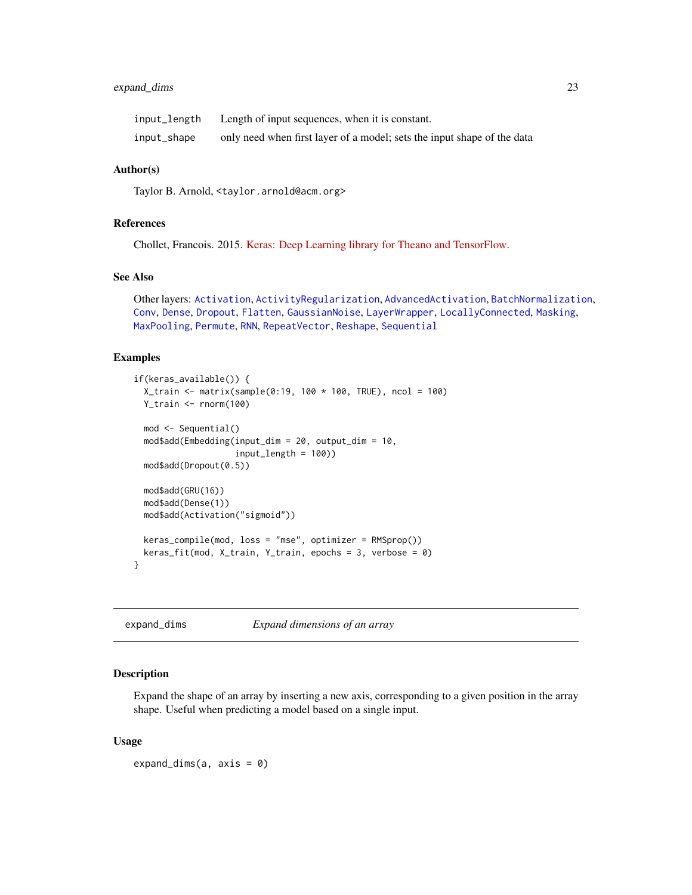### <span id="page-22-0"></span>expand\_dims 23

| input_length | Length of input sequences, when it is constant.                         |
|--------------|-------------------------------------------------------------------------|
| input_shape  | only need when first layer of a model; sets the input shape of the data |

#### Author(s)

Taylor B. Arnold, <taylor.arnold@acm.org>

### References

Chollet, Francois. 2015. [Keras: Deep Learning library for Theano and TensorFlow.](https://keras.io/)

#### See Also

Other layers: [Activation](#page-2-1), [ActivityRegularization](#page-3-1), [AdvancedActivation](#page-4-1), [BatchNormalization](#page-8-1), [Conv](#page-10-1), [Dense](#page-17-1), [Dropout](#page-19-1), [Flatten](#page-23-1), [GaussianNoise](#page-24-1), [LayerWrapper](#page-34-1), [LocallyConnected](#page-37-1), [Masking](#page-39-1), [MaxPooling](#page-40-1), [Permute](#page-47-1), [RNN](#page-54-1), [RepeatVector](#page-52-1), [Reshape](#page-53-1), [Sequential](#page-56-1)

#### Examples

```
if(keras_available()) {
 X_train <- matrix(sample(0:19, 100 * 100, TRUE), ncol = 100)
 Y_train <- rnorm(100)
 mod <- Sequential()
 mod$add(Embedding(input_dim = 20, output_dim = 10,
                    input_length = 100))
 mod$add(Dropout(0.5))
 mod$add(GRU(16))
 mod$add(Dense(1))
 mod$add(Activation("sigmoid"))
 keras_compile(mod, loss = "mse", optimizer = RMSprop())
 keras_fit(mod, X_train, Y_train, epochs = 3, verbose = 0)
}
```
<span id="page-22-1"></span>expand\_dims *Expand dimensions of an array*

#### Description

Expand the shape of an array by inserting a new axis, corresponding to a given position in the array shape. Useful when predicting a model based on a single input.

#### Usage

expand\_dims(a,  $axis = 0$ )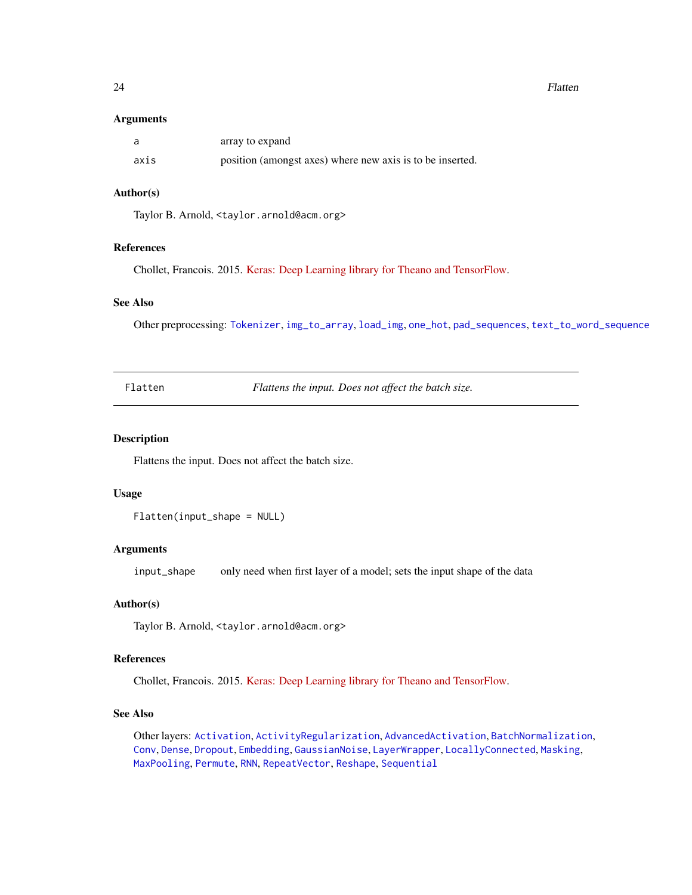#### <span id="page-23-0"></span>24 **Flatten**

#### **Arguments**

|      | array to expand                                           |
|------|-----------------------------------------------------------|
| axis | position (amongst axes) where new axis is to be inserted. |

### Author(s)

Taylor B. Arnold, <taylor.arnold@acm.org>

### References

Chollet, Francois. 2015. [Keras: Deep Learning library for Theano and TensorFlow.](https://keras.io/)

#### See Also

Other preprocessing: [Tokenizer](#page-59-1), [img\\_to\\_array](#page-26-1), [load\\_img](#page-36-1), [one\\_hot](#page-43-1), [pad\\_sequences](#page-46-1), [text\\_to\\_word\\_sequence](#page-59-2)

<span id="page-23-1"></span>Flatten *Flattens the input. Does not affect the batch size.*

#### Description

Flattens the input. Does not affect the batch size.

#### Usage

Flatten(input\_shape = NULL)

#### Arguments

input\_shape only need when first layer of a model; sets the input shape of the data

### Author(s)

Taylor B. Arnold, <taylor.arnold@acm.org>

#### References

Chollet, Francois. 2015. [Keras: Deep Learning library for Theano and TensorFlow.](https://keras.io/)

### See Also

Other layers: [Activation](#page-2-1), [ActivityRegularization](#page-3-1), [AdvancedActivation](#page-4-1), [BatchNormalization](#page-8-1), [Conv](#page-10-1), [Dense](#page-17-1), [Dropout](#page-19-1), [Embedding](#page-21-1), [GaussianNoise](#page-24-1), [LayerWrapper](#page-34-1), [LocallyConnected](#page-37-1), [Masking](#page-39-1), [MaxPooling](#page-40-1), [Permute](#page-47-1), [RNN](#page-54-1), [RepeatVector](#page-52-1), [Reshape](#page-53-1), [Sequential](#page-56-1)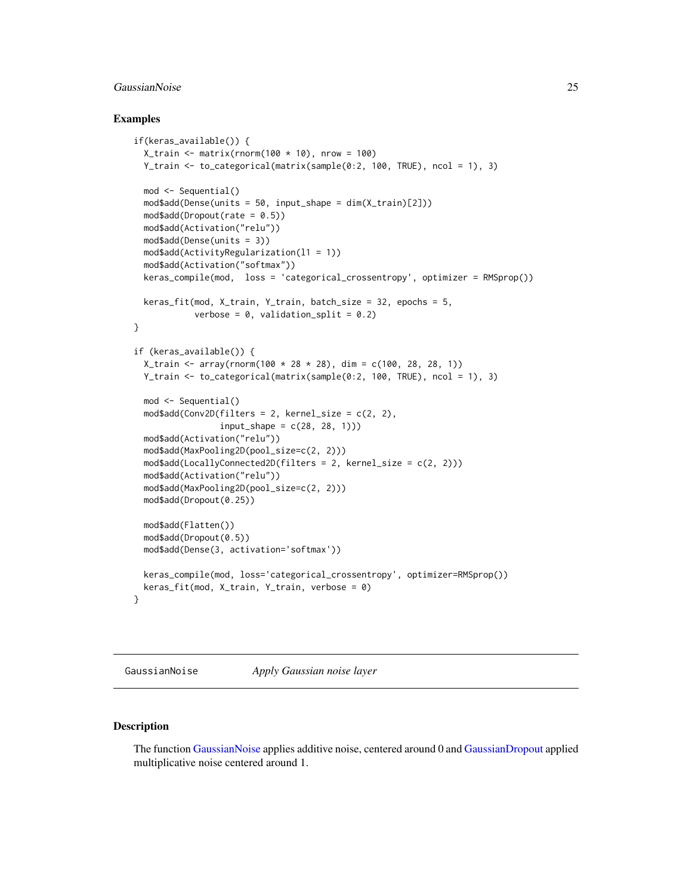### <span id="page-24-0"></span>GaussianNoise 25

#### Examples

```
if(keras_available()) {
 X_train <- matrix(rnorm(100 * 10), nrow = 100)
 Y_train <- to_categorical(matrix(sample(0:2, 100, TRUE), ncol = 1), 3)
 mod <- Sequential()
 mod$add(Dense(units = 50, input_shape = dim(X_train)[2]))
 mod$add(Dropout(rate = 0.5))
 mod$add(Activation("relu"))
 mod$add(Dense(units = 3))
 mod$add(ActivityRegularization(l1 = 1))
 mod$add(Activation("softmax"))
 keras_compile(mod, loss = 'categorical_crossentropy', optimizer = RMSprop())
 keras_fit(mod, X_train, Y_train, batch_size = 32, epochs = 5,
            verbose = 0, validation_split = 0.2)
}
if (keras_available()) {
 X_{\text{train}} < -array(rnorm(100 \times 28 \times 28), \text{ dim} = c(100, 28, 28, 1))Y_train <- to_categorical(matrix(sample(0:2, 100, TRUE), ncol = 1), 3)
 mod <- Sequential()
 mod4add(Conv2D(filters = 2, kernel_size = c(2, 2),
                 input\_shape = c(28, 28, 1))mod$add(Activation("relu"))
 mod$add(MaxPooling2D(pool_size=c(2, 2)))
 mod$add(LocallyConnected2D(filters = 2, kernel_size = c(2, 2)))
 mod$add(Activation("relu"))
 mod$add(MaxPooling2D(pool_size=c(2, 2)))
 mod$add(Dropout(0.25))
 mod$add(Flatten())
 mod$add(Dropout(0.5))
 mod$add(Dense(3, activation='softmax'))
 keras_compile(mod, loss='categorical_crossentropy', optimizer=RMSprop())
 keras_fit(mod, X_train, Y_train, verbose = 0)
}
```
<span id="page-24-1"></span>GaussianNoise *Apply Gaussian noise layer*

### <span id="page-24-2"></span>Description

The function [GaussianNoise](#page-24-1) applies additive noise, centered around 0 and [GaussianDropout](#page-24-2) applied multiplicative noise centered around 1.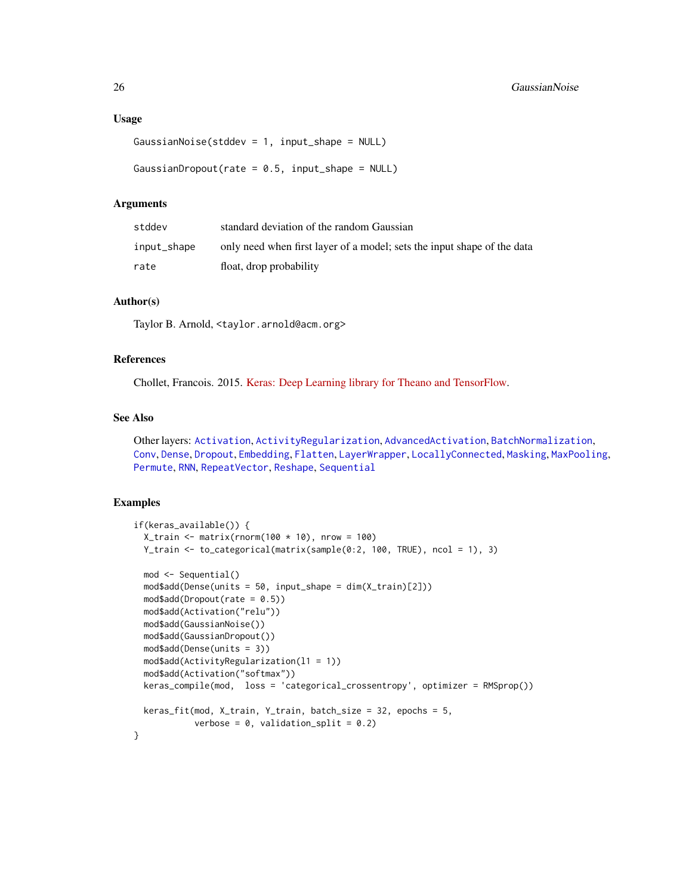#### <span id="page-25-0"></span>Usage

```
GaussianNoise(stddev = 1, input_shape = NULL)
```

```
GaussianDropout(rate = 0.5, input_shape = NULL)
```
### Arguments

| stddev      | standard deviation of the random Gaussian                               |
|-------------|-------------------------------------------------------------------------|
| input_shape | only need when first layer of a model; sets the input shape of the data |
| rate        | float, drop probability                                                 |

#### Author(s)

Taylor B. Arnold, <taylor.arnold@acm.org>

### References

Chollet, Francois. 2015. [Keras: Deep Learning library for Theano and TensorFlow.](https://keras.io/)

### See Also

Other layers: [Activation](#page-2-1), [ActivityRegularization](#page-3-1), [AdvancedActivation](#page-4-1), [BatchNormalization](#page-8-1), [Conv](#page-10-1), [Dense](#page-17-1), [Dropout](#page-19-1), [Embedding](#page-21-1), [Flatten](#page-23-1), [LayerWrapper](#page-34-1), [LocallyConnected](#page-37-1), [Masking](#page-39-1), [MaxPooling](#page-40-1), [Permute](#page-47-1), [RNN](#page-54-1), [RepeatVector](#page-52-1), [Reshape](#page-53-1), [Sequential](#page-56-1)

### Examples

```
if(keras_available()) {
 X_train \leq matrix(rnorm(100 \neq 10), nrow = 100)
 Y_train <- to_categorical(matrix(sample(0:2, 100, TRUE), ncol = 1), 3)
 mod <- Sequential()
 mod$add(Dense(units = 50, input_shape = dim(X_train)[2]))
 mod4add(Dropout(rate = 0.5))
 mod$add(Activation("relu"))
 mod$add(GaussianNoise())
 mod$add(GaussianDropout())
 mod$add(Dense(units = 3))
 mod$add(ActivityRegularization(l1 = 1))
 mod$add(Activation("softmax"))
 keras_compile(mod, loss = 'categorical_crossentropy', optimizer = RMSprop())
 keras_fit(mod, X_train, Y_train, batch_size = 32, epochs = 5,
            verbose = 0, validation_split = 0.2)
}
```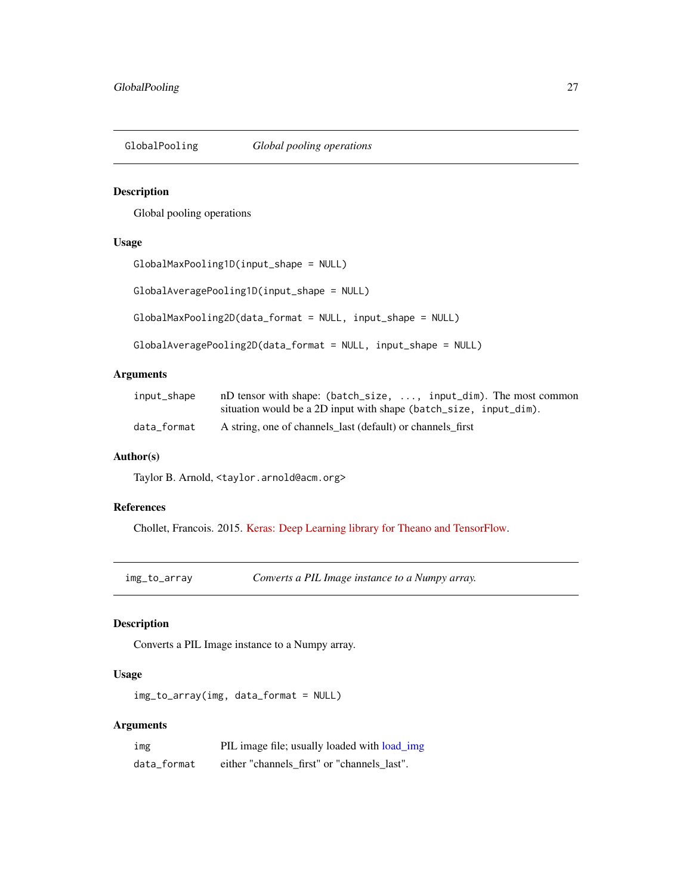<span id="page-26-0"></span>GlobalPooling *Global pooling operations*

### Description

Global pooling operations

### Usage

```
GlobalMaxPooling1D(input_shape = NULL)
```
GlobalAveragePooling1D(input\_shape = NULL)

GlobalMaxPooling2D(data\_format = NULL, input\_shape = NULL)

```
GlobalAveragePooling2D(data_format = NULL, input_shape = NULL)
```
### Arguments

| input_shape | nD tensor with shape: $(batch_size, \ldots, input\_dim)$ . The most common |
|-------------|----------------------------------------------------------------------------|
|             | situation would be a 2D input with shape (batch_size, input_dim).          |
| data_format | A string, one of channels last (default) or channels first                 |

#### Author(s)

Taylor B. Arnold, <taylor.arnold@acm.org>

### References

Chollet, Francois. 2015. [Keras: Deep Learning library for Theano and TensorFlow.](https://keras.io/)

<span id="page-26-1"></span>img\_to\_array *Converts a PIL Image instance to a Numpy array.*

### Description

Converts a PIL Image instance to a Numpy array.

### Usage

img\_to\_array(img, data\_format = NULL)

#### Arguments

| img         | PIL image file; usually loaded with load_img |
|-------------|----------------------------------------------|
| data_format | either "channels first" or "channels last".  |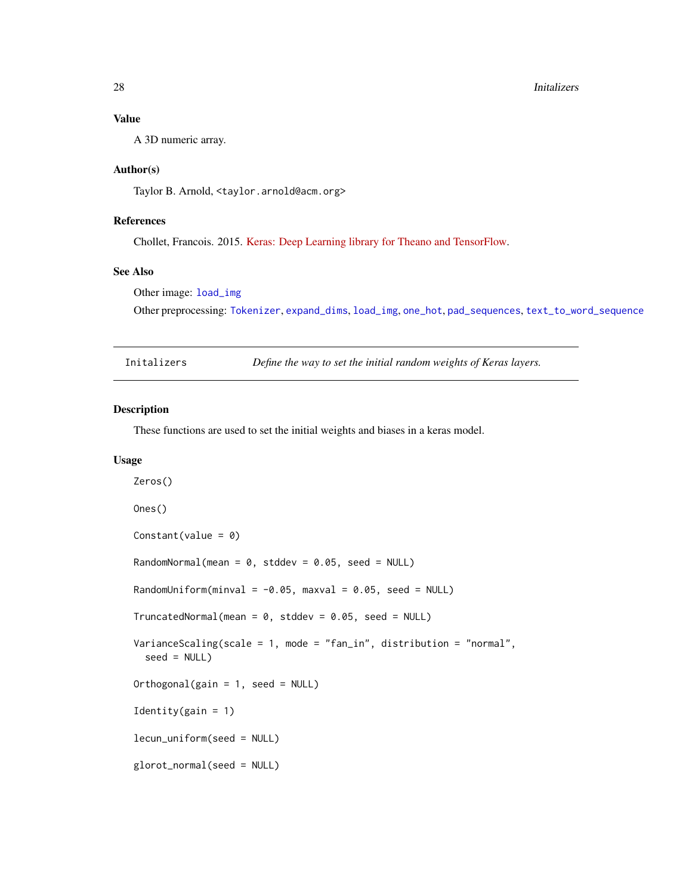#### <span id="page-27-0"></span>28 Initializers and the control of the control of the control of the control of the control of the control of the control of the control of the control of the control of the control of the control of the control of the con

### Value

A 3D numeric array.

### Author(s)

Taylor B. Arnold, <taylor.arnold@acm.org>

### References

Chollet, Francois. 2015. [Keras: Deep Learning library for Theano and TensorFlow.](https://keras.io/)

#### See Also

Other image: [load\\_img](#page-36-1)

Other preprocessing: [Tokenizer](#page-59-1), [expand\\_dims](#page-22-1), [load\\_img](#page-36-1), [one\\_hot](#page-43-1), [pad\\_sequences](#page-46-1), [text\\_to\\_word\\_sequence](#page-59-2)

| Initalizers |  | Define the way to set the initial random weights of Keras layers. |
|-------------|--|-------------------------------------------------------------------|
|             |  |                                                                   |

### Description

These functions are used to set the initial weights and biases in a keras model.

### Usage

```
Zeros()
Ones()
Constant(value = 0)
RandomNormal(mean = 0, stddev = 0.05, seed = NULL)
RandomUniform(minval = -0.05, maxval = 0.05, seed = NULL)
TruncatedNormal(mean = 0, stddev = 0.05, seed = NULL)
VarianceScaling(scale = 1, mode = "fan_in", distribution = "normal",
  seed = NULL)
Orthogonal(gain = 1, seed = NULL)
Identity(gain = 1)
lecun_uniform(seed = NULL)
glorot_normal(seed = NULL)
```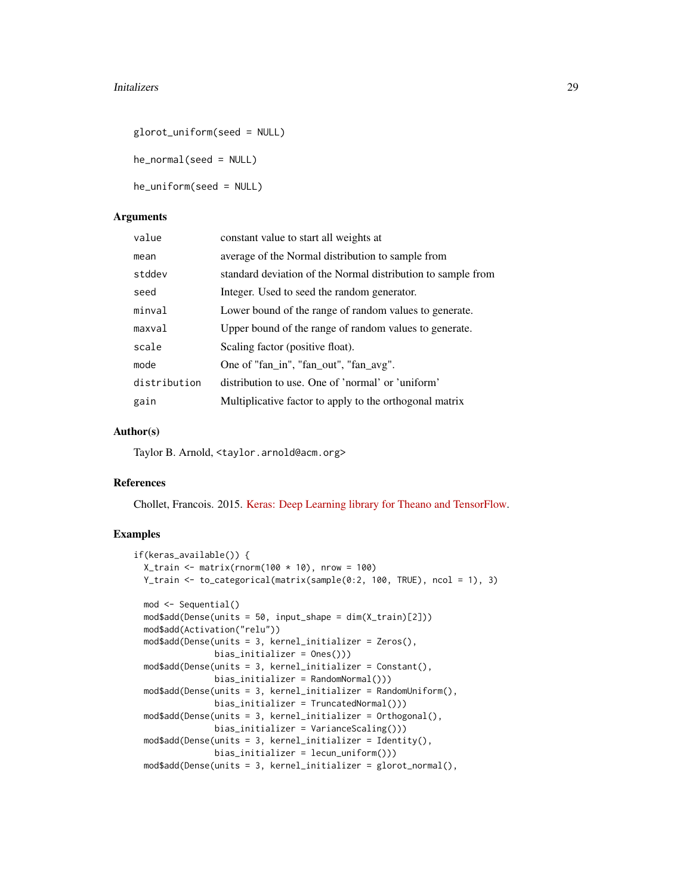#### Initalizers 29

```
glorot_uniform(seed = NULL)
```
he\_normal(seed = NULL)

he\_uniform(seed = NULL)

#### Arguments

| value        | constant value to start all weights at                       |
|--------------|--------------------------------------------------------------|
| mean         | average of the Normal distribution to sample from            |
| stddev       | standard deviation of the Normal distribution to sample from |
| seed         | Integer. Used to seed the random generator.                  |
| minval       | Lower bound of the range of random values to generate.       |
| maxval       | Upper bound of the range of random values to generate.       |
| scale        | Scaling factor (positive float).                             |
| mode         | One of "fan_in", "fan_out", "fan_avg".                       |
| distribution | distribution to use. One of 'normal' or 'uniform'            |
| gain         | Multiplicative factor to apply to the orthogonal matrix      |

#### Author(s)

Taylor B. Arnold, <taylor.arnold@acm.org>

#### References

Chollet, Francois. 2015. [Keras: Deep Learning library for Theano and TensorFlow.](https://keras.io/)

### Examples

```
if(keras_available()) {
 X_train < - matrix(rnorm(100 * 10), nrow = 100)
 Y_train <- to_categorical(matrix(sample(0:2, 100, TRUE), ncol = 1), 3)
 mod <- Sequential()
 mod$add(Dense(units = 50, input_shape = dim(X_train)[2]))
 mod$add(Activation("relu"))
 mod$add(Dense(units = 3, kernel_initializer = Zeros(),
               bias_initializer = Ones()))
 mod$add(Dense(units = 3, kernel_initializer = Constant(),
               bias_initializer = RandomNormal()))
 mod$add(Dense(units = 3, kernel_initializer = RandomUniform(),
               bias_initializer = TruncatedNormal()))
 mod$add(Dense(units = 3, kernel_initializer = Orthogonal(),
               bias_initializer = VarianceScaling()))
 mod$add(Dense(units = 3, kernel_initializer = Identity(),
               bias_initializer = lecun_uniform()))
 mod$add(Dense(units = 3, kernel_initializer = glorot_normal(),
```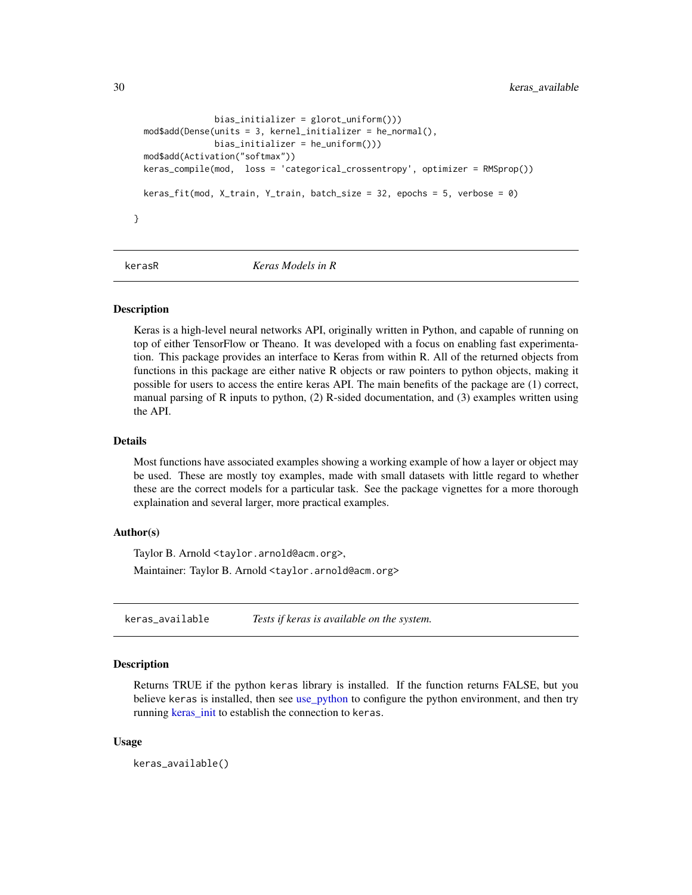```
bias_initializer = glorot_uniform()))
 mod$add(Dense(units = 3, kernel_initializer = he_normal(),
                bias_initializer = he_uniform()))
 mod$add(Activation("softmax"))
 keras_compile(mod, loss = 'categorical_crossentropy', optimizer = RMSprop())
 keras_fit(mod, X_train, Y_train, batch_size = 32, epochs = 5, verbose = 0)
}
```
kerasR *Keras Models in R*

#### Description

Keras is a high-level neural networks API, originally written in Python, and capable of running on top of either TensorFlow or Theano. It was developed with a focus on enabling fast experimentation. This package provides an interface to Keras from within R. All of the returned objects from functions in this package are either native R objects or raw pointers to python objects, making it possible for users to access the entire keras API. The main benefits of the package are (1) correct, manual parsing of R inputs to python, (2) R-sided documentation, and (3) examples written using the API.

### Details

Most functions have associated examples showing a working example of how a layer or object may be used. These are mostly toy examples, made with small datasets with little regard to whether these are the correct models for a particular task. See the package vignettes for a more thorough explaination and several larger, more practical examples.

### Author(s)

Taylor B. Arnold <taylor.arnold@acm.org>,

Maintainer: Taylor B. Arnold <taylor.arnold@acm.org>

<span id="page-29-1"></span>keras\_available *Tests if keras is available on the system.*

#### Description

Returns TRUE if the python keras library is installed. If the function returns FALSE, but you believe keras is installed, then see [use\\_python](#page-0-0) to configure the python environment, and then try running [keras\\_init](#page-33-1) to establish the connection to keras.

#### Usage

keras\_available()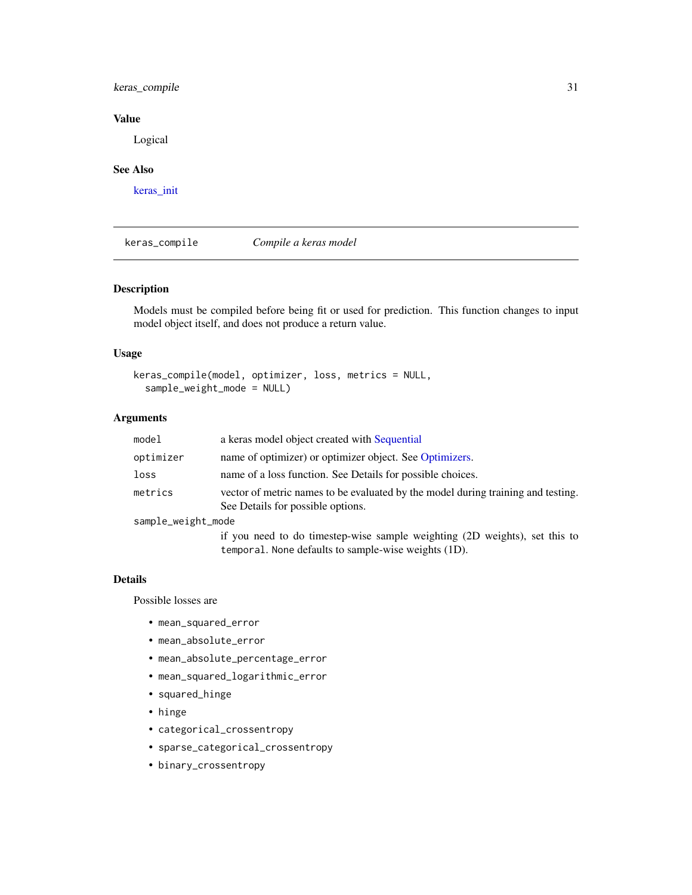### <span id="page-30-0"></span>keras\_compile 31

### Value

Logical

### See Also

[keras\\_init](#page-33-1)

<span id="page-30-1"></span>keras\_compile *Compile a keras model*

### Description

Models must be compiled before being fit or used for prediction. This function changes to input model object itself, and does not produce a return value.

### Usage

```
keras_compile(model, optimizer, loss, metrics = NULL,
  sample_weight_mode = NULL)
```
### Arguments

| model              | a keras model object created with Sequential                                                                                       |
|--------------------|------------------------------------------------------------------------------------------------------------------------------------|
| optimizer          | name of optimizer) or optimizer object. See Optimizers.                                                                            |
| loss               | name of a loss function. See Details for possible choices.                                                                         |
| metrics            | vector of metric names to be evaluated by the model during training and testing.<br>See Details for possible options.              |
| sample_weight_mode |                                                                                                                                    |
|                    | if you need to do timestep-wise sample weighting (2D weights), set this to<br>temporal. None defaults to sample-wise weights (1D). |

#### Details

Possible losses are

- mean\_squared\_error
- mean\_absolute\_error
- mean\_absolute\_percentage\_error
- mean\_squared\_logarithmic\_error
- squared\_hinge
- hinge
- categorical\_crossentropy
- sparse\_categorical\_crossentropy
- binary\_crossentropy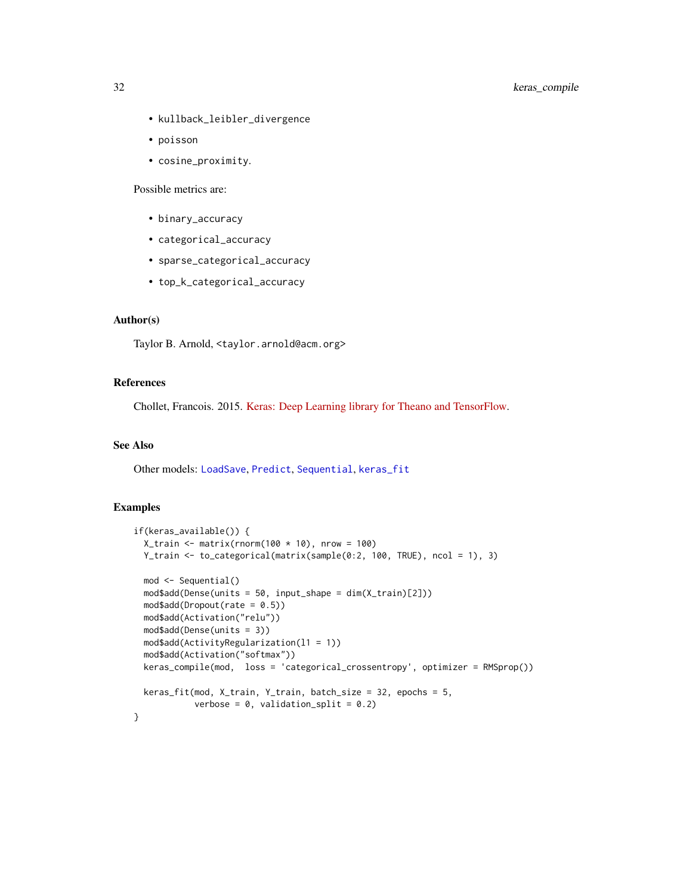- <span id="page-31-0"></span>• kullback\_leibler\_divergence
- poisson
- cosine\_proximity.

Possible metrics are:

- binary\_accuracy
- categorical\_accuracy
- sparse\_categorical\_accuracy
- top\_k\_categorical\_accuracy

### Author(s)

Taylor B. Arnold, <taylor.arnold@acm.org>

### References

Chollet, Francois. 2015. [Keras: Deep Learning library for Theano and TensorFlow.](https://keras.io/)

### See Also

Other models: [LoadSave](#page-35-1), [Predict](#page-48-1), [Sequential](#page-56-1), [keras\\_fit](#page-32-1)

### Examples

```
if(keras_available()) {
 X_train <- matrix(rnorm(100 * 10), nrow = 100)
 Y_train <- to_categorical(matrix(sample(0:2, 100, TRUE), ncol = 1), 3)
 mod <- Sequential()
 mod$add(Dense(units = 50, input_shape = dim(X_train)[2]))
 mod$add(Dropout(rate = 0.5))
 mod$add(Activation("relu"))
 mod$add(Dense(units = 3))
 mod$add(ActivityRegularization(l1 = 1))
 mod$add(Activation("softmax"))
 keras_compile(mod, loss = 'categorical_crossentropy', optimizer = RMSprop())
 keras_fit(mod, X_train, Y_train, batch_size = 32, epochs = 5,verbose = 0, validation_split = 0.2)
}
```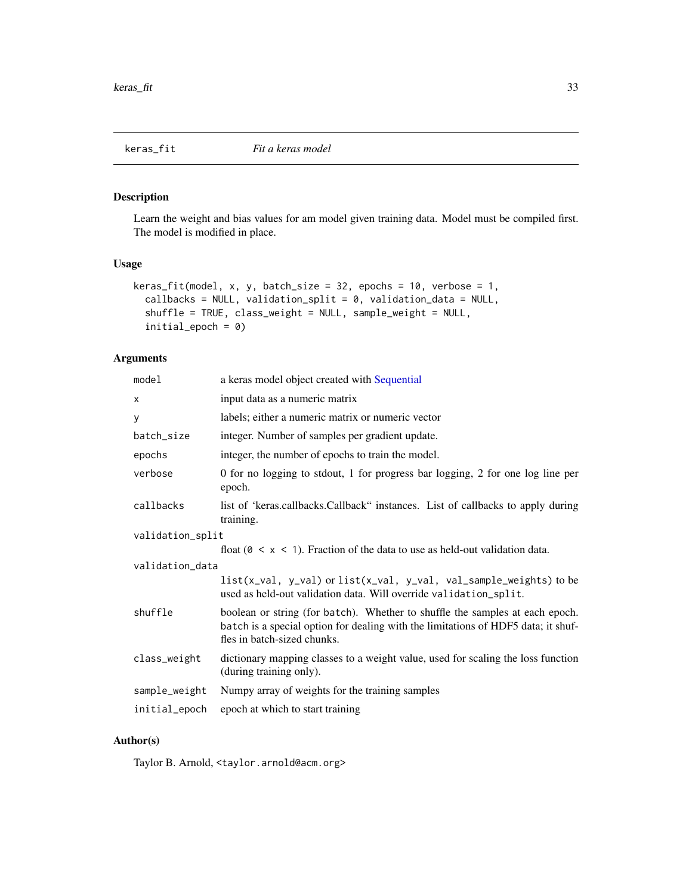<span id="page-32-1"></span><span id="page-32-0"></span>

### Description

Learn the weight and bias values for am model given training data. Model must be compiled first. The model is modified in place.

### Usage

```
keras_fit(model, x, y, batch_size = 32, epochs = 10, verbose = 1,
  callbacks = NULL, validation_split = 0, validation_data = NULL,
  shuffle = TRUE, class_weight = NULL, sample_weight = NULL,
  initial_epoch = 0)
```
### Arguments

| model            | a keras model object created with Sequential                                                                                                                                                     |
|------------------|--------------------------------------------------------------------------------------------------------------------------------------------------------------------------------------------------|
| x                | input data as a numeric matrix                                                                                                                                                                   |
| у                | labels; either a numeric matrix or numeric vector                                                                                                                                                |
| batch_size       | integer. Number of samples per gradient update.                                                                                                                                                  |
| epochs           | integer, the number of epochs to train the model.                                                                                                                                                |
| verbose          | 0 for no logging to stdout, 1 for progress bar logging, 2 for one log line per<br>epoch.                                                                                                         |
| callbacks        | list of 'keras.callbacks.Callback" instances. List of callbacks to apply during<br>training.                                                                                                     |
| validation_split |                                                                                                                                                                                                  |
|                  | float ( $0 \le x \le 1$ ). Fraction of the data to use as held-out validation data.                                                                                                              |
| validation_data  |                                                                                                                                                                                                  |
|                  | $list(x_val, y_val)$ or $list(x_val, y_val, val_samples_weights)$ to be<br>used as held-out validation data. Will override validation_split.                                                     |
| shuffle          | boolean or string (for batch). Whether to shuffle the samples at each epoch.<br>batch is a special option for dealing with the limitations of HDF5 data; it shuf-<br>fles in batch-sized chunks. |
| class_weight     | dictionary mapping classes to a weight value, used for scaling the loss function<br>(during training only).                                                                                      |
| sample_weight    | Numpy array of weights for the training samples                                                                                                                                                  |
| initial_epoch    | epoch at which to start training                                                                                                                                                                 |

### Author(s)

Taylor B. Arnold, <taylor.arnold@acm.org>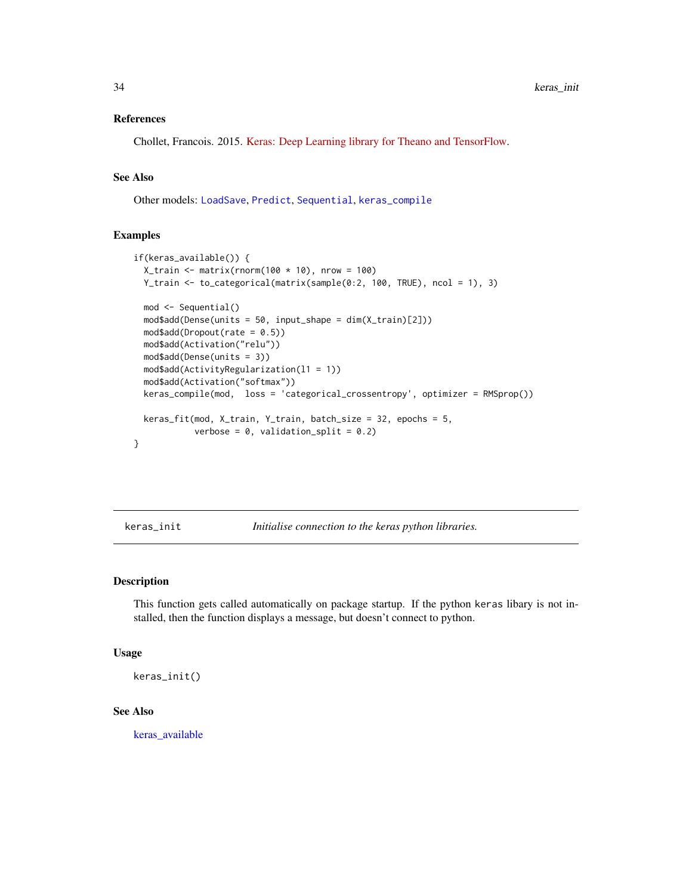#### <span id="page-33-0"></span>References

Chollet, Francois. 2015. [Keras: Deep Learning library for Theano and TensorFlow.](https://keras.io/)

### See Also

Other models: [LoadSave](#page-35-1), [Predict](#page-48-1), [Sequential](#page-56-1), [keras\\_compile](#page-30-1)

### Examples

```
if(keras_available()) {
 X_train <- matrix(rnorm(100 * 10), nrow = 100)
 Y_train <- to_categorical(matrix(sample(0:2, 100, TRUE), ncol = 1), 3)
 mod <- Sequential()
 mod$add(Dense(units = 50, input_shape = dim(X_train)[2]))
 mod4add(Dropout(rate = 0.5))
 mod$add(Activation("relu"))
 mod$add(Dense(units = 3))
 mod$add(ActivityRegularization(l1 = 1))
 mod$add(Activation("softmax"))
 keras_compile(mod, loss = 'categorical_crossentropy', optimizer = RMSprop())
 keras_fit(mod, X_train, Y_train, batch_size = 32, epochs = 5,
            verbose = 0, validation_split = 0.2)
}
```
<span id="page-33-1"></span>keras\_init *Initialise connection to the keras python libraries.*

#### Description

This function gets called automatically on package startup. If the python keras libary is not installed, then the function displays a message, but doesn't connect to python.

#### Usage

```
keras_init()
```
#### See Also

keras available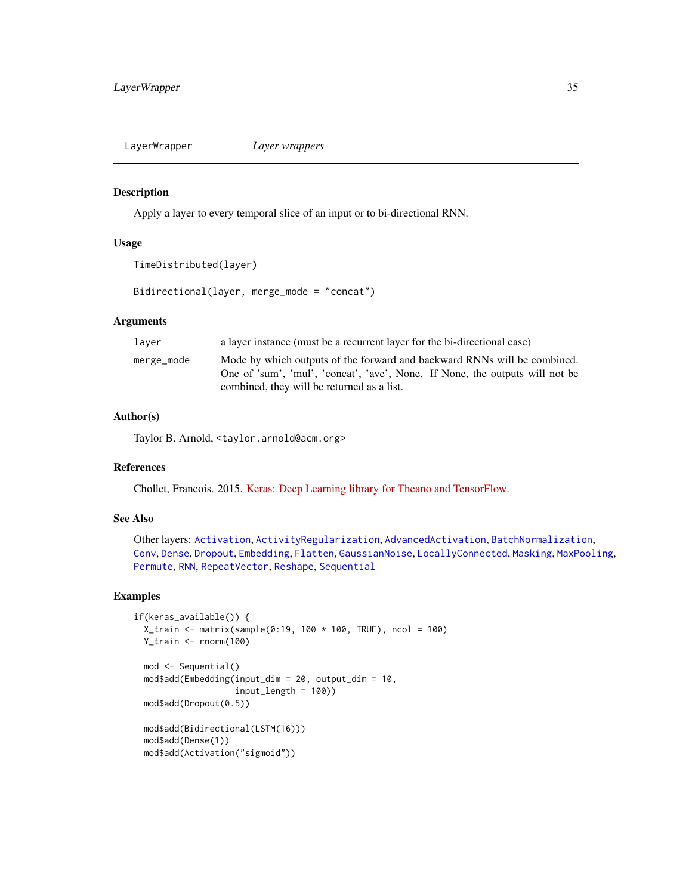<span id="page-34-1"></span><span id="page-34-0"></span>LayerWrapper *Layer wrappers*

### Description

Apply a layer to every temporal slice of an input or to bi-directional RNN.

### Usage

```
TimeDistributed(layer)
```
Bidirectional(layer, merge\_mode = "concat")

### **Arguments**

| laver      | a layer instance (must be a recurrent layer for the bi-directional case)                                                                                                                               |
|------------|--------------------------------------------------------------------------------------------------------------------------------------------------------------------------------------------------------|
| merge_mode | Mode by which outputs of the forward and backward RNNs will be combined.<br>One of 'sum', 'mul', 'concat', 'ave', None. If None, the outputs will not be<br>combined, they will be returned as a list. |

### Author(s)

Taylor B. Arnold, <taylor.arnold@acm.org>

### References

Chollet, Francois. 2015. [Keras: Deep Learning library for Theano and TensorFlow.](https://keras.io/)

#### See Also

Other layers: [Activation](#page-2-1), [ActivityRegularization](#page-3-1), [AdvancedActivation](#page-4-1), [BatchNormalization](#page-8-1), [Conv](#page-10-1), [Dense](#page-17-1), [Dropout](#page-19-1), [Embedding](#page-21-1), [Flatten](#page-23-1), [GaussianNoise](#page-24-1), [LocallyConnected](#page-37-1), [Masking](#page-39-1), [MaxPooling](#page-40-1), [Permute](#page-47-1), [RNN](#page-54-1), [RepeatVector](#page-52-1), [Reshape](#page-53-1), [Sequential](#page-56-1)

### Examples

```
if(keras_available()) {
 X_train <- matrix(sample(0:19, 100 * 100, TRUE), ncol = 100)
 Y_train <- rnorm(100)
 mod <- Sequential()
 mod$add(Embedding(input_dim = 20, output_dim = 10,
                    input_length = 100)mod$add(Dropout(0.5))
 mod$add(Bidirectional(LSTM(16)))
 mod$add(Dense(1))
 mod$add(Activation("sigmoid"))
```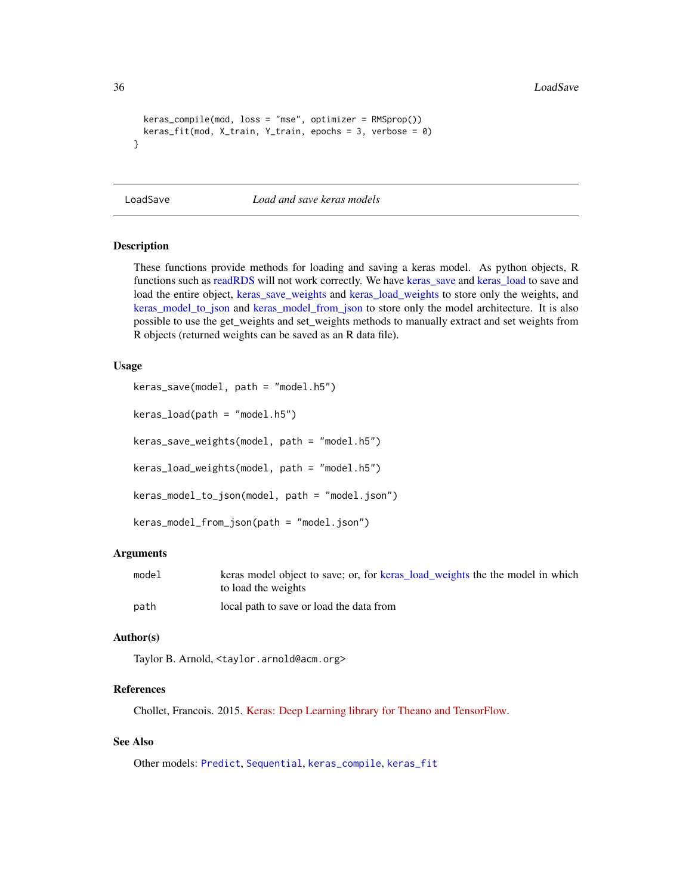36 LoadSave

```
keras_compile(mod, loss = "mse", optimizer = RMSprop())
 keras_fit(mod, X_train, Y_train, epochs = 3, verbose = 0)
}
```
<span id="page-35-1"></span>LoadSave *Load and save keras models*

### <span id="page-35-2"></span>Description

These functions provide methods for loading and saving a keras model. As python objects, R functions such as [readRDS](#page-0-0) will not work correctly. We have [keras\\_save](#page-35-2) and [keras\\_load](#page-35-2) to save and load the entire object, [keras\\_save\\_weights](#page-35-2) and [keras\\_load\\_weights](#page-35-2) to store only the weights, and [keras\\_model\\_to\\_json](#page-35-2) and [keras\\_model\\_from\\_json](#page-35-2) to store only the model architecture. It is also possible to use the get\_weights and set\_weights methods to manually extract and set weights from R objects (returned weights can be saved as an R data file).

#### Usage

```
keras_save(model, path = "model.h5")
keras_load(path = "model.h5")
keras_save_weights(model, path = "model.h5")
keras_load_weights(model, path = "model.h5")
keras_model_to_json(model, path = "model.json")
keras_model_from_json(path = "model.json")
```
### Arguments

| model | keras model object to save; or, for keras_load_weights the the model in which |
|-------|-------------------------------------------------------------------------------|
|       | to load the weights                                                           |
| path  | local path to save or load the data from                                      |

#### Author(s)

Taylor B. Arnold, <taylor.arnold@acm.org>

### References

Chollet, Francois. 2015. [Keras: Deep Learning library for Theano and TensorFlow.](https://keras.io/)

### See Also

Other models: [Predict](#page-48-1), [Sequential](#page-56-1), [keras\\_compile](#page-30-1), [keras\\_fit](#page-32-1)

<span id="page-35-0"></span>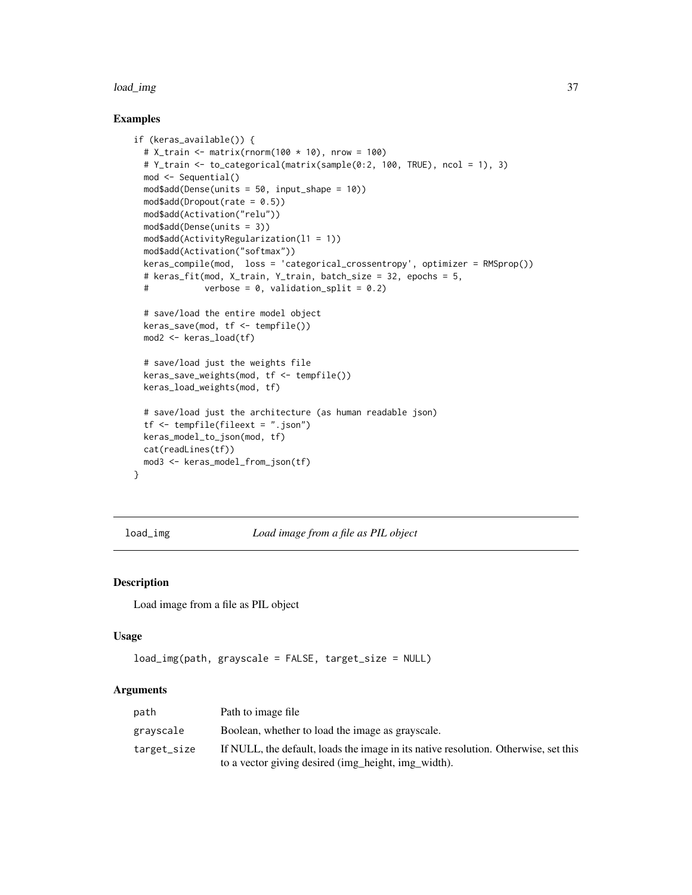#### <span id="page-36-0"></span>load\_img 37

#### Examples

```
if (keras_available()) {
 # X_t train \leq matrix(rnorm(100 * 10), nrow = 100)
 # Y_train <- to_categorical(matrix(sample(0:2, 100, TRUE), ncol = 1), 3)
 mod <- Sequential()
 mod$add(Dense(units = 50, input_shape = 10))
 mod$add(Dropout(rate = 0.5))
 mod$add(Activation("relu"))
 mod$add(Dense(units = 3))
 mod$add(ActivityRegularization(l1 = 1))
 mod$add(Activation("softmax"))
 keras_compile(mod, loss = 'categorical_crossentropy', optimizer = RMSprop())
 # keras_fit(mod, X_train, Y_train, batch_size = 32, epochs = 5,
 # verbose = 0, validation_split = 0.2)
 # save/load the entire model object
 keras_save(mod, tf <- tempfile())
 mod2 <- keras_load(tf)
 # save/load just the weights file
 keras_save_weights(mod, tf <- tempfile())
 keras_load_weights(mod, tf)
 # save/load just the architecture (as human readable json)
 tf <- tempfile(fileext = ".json")
 keras_model_to_json(mod, tf)
 cat(readLines(tf))
 mod3 <- keras_model_from_json(tf)
}
```
<span id="page-36-1"></span>load\_img *Load image from a file as PIL object*

#### Description

Load image from a file as PIL object

#### Usage

```
load_img(path, grayscale = FALSE, target_size = NULL)
```
### Arguments

| path        | Path to image file                                                                                                                         |
|-------------|--------------------------------------------------------------------------------------------------------------------------------------------|
| gravscale   | Boolean, whether to load the image as grayscale.                                                                                           |
| target_size | If NULL, the default, loads the image in its native resolution. Otherwise, set this<br>to a vector giving desired (img_height, img_width). |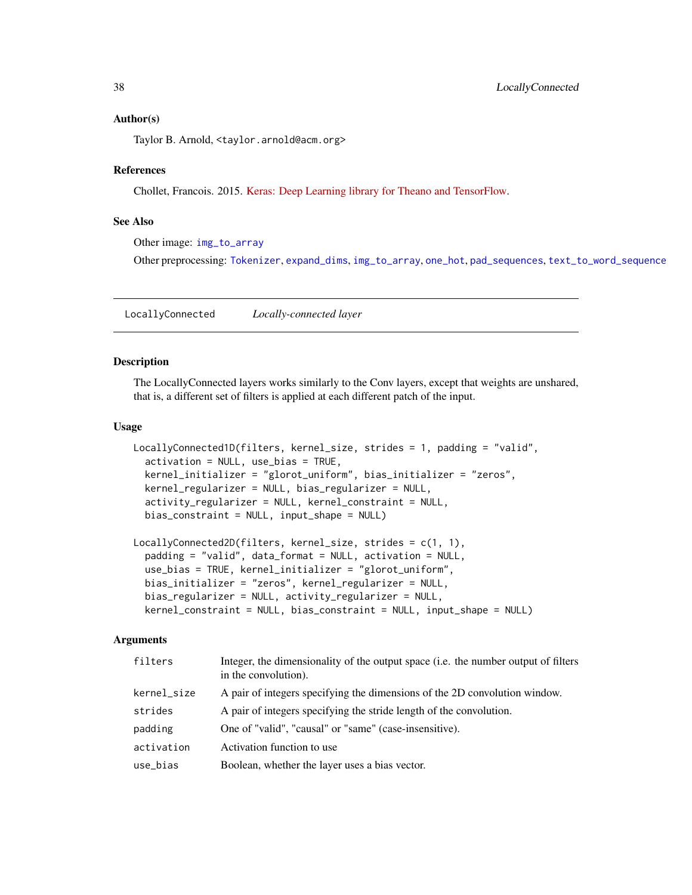#### <span id="page-37-0"></span>Author(s)

Taylor B. Arnold, <taylor.arnold@acm.org>

#### References

Chollet, Francois. 2015. [Keras: Deep Learning library for Theano and TensorFlow.](https://keras.io/)

#### See Also

Other image: [img\\_to\\_array](#page-26-1)

Other preprocessing: [Tokenizer](#page-59-1), [expand\\_dims](#page-22-1), [img\\_to\\_array](#page-26-1), [one\\_hot](#page-43-1), [pad\\_sequences](#page-46-1), [text\\_to\\_word\\_sequence](#page-59-2)

<span id="page-37-1"></span>LocallyConnected *Locally-connected layer*

#### Description

The LocallyConnected layers works similarly to the Conv layers, except that weights are unshared, that is, a different set of filters is applied at each different patch of the input.

#### Usage

```
LocallyConnected1D(filters, kernel_size, strides = 1, padding = "valid",
  activation = NULL, use_bias = TRUE,
  kernel_initializer = "glorot_uniform", bias_initializer = "zeros",
  kernel_regularizer = NULL, bias_regularizer = NULL,
  activity_regularizer = NULL, kernel_constraint = NULL,
  bias_constraint = NULL, input_shape = NULL)
LocallyConnected2D(filters, kernel_size, strides = c(1, 1),
  padding = "valid", data_format = NULL, activation = NULL,
  use_bias = TRUE, kernel_initializer = "glorot_uniform",
```

```
bias_initializer = "zeros", kernel_regularizer = NULL,
bias_regularizer = NULL, activity_regularizer = NULL,
kernel_constraint = NULL, bias_constraint = NULL, input_shape = NULL)
```
#### Arguments

| filters     | Integer, the dimensionality of the output space ( <i>i.e.</i> the number output of filters<br>in the convolution). |
|-------------|--------------------------------------------------------------------------------------------------------------------|
| kernel_size | A pair of integers specifying the dimensions of the 2D convolution window.                                         |
| strides     | A pair of integers specifying the stride length of the convolution.                                                |
| padding     | One of "valid", "causal" or "same" (case-insensitive).                                                             |
| activation  | Activation function to use                                                                                         |
| use_bias    | Boolean, whether the layer uses a bias vector.                                                                     |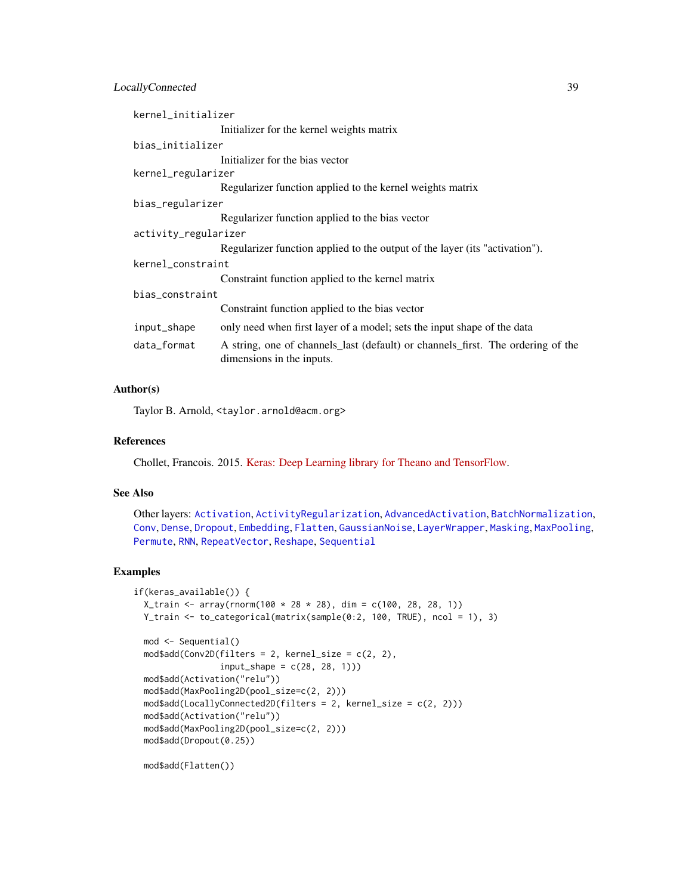### <span id="page-38-0"></span>LocallyConnected 39

| kernel_initializer   |                                                                                                              |
|----------------------|--------------------------------------------------------------------------------------------------------------|
|                      | Initializer for the kernel weights matrix                                                                    |
| bias_initializer     |                                                                                                              |
|                      | Initializer for the bias vector                                                                              |
| kernel_regularizer   |                                                                                                              |
|                      | Regularizer function applied to the kernel weights matrix                                                    |
| bias_regularizer     |                                                                                                              |
|                      | Regularizer function applied to the bias vector                                                              |
| activity_regularizer |                                                                                                              |
|                      | Regularizer function applied to the output of the layer (its "activation").                                  |
| kernel_constraint    |                                                                                                              |
|                      | Constraint function applied to the kernel matrix                                                             |
| bias constraint      |                                                                                                              |
|                      | Constraint function applied to the bias vector                                                               |
| input_shape          | only need when first layer of a model; sets the input shape of the data                                      |
| data_format          | A string, one of channels_last (default) or channels_first. The ordering of the<br>dimensions in the inputs. |

#### Author(s)

Taylor B. Arnold, <taylor.arnold@acm.org>

### References

Chollet, Francois. 2015. [Keras: Deep Learning library for Theano and TensorFlow.](https://keras.io/)

#### See Also

Other layers: [Activation](#page-2-1), [ActivityRegularization](#page-3-1), [AdvancedActivation](#page-4-1), [BatchNormalization](#page-8-1), [Conv](#page-10-1), [Dense](#page-17-1), [Dropout](#page-19-1), [Embedding](#page-21-1), [Flatten](#page-23-1), [GaussianNoise](#page-24-1), [LayerWrapper](#page-34-1), [Masking](#page-39-1), [MaxPooling](#page-40-1), [Permute](#page-47-1), [RNN](#page-54-1), [RepeatVector](#page-52-1), [Reshape](#page-53-1), [Sequential](#page-56-1)

### Examples

```
if(keras_available()) {
 X_train <- array(rnorm(100 * 28 * 28), dim = c(100, 28, 28, 1))
 Y_train <- to_categorical(matrix(sample(0:2, 100, TRUE), ncol = 1), 3)
 mod <- Sequential()
 mod$add(Conv2D(filters = 2, kernel_size = c(2, 2),
                 input_{shape} = c(28, 28, 1))mod$add(Activation("relu"))
 mod$add(MaxPooling2D(pool_size=c(2, 2)))
 mod$add(LocallyConnected2D(filters = 2, kernel_size = c(2, 2)))
 mod$add(Activation("relu"))
 mod$add(MaxPooling2D(pool_size=c(2, 2)))
 mod$add(Dropout(0.25))
```
mod\$add(Flatten())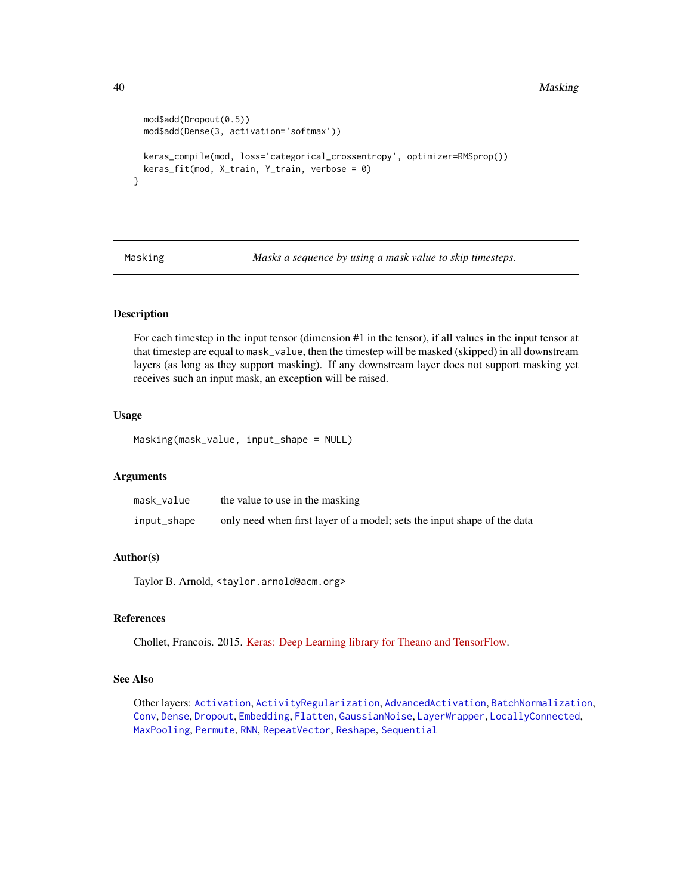#### 40 Masking

```
mod$add(Dropout(0.5))
 mod$add(Dense(3, activation='softmax'))
 keras_compile(mod, loss='categorical_crossentropy', optimizer=RMSprop())
 keras_fit(mod, X_train, Y_train, verbose = 0)
}
```
<span id="page-39-1"></span>Masking *Masks a sequence by using a mask value to skip timesteps.*

### Description

For each timestep in the input tensor (dimension #1 in the tensor), if all values in the input tensor at that timestep are equal to mask\_value, then the timestep will be masked (skipped) in all downstream layers (as long as they support masking). If any downstream layer does not support masking yet receives such an input mask, an exception will be raised.

### Usage

Masking(mask\_value, input\_shape = NULL)

### Arguments

| mask_value  | the value to use in the masking                                         |
|-------------|-------------------------------------------------------------------------|
| input_shape | only need when first layer of a model; sets the input shape of the data |

#### Author(s)

Taylor B. Arnold, <taylor.arnold@acm.org>

### References

Chollet, Francois. 2015. [Keras: Deep Learning library for Theano and TensorFlow.](https://keras.io/)

#### See Also

Other layers: [Activation](#page-2-1), [ActivityRegularization](#page-3-1), [AdvancedActivation](#page-4-1), [BatchNormalization](#page-8-1), [Conv](#page-10-1), [Dense](#page-17-1), [Dropout](#page-19-1), [Embedding](#page-21-1), [Flatten](#page-23-1), [GaussianNoise](#page-24-1), [LayerWrapper](#page-34-1), [LocallyConnected](#page-37-1), [MaxPooling](#page-40-1), [Permute](#page-47-1), [RNN](#page-54-1), [RepeatVector](#page-52-1), [Reshape](#page-53-1), [Sequential](#page-56-1)

<span id="page-39-0"></span>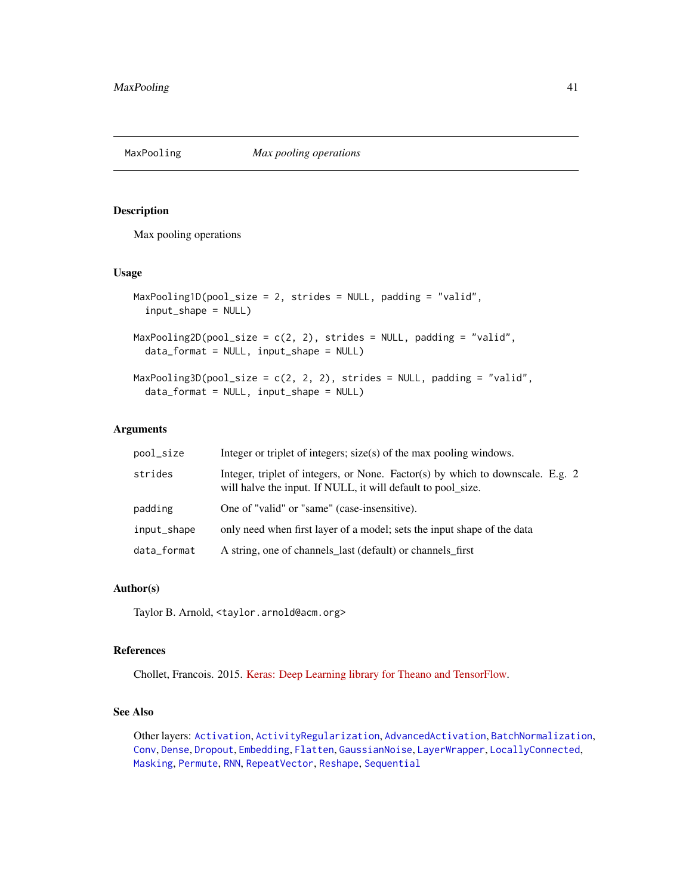<span id="page-40-1"></span><span id="page-40-0"></span>

### Description

Max pooling operations

### Usage

```
MaxPooling1D(pool_size = 2, strides = NULL, padding = "valid",
  input_shape = NULL)
MaxPooling2D(pool_size = c(2, 2), strides = NULL, padding = "valid",
  data_format = NULL, input_shape = NULL)
MaxPooling3D(pool_size = c(2, 2, 2), strides = NULL, padding = "valid",
  data_format = NULL, input_shape = NULL)
```
#### Arguments

| pool_size   | Integer or triplet of integers; size(s) of the max pooling windows.                                                                            |
|-------------|------------------------------------------------------------------------------------------------------------------------------------------------|
| strides     | Integer, triplet of integers, or None. Factor(s) by which to downscale. E.g. 2<br>will halve the input. If NULL, it will default to pool_size. |
| padding     | One of "valid" or "same" (case-insensitive).                                                                                                   |
| input_shape | only need when first layer of a model; sets the input shape of the data                                                                        |
| data_format | A string, one of channels_last (default) or channels_first                                                                                     |

#### Author(s)

Taylor B. Arnold, <taylor.arnold@acm.org>

#### References

Chollet, Francois. 2015. [Keras: Deep Learning library for Theano and TensorFlow.](https://keras.io/)

#### See Also

Other layers: [Activation](#page-2-1), [ActivityRegularization](#page-3-1), [AdvancedActivation](#page-4-1), [BatchNormalization](#page-8-1), [Conv](#page-10-1), [Dense](#page-17-1), [Dropout](#page-19-1), [Embedding](#page-21-1), [Flatten](#page-23-1), [GaussianNoise](#page-24-1), [LayerWrapper](#page-34-1), [LocallyConnected](#page-37-1), [Masking](#page-39-1), [Permute](#page-47-1), [RNN](#page-54-1), [RepeatVector](#page-52-1), [Reshape](#page-53-1), [Sequential](#page-56-1)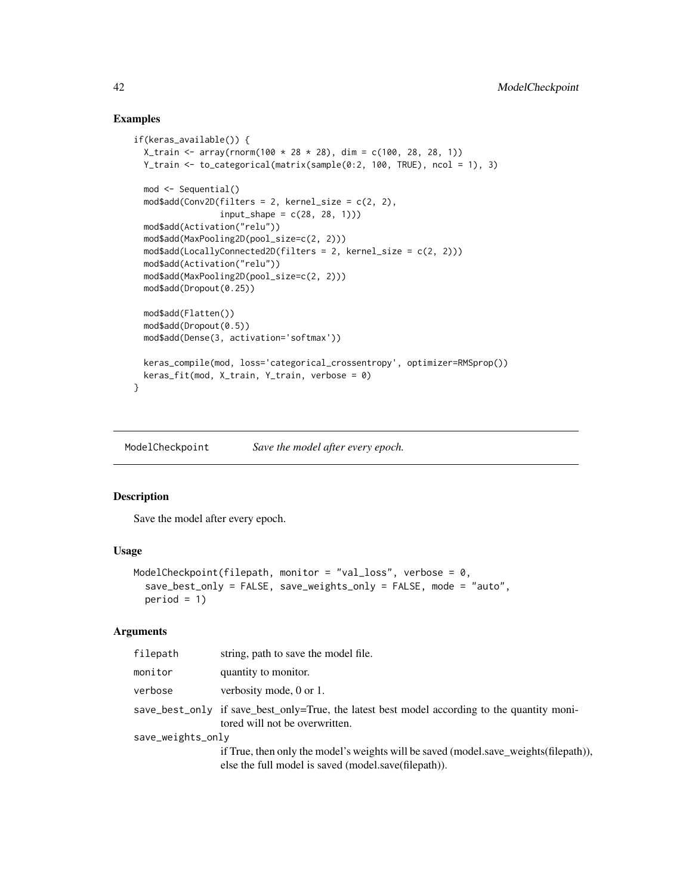#### Examples

```
if(keras_available()) {
 X_{\text{train}} < -array(rnorm(100 \times 28 \times 28), \text{dim} = c(100, 28, 28, 1))Y_train <- to_categorical(matrix(sample(0:2, 100, TRUE), ncol = 1), 3)
 mod <- Sequential()
 mod4add(Conv2D(filters = 2, kernel_size = c(2, 2),
                 input\_shape = c(28, 28, 1))mod$add(Activation("relu"))
 mod$add(MaxPooling2D(pool_size=c(2, 2)))
 mod$add(LocallyConnected2D(filters = 2, kernel_size = c(2, 2)))
 mod$add(Activation("relu"))
 mod$add(MaxPooling2D(pool_size=c(2, 2)))
 mod$add(Dropout(0.25))
 mod$add(Flatten())
 mod$add(Dropout(0.5))
 mod$add(Dense(3, activation='softmax'))
 keras_compile(mod, loss='categorical_crossentropy', optimizer=RMSprop())
 keras_fit(mod, X_train, Y_train, verbose = 0)
```
<span id="page-41-1"></span>ModelCheckpoint *Save the model after every epoch.*

### Description

}

Save the model after every epoch.

#### Usage

```
ModelCheckpoint(filepath, monitor = "val_loss", verbose = 0,
  save_best_only = FALSE, save_weights_only = FALSE, mode = "auto",
 period = 1)
```
#### **Arguments**

| filepath          | string, path to save the model file.                                                                                                         |  |
|-------------------|----------------------------------------------------------------------------------------------------------------------------------------------|--|
| monitor           | quantity to monitor.                                                                                                                         |  |
| verbose           | verbosity mode, 0 or 1.                                                                                                                      |  |
|                   | save_best_only if save_best_only=True, the latest best model according to the quantity moni-<br>tored will not be overwritten.               |  |
| save_weights_only |                                                                                                                                              |  |
|                   | if True, then only the model's weights will be saved (model.save_weights(filepath)),<br>else the full model is saved (model.save(filepath)). |  |

<span id="page-41-0"></span>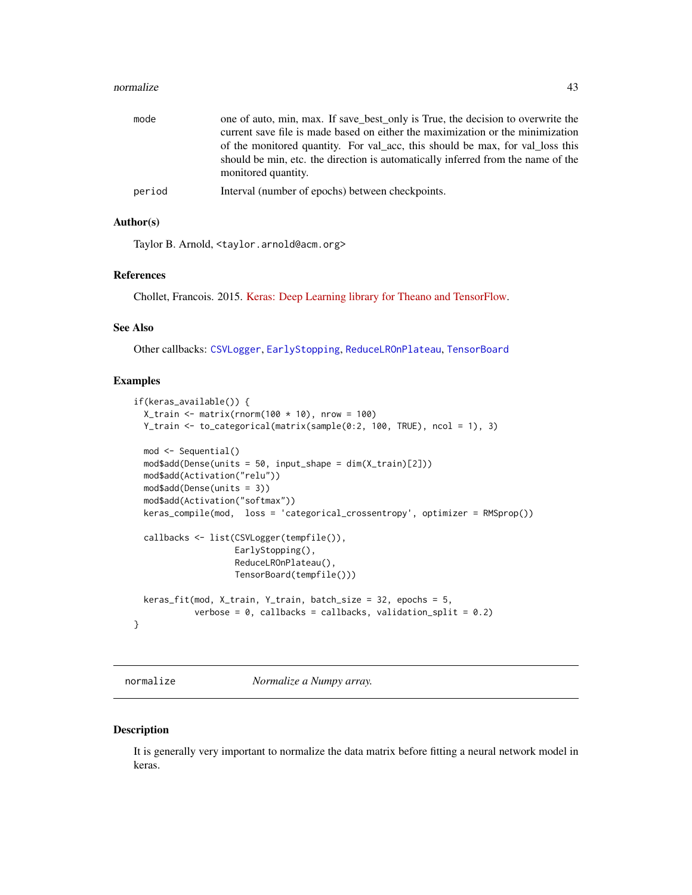#### <span id="page-42-0"></span>normalize the contract of the contract of the contract of the contract of the contract of the contract of the contract of the contract of the contract of the contract of the contract of the contract of the contract of the

| mode   | one of auto, min, max. If save_best_only is True, the decision to overwrite the<br>current save file is made based on either the maximization or the minimization<br>of the monitored quantity. For val acc, this should be max, for val loss this<br>should be min, etc. the direction is automatically inferred from the name of the<br>monitored quantity. |
|--------|---------------------------------------------------------------------------------------------------------------------------------------------------------------------------------------------------------------------------------------------------------------------------------------------------------------------------------------------------------------|
| period | Interval (number of epochs) between checkpoints.                                                                                                                                                                                                                                                                                                              |

#### Author(s)

Taylor B. Arnold, <taylor.arnold@acm.org>

### References

Chollet, Francois. 2015. [Keras: Deep Learning library for Theano and TensorFlow.](https://keras.io/)

#### See Also

Other callbacks: [CSVLogger](#page-14-1), [EarlyStopping](#page-20-1), [ReduceLROnPlateau](#page-50-1), [TensorBoard](#page-57-1)

### Examples

```
if(keras_available()) {
 X_train <- matrix(rnorm(100 * 10), nrow = 100)
 Y_train <- to_categorical(matrix(sample(0:2, 100, TRUE), ncol = 1), 3)
 mod <- Sequential()
 mod$add(Dense(units = 50, input_shape = dim(X_train)[2]))
 mod$add(Activation("relu"))
 mod$add(Dense(units = 3))
 mod$add(Activation("softmax"))
 keras_compile(mod, loss = 'categorical_crossentropy', optimizer = RMSprop())
 callbacks <- list(CSVLogger(tempfile()),
                    EarlyStopping(),
                    ReduceLROnPlateau(),
                    TensorBoard(tempfile()))
 keras_fit(mod, X_{\text{train}}, Y_{\text{train}}, batch_size = 32, epochs = 5,
            verbose = 0, callbacks = callbacks, validation_split = 0.2)
}
```
normalize *Normalize a Numpy array.*

#### Description

It is generally very important to normalize the data matrix before fitting a neural network model in keras.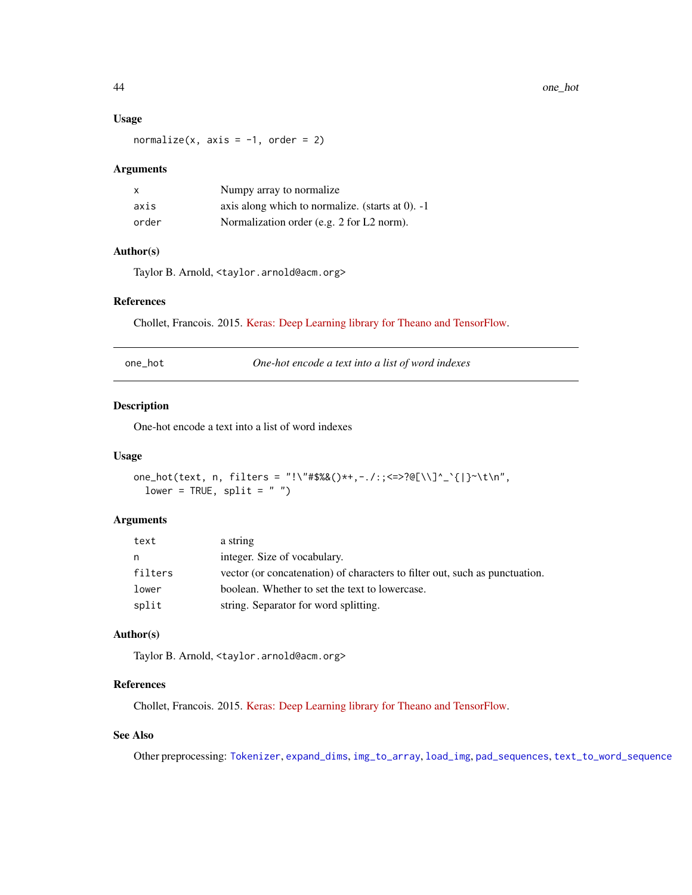### Usage

normalize(x,  $axis = -1$ , order = 2)

#### Arguments

| X     | Numpy array to normalize.                             |
|-------|-------------------------------------------------------|
| axis  | axis along which to normalize. (starts at $0$ ). $-1$ |
| order | Normalization order (e.g. 2 for L2 norm).             |

### Author(s)

Taylor B. Arnold, <taylor.arnold@acm.org>

### References

Chollet, Francois. 2015. [Keras: Deep Learning library for Theano and TensorFlow.](https://keras.io/)

<span id="page-43-1"></span>

| one hot | One-hot encode a text into a list of word indexes |
|---------|---------------------------------------------------|
|---------|---------------------------------------------------|

### Description

One-hot encode a text into a list of word indexes

#### Usage

```
one_hot(text, n, filters = "!\"#$%&()*+,-./:;<=>?@[\\]^_`{|}~\t\n",
 lower = TRUE, split = "")
```
#### Arguments

| text    | a string                                                                    |
|---------|-----------------------------------------------------------------------------|
| n       | integer. Size of vocabulary.                                                |
| filters | vector (or concatenation) of characters to filter out, such as punctuation. |
| lower   | boolean. Whether to set the text to lowercase.                              |
| split   | string. Separator for word splitting.                                       |

### Author(s)

Taylor B. Arnold, <taylor.arnold@acm.org>

### References

Chollet, Francois. 2015. [Keras: Deep Learning library for Theano and TensorFlow.](https://keras.io/)

### See Also

Other preprocessing: [Tokenizer](#page-59-1), [expand\\_dims](#page-22-1), [img\\_to\\_array](#page-26-1), [load\\_img](#page-36-1), [pad\\_sequences](#page-46-1), [text\\_to\\_word\\_sequence](#page-59-2)

<span id="page-43-0"></span>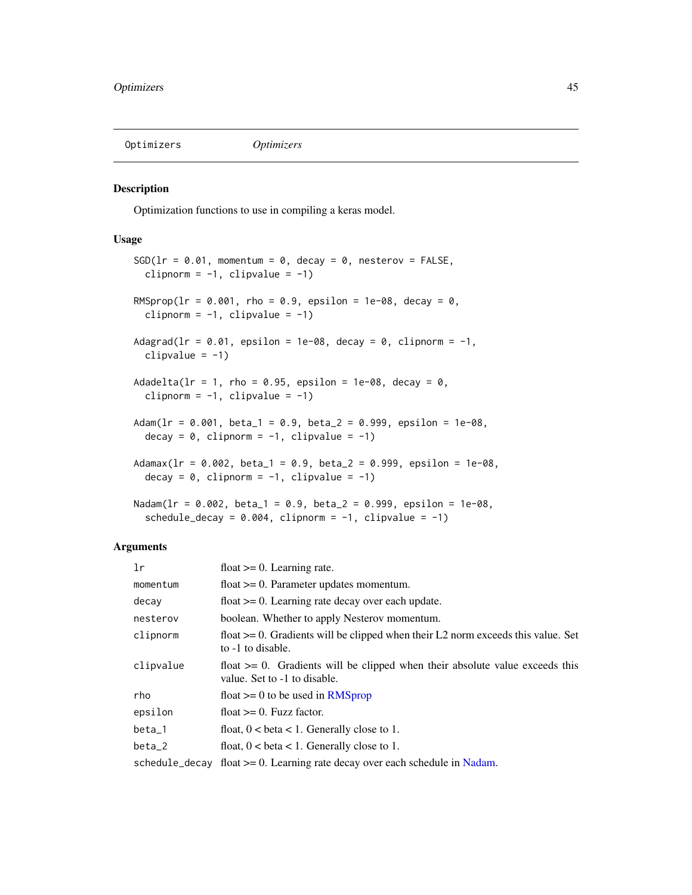<span id="page-44-1"></span><span id="page-44-0"></span>

#### <span id="page-44-2"></span>Description

Optimization functions to use in compiling a keras model.

#### Usage

```
SGD(1r = 0.01, momentum = 0, decay = 0, nesterov = FALSE,clipnorm = -1, clipvalue = -1)
RMSprop(lr = 0.001, rho = 0.9, epsilon = 1e-08, decay = 0,
 clipnorm = -1, clipvalue = -1)
Adagrad(lr = 0.01, epsilon = 1e-08, decay = 0, clipnorm = -1,
  clipvalue = -1)
Adadelta(lr = 1, rho = 0.95, epsilon = 1e-08, decay = 0,
  clipnorm = -1, clipvalue = -1)
Adam(lr = 0.001, beta_1 = 0.9, beta_2 = 0.999, epsilon = 1e-08,
  decay = 0, clipnorm = -1, clipvalue = -1)
Adamax(1r = 0.002, beta_1 = 0.9, beta_2 = 0.999, epsilon = 1e-08,
  decay = 0, clipnorm = -1, clipvalue = -1)
Nadam(lr = 0.002, beta_1 = 0.9, beta_2 = 0.999, epsilon = 1e-08,
  schedule_decay = 0.004, clipnorm = -1, clipvalue = -1)
```
### Arguments

| 1r        | float $>= 0$ . Learning rate.                                                                                     |
|-----------|-------------------------------------------------------------------------------------------------------------------|
| momentum  | float $\geq 0$ . Parameter updates momentum.                                                                      |
| decay     | float $\geq$ 0. Learning rate decay over each update.                                                             |
| nesterov  | boolean. Whether to apply Nesterov momentum.                                                                      |
| clipnorm  | float $\geq 0$ . Gradients will be clipped when their L2 norm exceeds this value. Set<br>to -1 to disable.        |
| clipvalue | float $\geq 0$ . Gradients will be clipped when their absolute value exceeds this<br>value. Set to -1 to disable. |
| rho       | float $\geq 0$ to be used in RMSprop                                                                              |
| epsilon   | float $>= 0$ . Fuzz factor.                                                                                       |
| $beta_1$  | float, $0 < \beta < 1$ . Generally close to 1.                                                                    |
| $beta_2$  | float, $0 < \beta < 1$ . Generally close to 1.                                                                    |
|           | schedule_decay float $>= 0$ . Learning rate decay over each schedule in Nadam.                                    |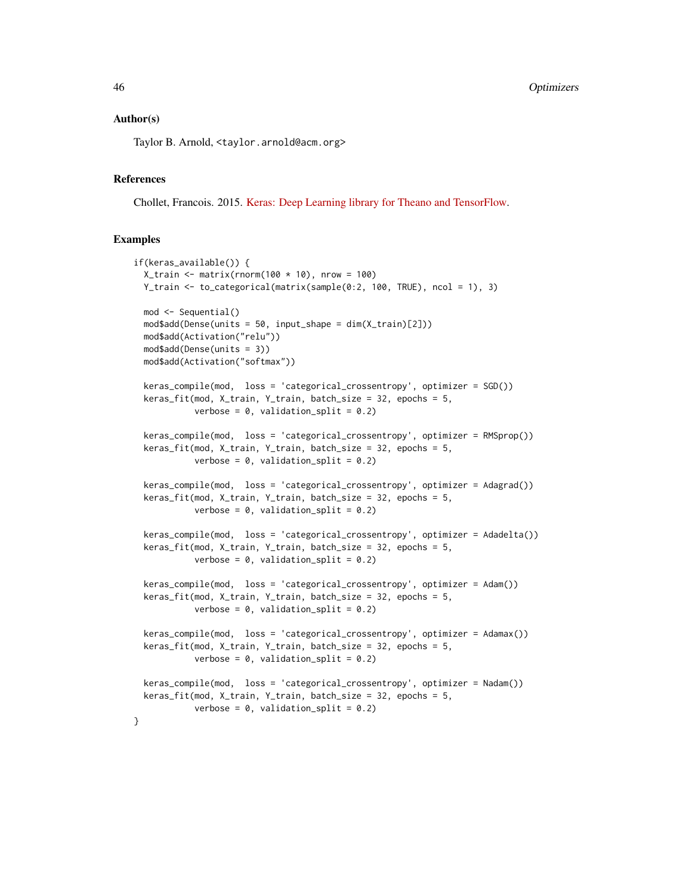#### Author(s)

Taylor B. Arnold, <taylor.arnold@acm.org>

### References

Chollet, Francois. 2015. [Keras: Deep Learning library for Theano and TensorFlow.](https://keras.io/)

#### Examples

```
if(keras_available()) {
 X_train <- matrix(rnorm(100 * 10), nrow = 100)
 Y_train <- to_categorical(matrix(sample(0:2, 100, TRUE), ncol = 1), 3)
 mod <- Sequential()
 mod$add(Dense(units = 50, input_shape = dim(X_train)[2]))
 mod$add(Activation("relu"))
 mod$add(Dense(units = 3))
 mod$add(Activation("softmax"))
 keras_compile(mod, loss = 'categorical_crossentropy', optimizer = SGD())
 keras_fit(mod, X_train, Y_train, batch_size = 32, epochs = 5,
           verbose = 0, validation_split = 0.2)
 keras_compile(mod, loss = 'categorical_crossentropy', optimizer = RMSprop())
 keras_fit(mod, X_train, Y_train, batch_size = 32, epochs = 5,
           verbose = 0, validation_split = 0.2)
 keras_compile(mod, loss = 'categorical_crossentropy', optimizer = Adagrad())
 keras_fit(mod, X_train, Y_train, batch_size = 32, epochs = 5,
           verbose = 0, validation_split = 0.2)
 keras_compile(mod, loss = 'categorical_crossentropy', optimizer = Adadelta())
 keras_fit(mod, X_train, Y_train, batch_size = 32, epochs = 5,
           verbose = 0, validation_split = 0.2)
 keras_compile(mod, loss = 'categorical_crossentropy', optimizer = Adam())
 keras_fit(mod, X_train, Y_train, batch_size = 32, epochs = 5,
           verbose = 0, validation_split = 0.2)
 keras_compile(mod, loss = 'categorical_crossentropy', optimizer = Adamax())
 keras_fit(mod, X_train, Y_train, batch_size = 32, epochs = 5,
           verbose = 0, validation_split = 0.2)
 keras_compile(mod, loss = 'categorical_crossentropy', optimizer = Nadam())
 keras_fit(mod, X_train, Y_train, batch_size = 32, epochs = 5,
           verbose = 0, validation_split = 0.2)
}
```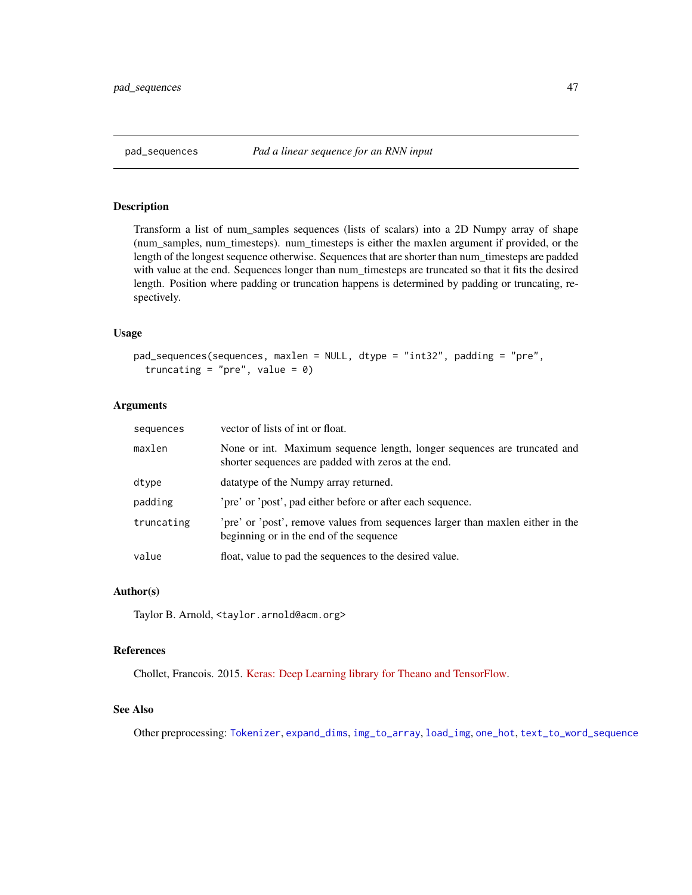### <span id="page-46-1"></span><span id="page-46-0"></span>Description

Transform a list of num\_samples sequences (lists of scalars) into a 2D Numpy array of shape (num\_samples, num\_timesteps). num\_timesteps is either the maxlen argument if provided, or the length of the longest sequence otherwise. Sequences that are shorter than num\_timesteps are padded with value at the end. Sequences longer than num\_timesteps are truncated so that it fits the desired length. Position where padding or truncation happens is determined by padding or truncating, respectively.

#### Usage

```
pad_sequences(sequences, maxlen = NULL, dtype = "int32", padding = "pre",
  truncating = "pre", value = \theta)
```
#### Arguments

| sequences  | vector of lists of int or float.                                                                                                |
|------------|---------------------------------------------------------------------------------------------------------------------------------|
| maxlen     | None or int. Maximum sequence length, longer sequences are truncated and<br>shorter sequences are padded with zeros at the end. |
| dtype      | datatype of the Numpy array returned.                                                                                           |
| padding    | 'pre' or 'post', pad either before or after each sequence.                                                                      |
| truncating | pre' or 'post', remove values from sequences larger than maxlen either in the<br>beginning or in the end of the sequence        |
| value      | float, value to pad the sequences to the desired value.                                                                         |

#### Author(s)

Taylor B. Arnold, <taylor.arnold@acm.org>

#### References

Chollet, Francois. 2015. [Keras: Deep Learning library for Theano and TensorFlow.](https://keras.io/)

#### See Also

Other preprocessing: [Tokenizer](#page-59-1), [expand\\_dims](#page-22-1), [img\\_to\\_array](#page-26-1), [load\\_img](#page-36-1), [one\\_hot](#page-43-1), [text\\_to\\_word\\_sequence](#page-59-2)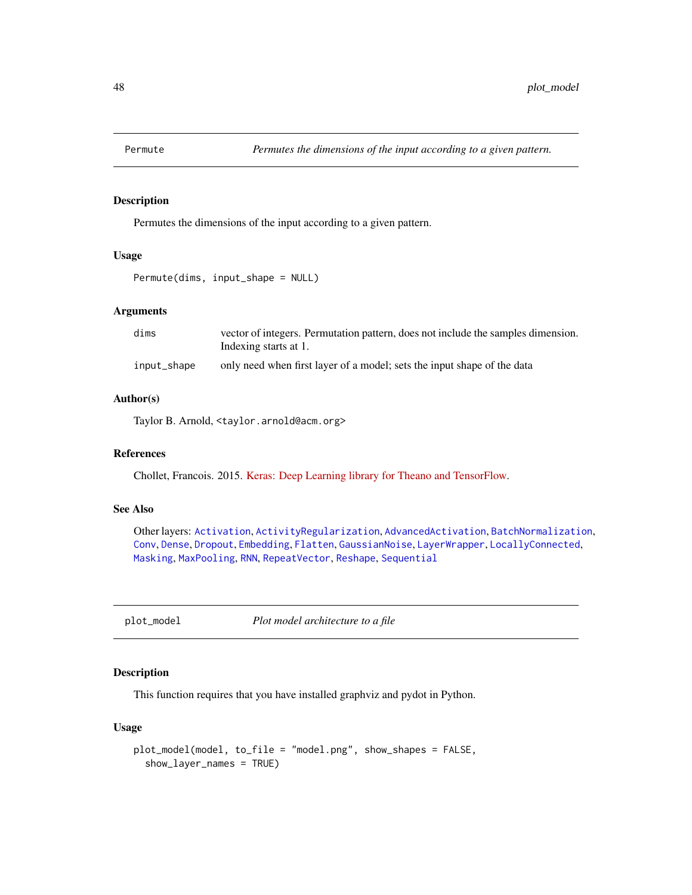<span id="page-47-1"></span><span id="page-47-0"></span>

### Description

Permutes the dimensions of the input according to a given pattern.

#### Usage

Permute(dims, input\_shape = NULL)

### Arguments

| dims        | vector of integers. Permutation pattern, does not include the samples dimension.<br>Indexing starts at 1. |
|-------------|-----------------------------------------------------------------------------------------------------------|
| input_shape | only need when first layer of a model; sets the input shape of the data                                   |

#### Author(s)

Taylor B. Arnold, <taylor.arnold@acm.org>

### References

Chollet, Francois. 2015. [Keras: Deep Learning library for Theano and TensorFlow.](https://keras.io/)

### See Also

Other layers: [Activation](#page-2-1), [ActivityRegularization](#page-3-1), [AdvancedActivation](#page-4-1), [BatchNormalization](#page-8-1), [Conv](#page-10-1), [Dense](#page-17-1), [Dropout](#page-19-1), [Embedding](#page-21-1), [Flatten](#page-23-1), [GaussianNoise](#page-24-1), [LayerWrapper](#page-34-1), [LocallyConnected](#page-37-1), [Masking](#page-39-1), [MaxPooling](#page-40-1), [RNN](#page-54-1), [RepeatVector](#page-52-1), [Reshape](#page-53-1), [Sequential](#page-56-1)

plot\_model *Plot model architecture to a file*

### Description

This function requires that you have installed graphviz and pydot in Python.

#### Usage

```
plot_model(model, to_file = "model.png", show_shapes = FALSE,
  show_layer_names = TRUE)
```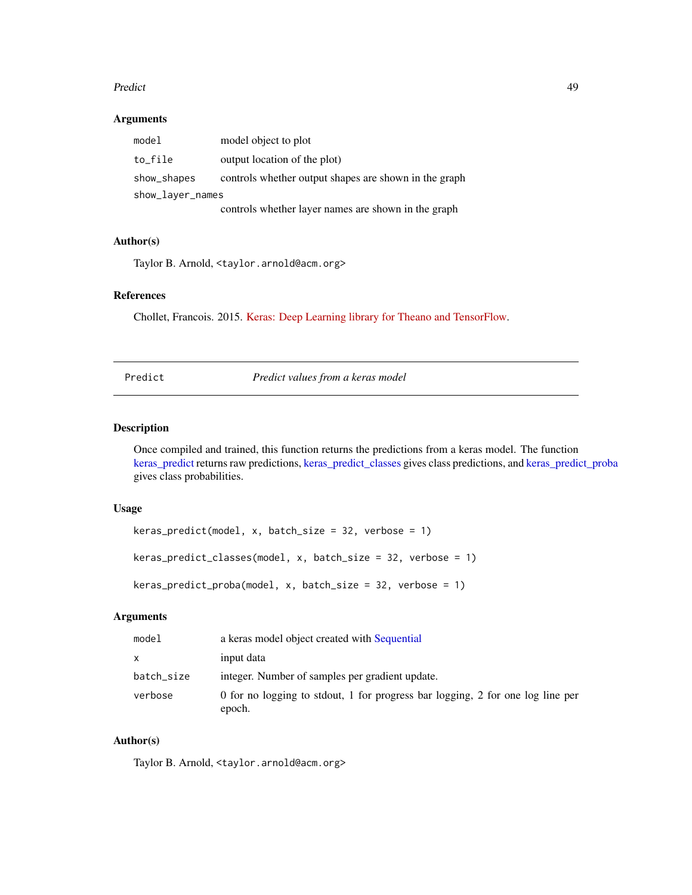#### <span id="page-48-0"></span>Predict **Assets** 2008 **Predict** 49

### Arguments

| model            | model object to plot                                  |  |
|------------------|-------------------------------------------------------|--|
| to_file          | output location of the plot)                          |  |
| show_shapes      | controls whether output shapes are shown in the graph |  |
| show_layer_names |                                                       |  |
|                  | controls whether layer names are shown in the graph   |  |

### Author(s)

Taylor B. Arnold, <taylor.arnold@acm.org>

### References

Chollet, Francois. 2015. [Keras: Deep Learning library for Theano and TensorFlow.](https://keras.io/)

<span id="page-48-1"></span>

Predict *Predict values from a keras model*

### <span id="page-48-2"></span>Description

Once compiled and trained, this function returns the predictions from a keras model. The function [keras\\_predict](#page-48-2) returns raw predictions, [keras\\_predict\\_classes](#page-48-2) gives class predictions, and [keras\\_predict\\_proba](#page-48-2) gives class probabilities.

### Usage

```
keras\_predict(model, x, batch_size = 32, verbose = 1)keras_predict_classes(model, x, batch_size = 32, verbose = 1)
keras_predict_proba(model, x, batch_size = 32, verbose = 1)
```
### Arguments

| model      | a keras model object created with Sequential                                             |
|------------|------------------------------------------------------------------------------------------|
| X.         | input data                                                                               |
| batch_size | integer. Number of samples per gradient update.                                          |
| verbose    | 0 for no logging to stdout, 1 for progress bar logging, 2 for one log line per<br>epoch. |

### Author(s)

Taylor B. Arnold, <taylor.arnold@acm.org>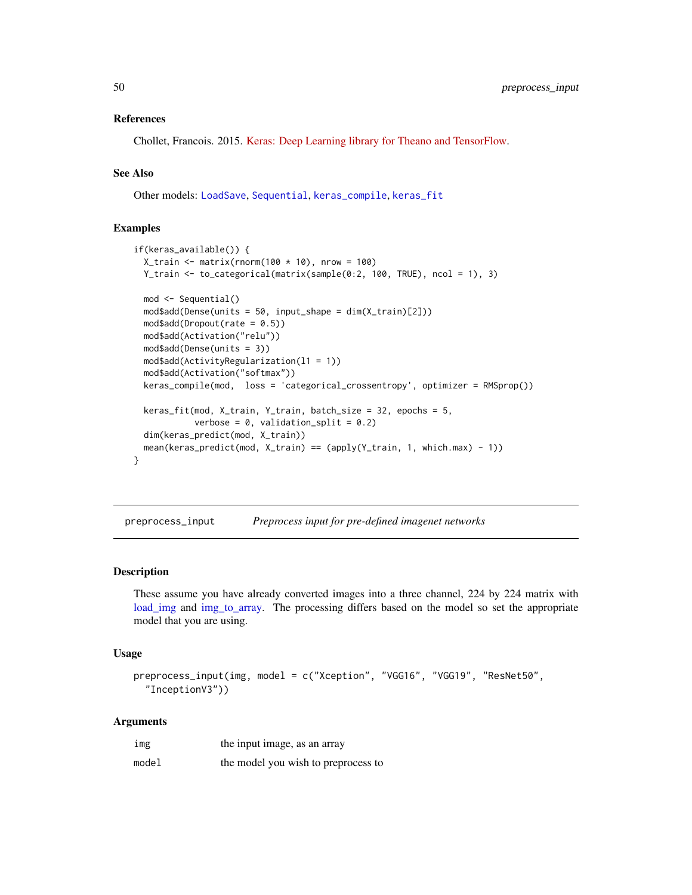#### <span id="page-49-0"></span>References

Chollet, Francois. 2015. [Keras: Deep Learning library for Theano and TensorFlow.](https://keras.io/)

### See Also

Other models: [LoadSave](#page-35-1), [Sequential](#page-56-1), [keras\\_compile](#page-30-1), [keras\\_fit](#page-32-1)

### Examples

```
if(keras_available()) {
 X_train <- matrix(rnorm(100 * 10), nrow = 100)
 Y_train <- to_categorical(matrix(sample(0:2, 100, TRUE), ncol = 1), 3)
 mod <- Sequential()
 mod$add(Dense(units = 50, input_shape = dim(X_train)[2]))
 mod$add(Dropout(rate = 0.5))
 mod$add(Activation("relu"))
 mod$add(Dense(units = 3))
 mod$add(ActivityRegularization(l1 = 1))
 mod$add(Activation("softmax"))
 keras_compile(mod, loss = 'categorical_crossentropy', optimizer = RMSprop())
 keras_fit(mod, X_train, Y_train, batch_size = 32, epochs = 5,
            verbose = 0, validation_split = 0.2)
 dim(keras_predict(mod, X_train))
 mean(keras_predict(mod, X_train) == (apply(Y_train, 1, which.max) - 1))
}
```
preprocess\_input *Preprocess input for pre-defined imagenet networks*

#### Description

These assume you have already converted images into a three channel, 224 by 224 matrix with [load\\_img](#page-36-1) and [img\\_to\\_array.](#page-26-1) The processing differs based on the model so set the appropriate model that you are using.

#### Usage

```
preprocess_input(img, model = c("Xception", "VGG16", "VGG19", "ResNet50",
  "InceptionV3"))
```
#### Arguments

| img   | the input image, as an array        |
|-------|-------------------------------------|
| model | the model you wish to preprocess to |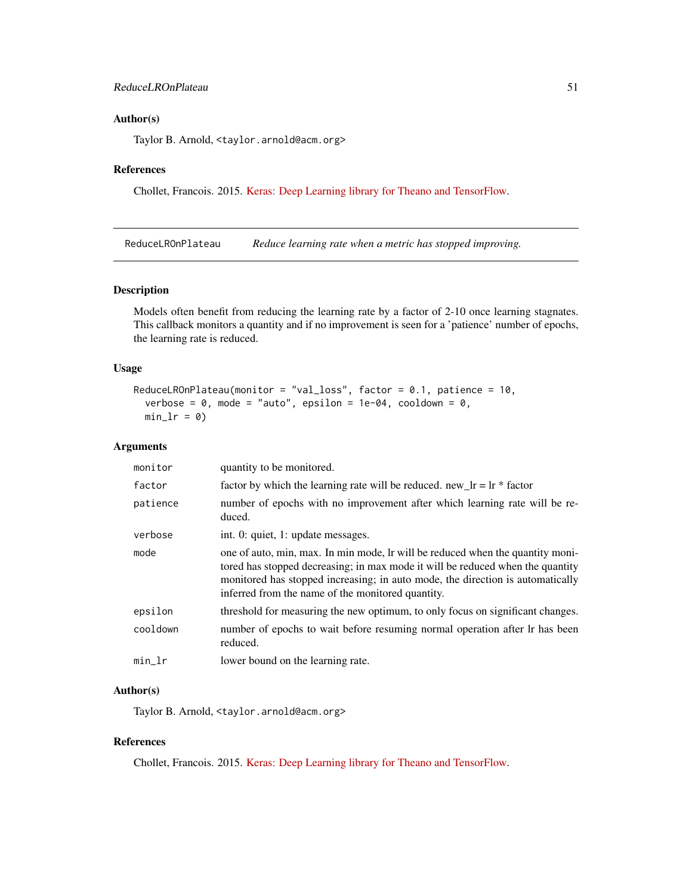### <span id="page-50-0"></span>Author(s)

Taylor B. Arnold, <taylor.arnold@acm.org>

#### References

Chollet, Francois. 2015. [Keras: Deep Learning library for Theano and TensorFlow.](https://keras.io/)

<span id="page-50-1"></span>ReduceLROnPlateau *Reduce learning rate when a metric has stopped improving.*

#### Description

Models often benefit from reducing the learning rate by a factor of 2-10 once learning stagnates. This callback monitors a quantity and if no improvement is seen for a 'patience' number of epochs, the learning rate is reduced.

### Usage

```
ReduceLROnPlateau(monitor = "val_loss", factor = 0.1, patience = 10,
  verbose = 0, mode = "auto", epsilon = 1e-04, cooldown = 0,
 min_l = 0
```
### Arguments

| monitor  | quantity to be monitored.                                                                                                                                                                                                                                                                               |
|----------|---------------------------------------------------------------------------------------------------------------------------------------------------------------------------------------------------------------------------------------------------------------------------------------------------------|
| factor   | factor by which the learning rate will be reduced. new_lr = $\ln *$ factor                                                                                                                                                                                                                              |
| patience | number of epochs with no improvement after which learning rate will be re-<br>duced.                                                                                                                                                                                                                    |
| verbose  | int. 0: quiet, 1: update messages.                                                                                                                                                                                                                                                                      |
| mode     | one of auto, min, max. In min mode, Ir will be reduced when the quantity moni-<br>tored has stopped decreasing; in max mode it will be reduced when the quantity<br>monitored has stopped increasing; in auto mode, the direction is automatically<br>inferred from the name of the monitored quantity. |
| epsilon  | threshold for measuring the new optimum, to only focus on significant changes.                                                                                                                                                                                                                          |
| cooldown | number of epochs to wait before resuming normal operation after lr has been<br>reduced.                                                                                                                                                                                                                 |
| $min_l$  | lower bound on the learning rate.                                                                                                                                                                                                                                                                       |

### Author(s)

Taylor B. Arnold, <taylor.arnold@acm.org>

### References

Chollet, Francois. 2015. [Keras: Deep Learning library for Theano and TensorFlow.](https://keras.io/)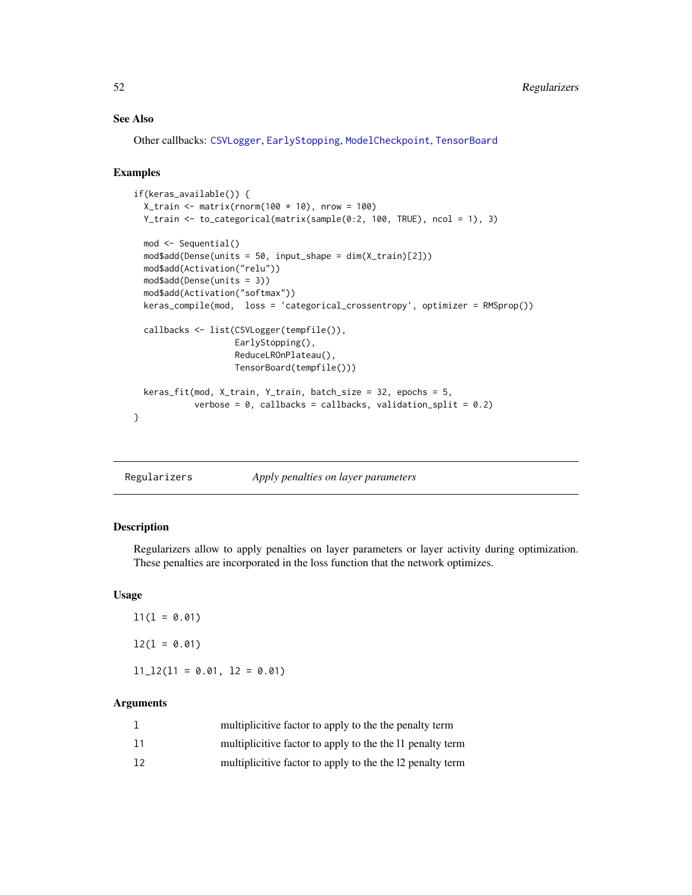### See Also

Other callbacks: [CSVLogger](#page-14-1), [EarlyStopping](#page-20-1), [ModelCheckpoint](#page-41-1), [TensorBoard](#page-57-1)

#### Examples

```
if(keras_available()) {
 X_train <- matrix(rnorm(100 * 10), nrow = 100)
 Y_train <- to_categorical(matrix(sample(0:2, 100, TRUE), ncol = 1), 3)
 mod <- Sequential()
 mod$add(Dense(units = 50, input_shape = dim(X_train)[2]))
 mod$add(Activation("relu"))
 mod$add(Dense(units = 3))
 mod$add(Activation("softmax"))
 keras_compile(mod, loss = 'categorical_crossentropy', optimizer = RMSprop())
 callbacks <- list(CSVLogger(tempfile()),
                    EarlyStopping(),
                    ReduceLROnPlateau(),
                    TensorBoard(tempfile()))
 keras_fit(mod, X_train, Y_train, batch_size = 32, epochs = 5,
            verbose = 0, callbacks = callbacks, validation_split = 0.2)
}
```
Regularizers *Apply penalties on layer parameters*

#### Description

Regularizers allow to apply penalties on layer parameters or layer activity during optimization. These penalties are incorporated in the loss function that the network optimizes.

#### Usage

 $11(1 = 0.01)$  $l2(1 = 0.01)$ 

 $11\_12(11 = 0.01, 12 = 0.01)$ 

### Arguments

|    | multiplicitive factor to apply to the the penalty term    |
|----|-----------------------------------------------------------|
| 11 | multiplicitive factor to apply to the the 11 penalty term |
| 12 | multiplicitive factor to apply to the the 12 penalty term |

<span id="page-51-0"></span>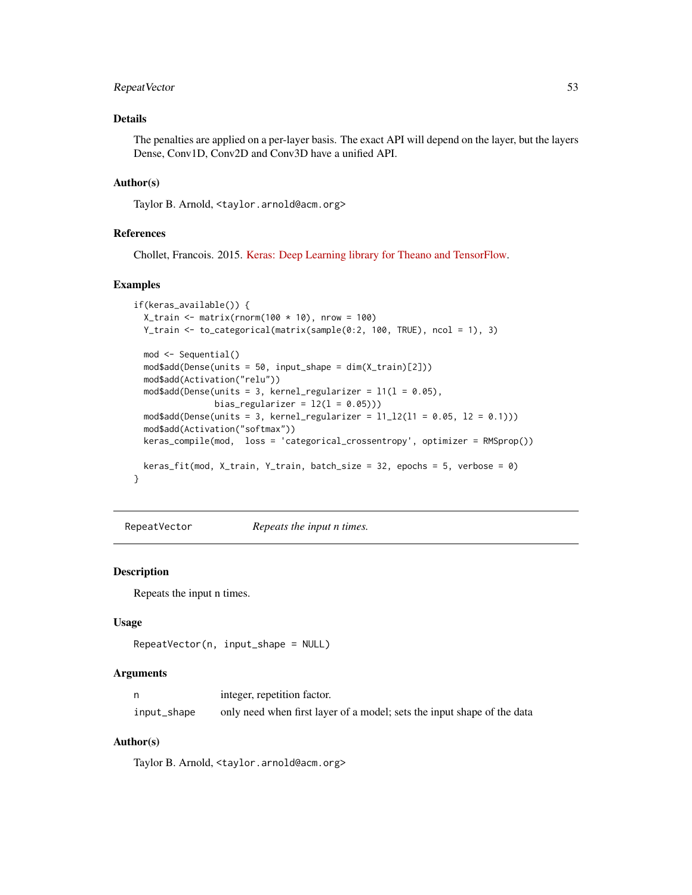### <span id="page-52-0"></span>RepeatVector 53

### Details

The penalties are applied on a per-layer basis. The exact API will depend on the layer, but the layers Dense, Conv1D, Conv2D and Conv3D have a unified API.

#### Author(s)

Taylor B. Arnold, <taylor.arnold@acm.org>

#### References

Chollet, Francois. 2015. [Keras: Deep Learning library for Theano and TensorFlow.](https://keras.io/)

### Examples

```
if(keras_available()) {
 X_train <- matrix(rnorm(100 * 10), nrow = 100)
 Y_train <- to_categorical(matrix(sample(0:2, 100, TRUE), ncol = 1), 3)
 mod <- Sequential()
 mod$add(Dense(units = 50, input_shape = dim(X_train)[2]))
 mod$add(Activation("relu"))
 mod4add(Dense(units = 3, kernel_regularizer = 11(1 = 0.05),
               bias_regularizer = 12(1 = 0.05))mod$add(Dense(units = 3, kernel_regularizer = 11_12(11 = 0.05, 12 = 0.1)))mod$add(Activation("softmax"))
 keras_compile(mod, loss = 'categorical_crossentropy', optimizer = RMSprop())
 keras_fit(mod, X_train, Y_train, batch_size = 32, epochs = 5, verbose = 0)
}
```
<span id="page-52-1"></span>RepeatVector *Repeats the input n times.*

#### Description

Repeats the input n times.

#### Usage

```
RepeatVector(n, input_shape = NULL)
```
#### Arguments

|             | integer, repetition factor.                                             |
|-------------|-------------------------------------------------------------------------|
| input_shape | only need when first layer of a model; sets the input shape of the data |

#### Author(s)

Taylor B. Arnold, <taylor.arnold@acm.org>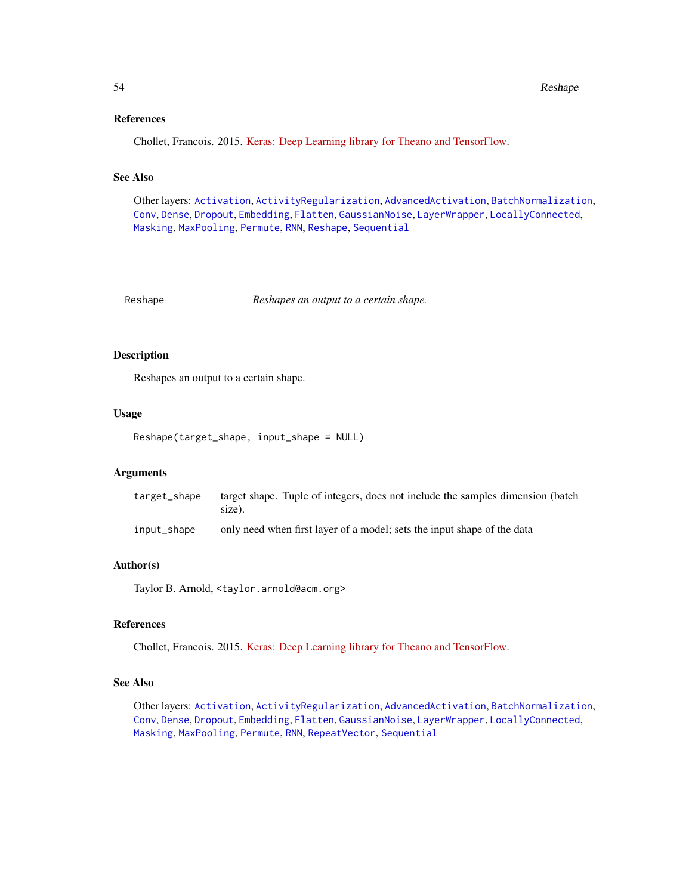#### References

Chollet, Francois. 2015. [Keras: Deep Learning library for Theano and TensorFlow.](https://keras.io/)

### See Also

Other layers: [Activation](#page-2-1), [ActivityRegularization](#page-3-1), [AdvancedActivation](#page-4-1), [BatchNormalization](#page-8-1), [Conv](#page-10-1), [Dense](#page-17-1), [Dropout](#page-19-1), [Embedding](#page-21-1), [Flatten](#page-23-1), [GaussianNoise](#page-24-1), [LayerWrapper](#page-34-1), [LocallyConnected](#page-37-1), [Masking](#page-39-1), [MaxPooling](#page-40-1), [Permute](#page-47-1), [RNN](#page-54-1), [Reshape](#page-53-1), [Sequential](#page-56-1)

<span id="page-53-1"></span>Reshape *Reshapes an output to a certain shape.*

### Description

Reshapes an output to a certain shape.

#### Usage

Reshape(target\_shape, input\_shape = NULL)

### Arguments

| target_shape | target shape. Tuple of integers, does not include the samples dimension (batch<br>size). |
|--------------|------------------------------------------------------------------------------------------|
| input_shape  | only need when first layer of a model; sets the input shape of the data                  |

#### Author(s)

Taylor B. Arnold, <taylor.arnold@acm.org>

### References

Chollet, Francois. 2015. [Keras: Deep Learning library for Theano and TensorFlow.](https://keras.io/)

#### See Also

Other layers: [Activation](#page-2-1), [ActivityRegularization](#page-3-1), [AdvancedActivation](#page-4-1), [BatchNormalization](#page-8-1), [Conv](#page-10-1), [Dense](#page-17-1), [Dropout](#page-19-1), [Embedding](#page-21-1), [Flatten](#page-23-1), [GaussianNoise](#page-24-1), [LayerWrapper](#page-34-1), [LocallyConnected](#page-37-1), [Masking](#page-39-1), [MaxPooling](#page-40-1), [Permute](#page-47-1), [RNN](#page-54-1), [RepeatVector](#page-52-1), [Sequential](#page-56-1)

<span id="page-53-0"></span>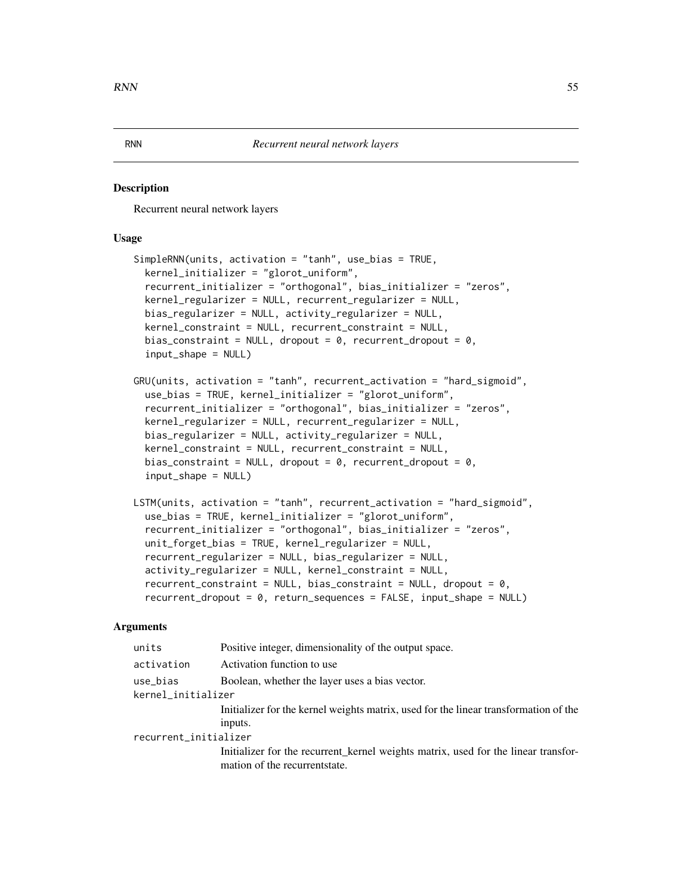#### <span id="page-54-1"></span><span id="page-54-0"></span>**Description**

Recurrent neural network layers

### Usage

```
SimpleRNN(units, activation = "tanh", use_bias = TRUE,
 kernel_initializer = "glorot_uniform",
  recurrent_initializer = "orthogonal", bias_initializer = "zeros",
 kernel_regularizer = NULL, recurrent_regularizer = NULL,
 bias_regularizer = NULL, activity_regularizer = NULL,
  kernel_constraint = NULL, recurrent_constraint = NULL,
  bias_constraint = NULL, dropout = 0, recurrent_dropout = 0,
  input_shape = NULL)
GRU(units, activation = "tanh", recurrent_activation = "hard_sigmoid",
  use_bias = TRUE, kernel_initializer = "glorot_uniform",
  recurrent_initializer = "orthogonal", bias_initializer = "zeros",
 kernel_regularizer = NULL, recurrent_regularizer = NULL,
  bias_regularizer = NULL, activity_regularizer = NULL,
  kernel_constraint = NULL, recurrent_constraint = NULL,
  bias_constraint = NULL, dropout = 0, recurrent_dropout = 0,
  input_shape = NULL)
LSTM(units, activation = "tanh", recurrent_activation = "hard_sigmoid",
  use_bias = TRUE, kernel_initializer = "glorot_uniform",
  recurrent_initializer = "orthogonal", bias_initializer = "zeros",
  unit_forget_bias = TRUE, kernel_regularizer = NULL,
  recurrent_regularizer = NULL, bias_regularizer = NULL,
  activity_regularizer = NULL, kernel_constraint = NULL,
  recurrent\_constraint = NULL, bias\_constraint = NULL, dropout = 0,recurrent_dropout = 0, return_sequences = FALSE, input_shape = NULL)
```
### Arguments

| units                 | Positive integer, dimensionality of the output space.                                |
|-----------------------|--------------------------------------------------------------------------------------|
| activation            | Activation function to use                                                           |
| use_bias              | Boolean, whether the layer uses a bias vector.                                       |
| kernel_initializer    |                                                                                      |
|                       | Initializer for the kernel weights matrix, used for the linear transformation of the |
|                       | inputs.                                                                              |
| recurrent_initializer |                                                                                      |
|                       | Initializer for the recurrent kernel weights matrix, used for the linear transfor-   |
|                       | mation of the recurrent state.                                                       |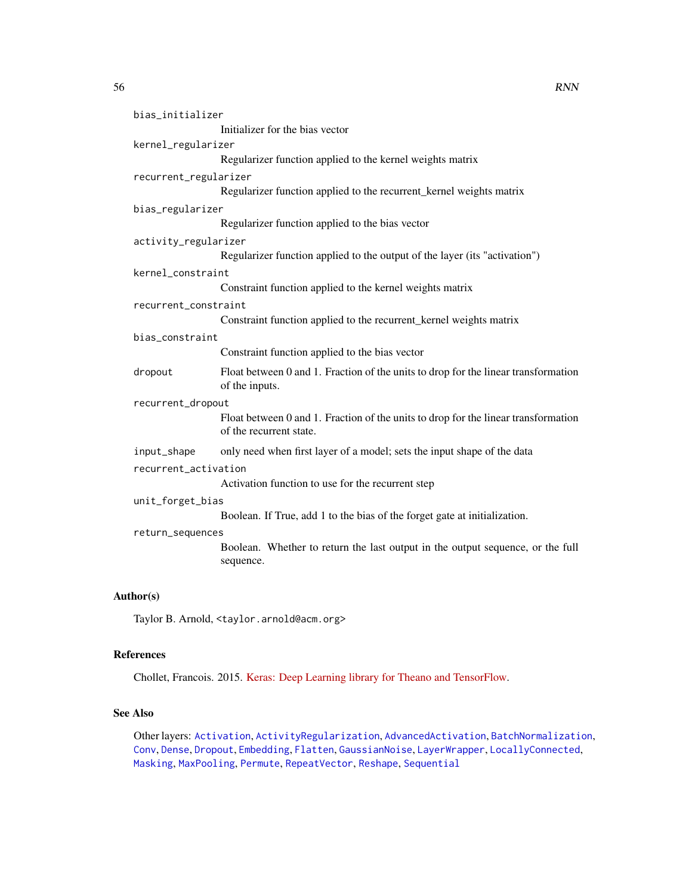<span id="page-55-0"></span>

| bias_initializer      |                                                                                                               |
|-----------------------|---------------------------------------------------------------------------------------------------------------|
|                       | Initializer for the bias vector                                                                               |
| kernel_regularizer    |                                                                                                               |
|                       | Regularizer function applied to the kernel weights matrix                                                     |
| recurrent_regularizer |                                                                                                               |
|                       | Regularizer function applied to the recurrent_kernel weights matrix                                           |
| bias_regularizer      |                                                                                                               |
|                       | Regularizer function applied to the bias vector                                                               |
| activity_regularizer  |                                                                                                               |
|                       | Regularizer function applied to the output of the layer (its "activation")                                    |
| kernel_constraint     |                                                                                                               |
|                       | Constraint function applied to the kernel weights matrix                                                      |
| recurrent_constraint  |                                                                                                               |
|                       | Constraint function applied to the recurrent_kernel weights matrix                                            |
| bias_constraint       |                                                                                                               |
|                       | Constraint function applied to the bias vector                                                                |
| dropout               | Float between 0 and 1. Fraction of the units to drop for the linear transformation<br>of the inputs.          |
| recurrent_dropout     |                                                                                                               |
|                       | Float between 0 and 1. Fraction of the units to drop for the linear transformation<br>of the recurrent state. |
| input_shape           | only need when first layer of a model; sets the input shape of the data                                       |
| recurrent_activation  |                                                                                                               |
|                       | Activation function to use for the recurrent step                                                             |
| unit_forget_bias      |                                                                                                               |
|                       | Boolean. If True, add 1 to the bias of the forget gate at initialization.                                     |
| return_sequences      |                                                                                                               |

Boolean. Whether to return the last output in the output sequence, or the full sequence.

### Author(s)

Taylor B. Arnold, <taylor.arnold@acm.org>

### References

Chollet, Francois. 2015. [Keras: Deep Learning library for Theano and TensorFlow.](https://keras.io/)

### See Also

Other layers: [Activation](#page-2-1), [ActivityRegularization](#page-3-1), [AdvancedActivation](#page-4-1), [BatchNormalization](#page-8-1), [Conv](#page-10-1), [Dense](#page-17-1), [Dropout](#page-19-1), [Embedding](#page-21-1), [Flatten](#page-23-1), [GaussianNoise](#page-24-1), [LayerWrapper](#page-34-1), [LocallyConnected](#page-37-1), [Masking](#page-39-1), [MaxPooling](#page-40-1), [Permute](#page-47-1), [RepeatVector](#page-52-1), [Reshape](#page-53-1), [Sequential](#page-56-1)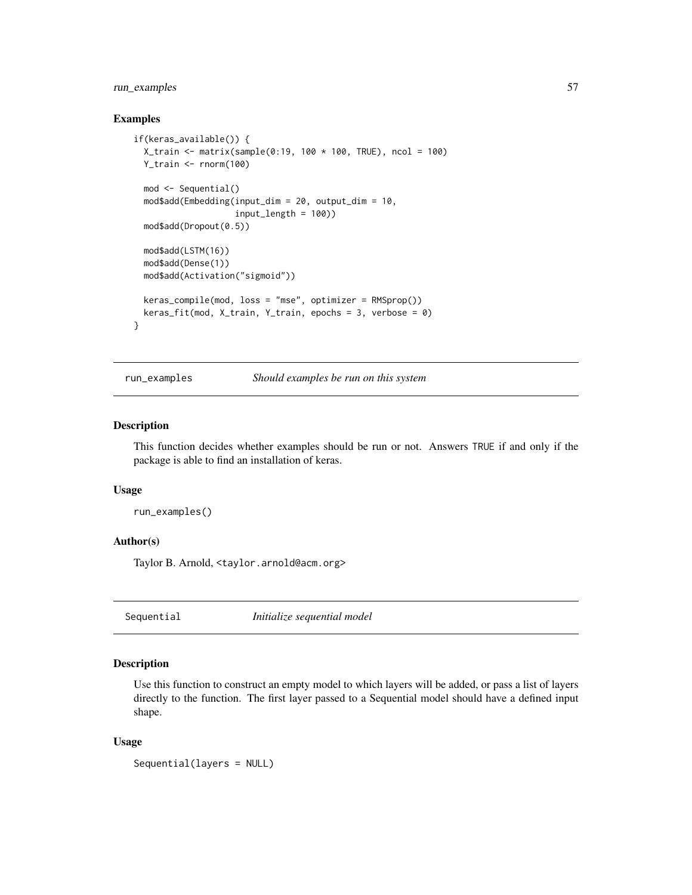### <span id="page-56-0"></span>run\_examples 57

#### Examples

```
if(keras_available()) {
 X_train <- matrix(sample(0:19, 100 * 100, TRUE), ncol = 100)
 Y_train <- rnorm(100)
 mod <- Sequential()
 mod$add(Embedding(input_dim = 20, output_dim = 10,
                    input_length = 100))
 mod$add(Dropout(0.5))
 mod$add(LSTM(16))
 mod$add(Dense(1))
 mod$add(Activation("sigmoid"))
 keras_compile(mod, loss = "mse", optimizer = RMSprop())
 keras_fit(mod, X_train, Y_train, epochs = 3, verbose = 0)
}
```
run\_examples *Should examples be run on this system*

#### Description

This function decides whether examples should be run or not. Answers TRUE if and only if the package is able to find an installation of keras.

### Usage

run\_examples()

#### Author(s)

Taylor B. Arnold, <taylor.arnold@acm.org>

<span id="page-56-1"></span>Sequential *Initialize sequential model*

#### Description

Use this function to construct an empty model to which layers will be added, or pass a list of layers directly to the function. The first layer passed to a Sequential model should have a defined input shape.

#### Usage

Sequential(layers = NULL)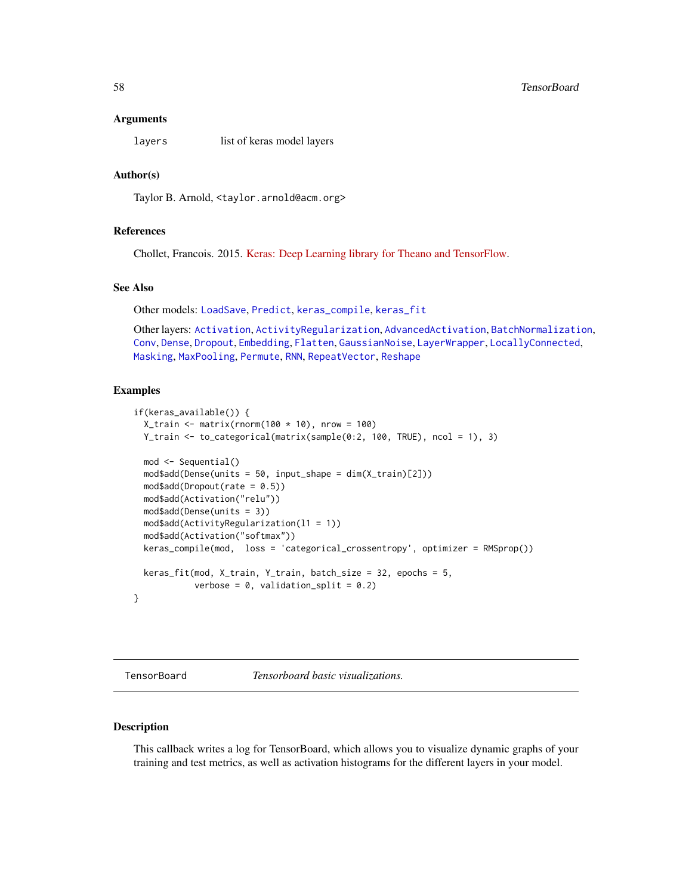#### <span id="page-57-0"></span>**Arguments**

layers list of keras model layers

#### Author(s)

Taylor B. Arnold, <taylor.arnold@acm.org>

### References

Chollet, Francois. 2015. [Keras: Deep Learning library for Theano and TensorFlow.](https://keras.io/)

#### See Also

Other models: [LoadSave](#page-35-1), [Predict](#page-48-1), [keras\\_compile](#page-30-1), [keras\\_fit](#page-32-1)

Other layers: [Activation](#page-2-1), [ActivityRegularization](#page-3-1), [AdvancedActivation](#page-4-1), [BatchNormalization](#page-8-1), [Conv](#page-10-1), [Dense](#page-17-1), [Dropout](#page-19-1), [Embedding](#page-21-1), [Flatten](#page-23-1), [GaussianNoise](#page-24-1), [LayerWrapper](#page-34-1), [LocallyConnected](#page-37-1), [Masking](#page-39-1), [MaxPooling](#page-40-1), [Permute](#page-47-1), [RNN](#page-54-1), [RepeatVector](#page-52-1), [Reshape](#page-53-1)

#### Examples

```
if(keras_available()) {
 X_train <- matrix(rnorm(100 * 10), nrow = 100)
 Y_train <- to_categorical(matrix(sample(0:2, 100, TRUE), ncol = 1), 3)
 mod <- Sequential()
 mod$add(Dense(units = 50, input_shape = dim(X_train)[2]))
 mod4add(Dropout(rate = 0.5))
 mod$add(Activation("relu"))
 mod$add(Dense(units = 3))
 mod$add(ActivityRegularization(l1 = 1))
 mod$add(Activation("softmax"))
 keras_compile(mod, loss = 'categorical_crossentropy', optimizer = RMSprop())
 keras_fit(mod, X_train, Y_train, batch_size = 32, epochs = 5,
           verbose = 0, validation_split = 0.2)
}
```
<span id="page-57-1"></span>TensorBoard *Tensorboard basic visualizations.*

#### Description

This callback writes a log for TensorBoard, which allows you to visualize dynamic graphs of your training and test metrics, as well as activation histograms for the different layers in your model.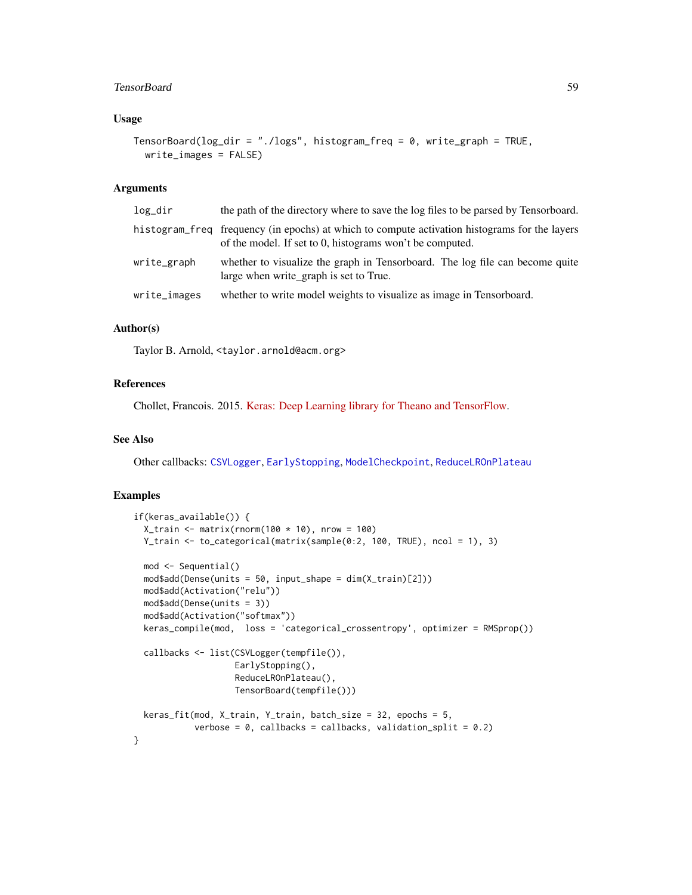#### <span id="page-58-0"></span>TensorBoard 59

### Usage

```
TensorBoard(log_dir = "./logs", histogram_freq = 0, write_graph = TRUE,
  write_images = FALSE)
```
#### Arguments

| log_dir      | the path of the directory where to save the log files to be parsed by Tensorboard.                                                                        |
|--------------|-----------------------------------------------------------------------------------------------------------------------------------------------------------|
|              | histogram freq frequency (in epochs) at which to compute activation histograms for the layers<br>of the model. If set to 0, histograms won't be computed. |
| write_graph  | whether to visualize the graph in Tensorboard. The log file can become quite<br>large when write_graph is set to True.                                    |
| write_images | whether to write model weights to visualize as image in Tensorboard.                                                                                      |

### Author(s)

Taylor B. Arnold, <taylor.arnold@acm.org>

#### References

Chollet, Francois. 2015. [Keras: Deep Learning library for Theano and TensorFlow.](https://keras.io/)

### See Also

Other callbacks: [CSVLogger](#page-14-1), [EarlyStopping](#page-20-1), [ModelCheckpoint](#page-41-1), [ReduceLROnPlateau](#page-50-1)

#### Examples

```
if(keras_available()) {
 X_train <- matrix(rnorm(100 * 10), nrow = 100)
 Y_train <- to_categorical(matrix(sample(0:2, 100, TRUE), ncol = 1), 3)
 mod <- Sequential()
 mod$add(Dense(units = 50, input_shape = dim(X_train)[2]))
 mod$add(Activation("relu"))
 mod$add(Dense(units = 3))
 mod$add(Activation("softmax"))
 keras_compile(mod, loss = 'categorical_crossentropy', optimizer = RMSprop())
 callbacks <- list(CSVLogger(tempfile()),
                   EarlyStopping(),
                    ReduceLROnPlateau(),
                    TensorBoard(tempfile()))
 keras_fit(mod, X_train, Y_train, batch_size = 32, epochs = 5,
           verbose = 0, callbacks = callbacks, validation_split = 0.2)
}
```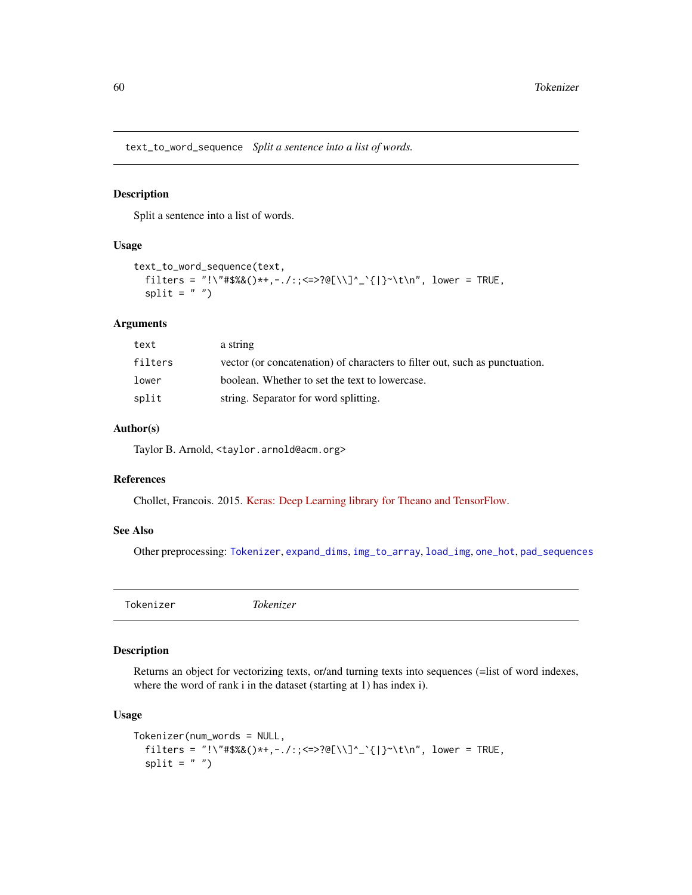<span id="page-59-2"></span><span id="page-59-0"></span>text\_to\_word\_sequence *Split a sentence into a list of words.*

#### Description

Split a sentence into a list of words.

#### Usage

```
text_to_word_sequence(text,
  filters = "!\"#$%&()*+,-./:; <=>?@[\\]^_`{|}~\t\n", lower = TRUE,
  split = " "")
```
### Arguments

| text    | a string                                                                    |
|---------|-----------------------------------------------------------------------------|
| filters | vector (or concatenation) of characters to filter out, such as punctuation. |
| lower   | boolean. Whether to set the text to lowercase.                              |
| split   | string. Separator for word splitting.                                       |

#### Author(s)

Taylor B. Arnold, <taylor.arnold@acm.org>

#### References

Chollet, Francois. 2015. [Keras: Deep Learning library for Theano and TensorFlow.](https://keras.io/)

#### See Also

Other preprocessing: [Tokenizer](#page-59-1), [expand\\_dims](#page-22-1), [img\\_to\\_array](#page-26-1), [load\\_img](#page-36-1), [one\\_hot](#page-43-1), [pad\\_sequences](#page-46-1)

<span id="page-59-1"></span>Tokenizer *Tokenizer*

#### Description

Returns an object for vectorizing texts, or/and turning texts into sequences (=list of word indexes, where the word of rank i in the dataset (starting at 1) has index i).

#### Usage

```
Tokenizer(num_words = NULL,
  filters = "!\"#$%&()*+,-./:; <=>?@[\\]^_`{|}~\t\n", lower = TRUE,
  split = " "")
```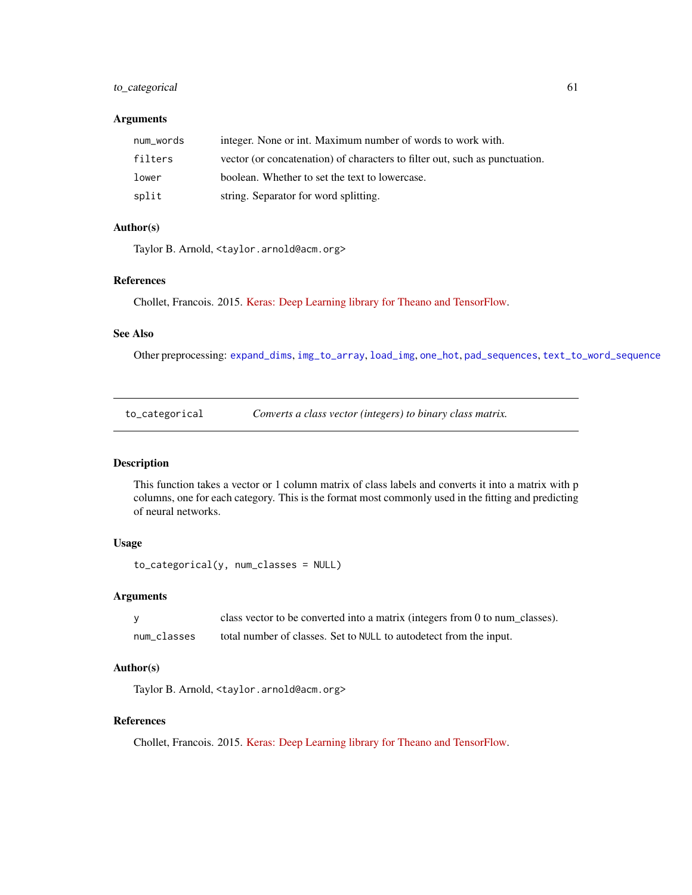### <span id="page-60-0"></span>to\_categorical 61

### Arguments

| num words | integer. None or int. Maximum number of words to work with.                 |
|-----------|-----------------------------------------------------------------------------|
| filters   | vector (or concatenation) of characters to filter out, such as punctuation. |
| lower     | boolean. Whether to set the text to lowercase.                              |
| split     | string. Separator for word splitting.                                       |

### Author(s)

Taylor B. Arnold, <taylor.arnold@acm.org>

### References

Chollet, Francois. 2015. [Keras: Deep Learning library for Theano and TensorFlow.](https://keras.io/)

#### See Also

Other preprocessing: [expand\\_dims](#page-22-1), [img\\_to\\_array](#page-26-1), [load\\_img](#page-36-1), [one\\_hot](#page-43-1), [pad\\_sequences](#page-46-1), [text\\_to\\_word\\_sequence](#page-59-2)

| to_categorical |  | Converts a class vector (integers) to binary class matrix. |
|----------------|--|------------------------------------------------------------|
|----------------|--|------------------------------------------------------------|

### Description

This function takes a vector or 1 column matrix of class labels and converts it into a matrix with p columns, one for each category. This is the format most commonly used in the fitting and predicting of neural networks.

#### Usage

```
to_categorical(y, num_classes = NULL)
```
### Arguments

|             | class vector to be converted into a matrix (integers from 0 to num_classes). |
|-------------|------------------------------------------------------------------------------|
| num classes | total number of classes. Set to NULL to autodetect from the input.           |

#### Author(s)

Taylor B. Arnold, <taylor.arnold@acm.org>

### References

Chollet, Francois. 2015. [Keras: Deep Learning library for Theano and TensorFlow.](https://keras.io/)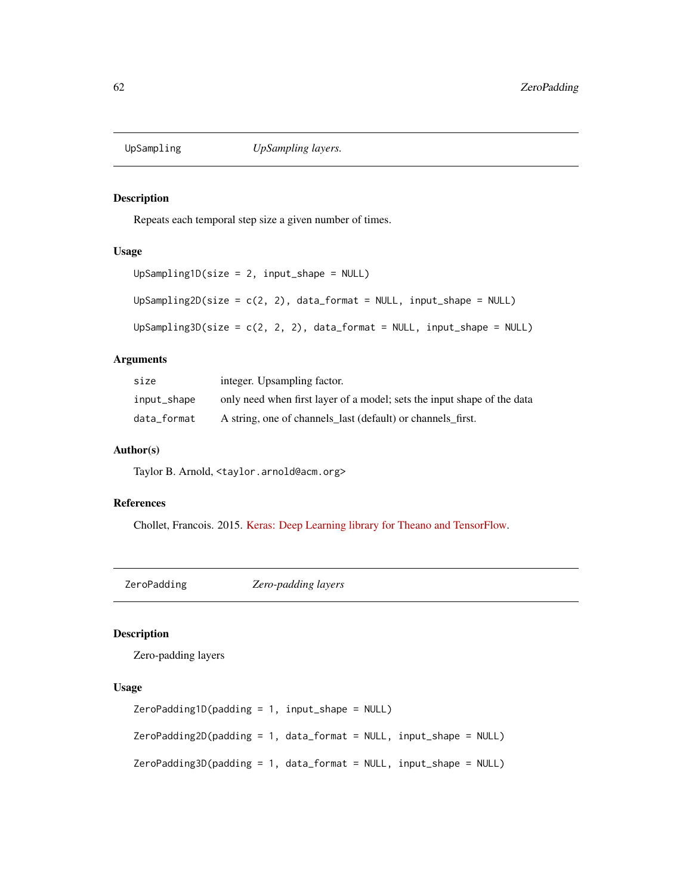<span id="page-61-0"></span>

### Description

Repeats each temporal step size a given number of times.

### Usage

```
UpSampling1D(size = 2, input_shape = NULL)
UpSampling2D(size = c(2, 2), data_format = NULL, input_shape = NULL)
UpSampling3D(size = c(2, 2, 2), data_format = NULL, input_shape = NULL)
```
#### Arguments

| size        | integer. Upsampling factor.                                             |
|-------------|-------------------------------------------------------------------------|
| input_shape | only need when first layer of a model; sets the input shape of the data |
| data format | A string, one of channels_last (default) or channels_first.             |

#### Author(s)

Taylor B. Arnold, <taylor.arnold@acm.org>

### References

Chollet, Francois. 2015. [Keras: Deep Learning library for Theano and TensorFlow.](https://keras.io/)

ZeroPadding *Zero-padding layers*

### Description

Zero-padding layers

### Usage

```
ZeroPadding1D(padding = 1, input_shape = NULL)
ZeroPadding2D(padding = 1, data_format = NULL, input_shape = NULL)
ZeroPadding3D(padding = 1, data_format = NULL, input_shape = NULL)
```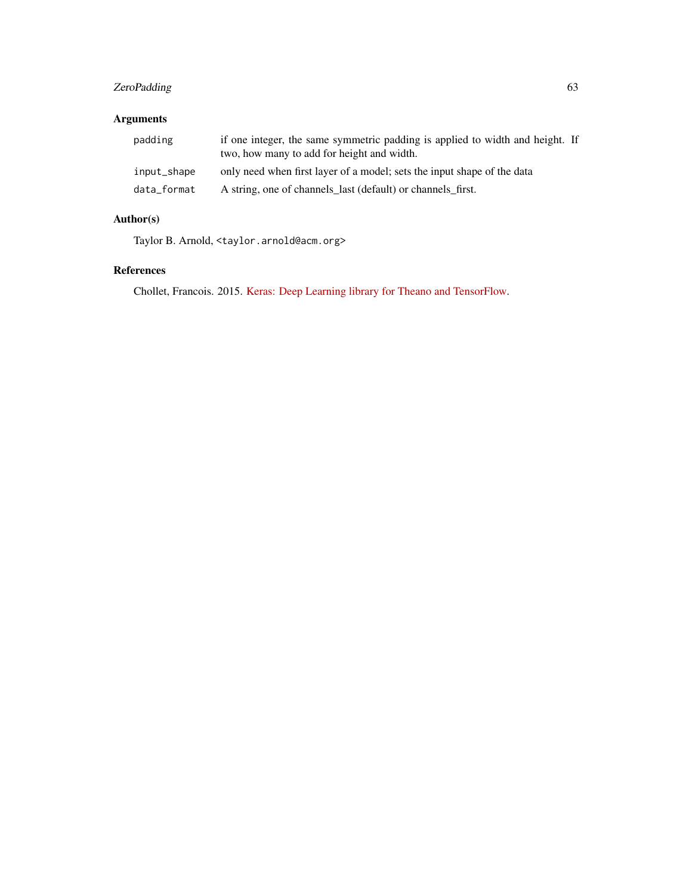### ZeroPadding 63

## Arguments

| padding     | if one integer, the same symmetric padding is applied to width and height. If<br>two, how many to add for height and width. |  |
|-------------|-----------------------------------------------------------------------------------------------------------------------------|--|
| input_shape | only need when first layer of a model; sets the input shape of the data                                                     |  |
| data_format | A string, one of channels_last (default) or channels_first.                                                                 |  |

### Author(s)

Taylor B. Arnold, <taylor.arnold@acm.org>

### References

Chollet, Francois. 2015. [Keras: Deep Learning library for Theano and TensorFlow.](https://keras.io/)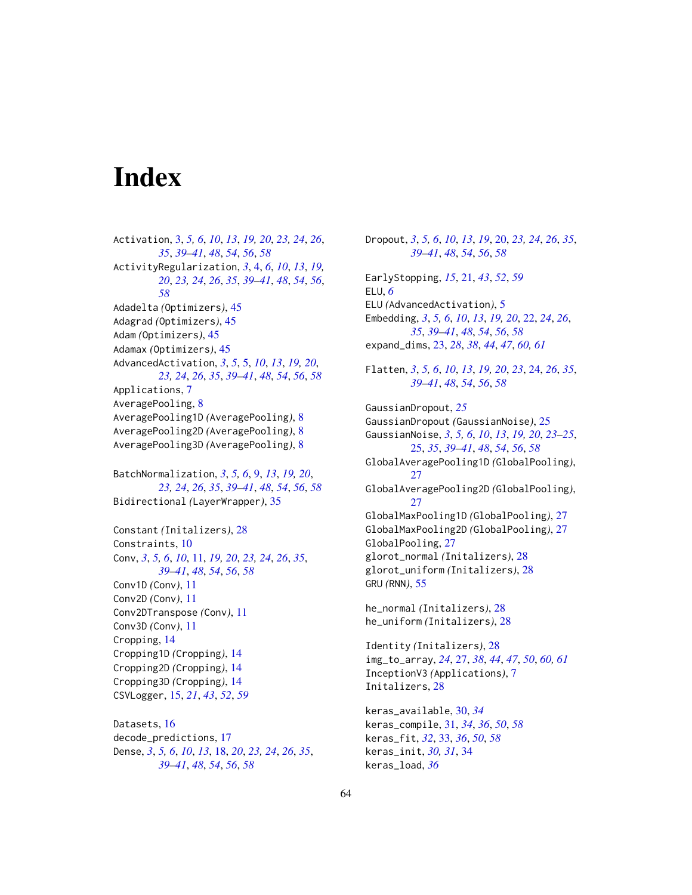# <span id="page-63-0"></span>**Index**

Activation, [3,](#page-2-0) *[5,](#page-4-0) [6](#page-5-0)*, *[10](#page-9-0)*, *[13](#page-12-0)*, *[19,](#page-18-0) [20](#page-19-0)*, *[23,](#page-22-0) [24](#page-23-0)*, *[26](#page-25-0)*, *[35](#page-34-0)*, *[39](#page-38-0)[–41](#page-40-0)*, *[48](#page-47-0)*, *[54](#page-53-0)*, *[56](#page-55-0)*, *[58](#page-57-0)* ActivityRegularization, *[3](#page-2-0)*, [4,](#page-3-0) *[6](#page-5-0)*, *[10](#page-9-0)*, *[13](#page-12-0)*, *[19,](#page-18-0) [20](#page-19-0)*, *[23,](#page-22-0) [24](#page-23-0)*, *[26](#page-25-0)*, *[35](#page-34-0)*, *[39–](#page-38-0)[41](#page-40-0)*, *[48](#page-47-0)*, *[54](#page-53-0)*, *[56](#page-55-0)*, *[58](#page-57-0)* Adadelta *(*Optimizers*)*, [45](#page-44-0) Adagrad *(*Optimizers*)*, [45](#page-44-0) Adam *(*Optimizers*)*, [45](#page-44-0) Adamax *(*Optimizers*)*, [45](#page-44-0) AdvancedActivation, *[3](#page-2-0)*, *[5](#page-4-0)*, [5,](#page-4-0) *[10](#page-9-0)*, *[13](#page-12-0)*, *[19,](#page-18-0) [20](#page-19-0)*, *[23,](#page-22-0) [24](#page-23-0)*, *[26](#page-25-0)*, *[35](#page-34-0)*, *[39–](#page-38-0)[41](#page-40-0)*, *[48](#page-47-0)*, *[54](#page-53-0)*, *[56](#page-55-0)*, *[58](#page-57-0)* Applications, [7](#page-6-0) AveragePooling, [8](#page-7-0) AveragePooling1D *(*AveragePooling*)*, [8](#page-7-0) AveragePooling2D *(*AveragePooling*)*, [8](#page-7-0) AveragePooling3D *(*AveragePooling*)*, [8](#page-7-0)

BatchNormalization, *[3](#page-2-0)*, *[5,](#page-4-0) [6](#page-5-0)*, [9,](#page-8-0) *[13](#page-12-0)*, *[19,](#page-18-0) [20](#page-19-0)*, *[23,](#page-22-0) [24](#page-23-0)*, *[26](#page-25-0)*, *[35](#page-34-0)*, *[39–](#page-38-0)[41](#page-40-0)*, *[48](#page-47-0)*, *[54](#page-53-0)*, *[56](#page-55-0)*, *[58](#page-57-0)* Bidirectional *(*LayerWrapper*)*, [35](#page-34-0)

Constant *(*Initalizers*)*, [28](#page-27-0) Constraints, [10](#page-9-0) Conv, *[3](#page-2-0)*, *[5,](#page-4-0) [6](#page-5-0)*, *[10](#page-9-0)*, [11,](#page-10-0) *[19,](#page-18-0) [20](#page-19-0)*, *[23,](#page-22-0) [24](#page-23-0)*, *[26](#page-25-0)*, *[35](#page-34-0)*, *[39](#page-38-0)[–41](#page-40-0)*, *[48](#page-47-0)*, *[54](#page-53-0)*, *[56](#page-55-0)*, *[58](#page-57-0)* Conv1D *(*Conv*)*, [11](#page-10-0) Conv2D *(*Conv*)*, [11](#page-10-0) Conv2DTranspose *(*Conv*)*, [11](#page-10-0) Conv3D *(*Conv*)*, [11](#page-10-0) Cropping, [14](#page-13-0) Cropping1D *(*Cropping*)*, [14](#page-13-0) Cropping2D *(*Cropping*)*, [14](#page-13-0) Cropping3D *(*Cropping*)*, [14](#page-13-0) CSVLogger, [15,](#page-14-0) *[21](#page-20-0)*, *[43](#page-42-0)*, *[52](#page-51-0)*, *[59](#page-58-0)*

Datasets, [16](#page-15-0) decode\_predictions, [17](#page-16-0) Dense, *[3](#page-2-0)*, *[5,](#page-4-0) [6](#page-5-0)*, *[10](#page-9-0)*, *[13](#page-12-0)*, [18,](#page-17-0) *[20](#page-19-0)*, *[23,](#page-22-0) [24](#page-23-0)*, *[26](#page-25-0)*, *[35](#page-34-0)*, *[39](#page-38-0)[–41](#page-40-0)*, *[48](#page-47-0)*, *[54](#page-53-0)*, *[56](#page-55-0)*, *[58](#page-57-0)*

Dropout, *[3](#page-2-0)*, *[5,](#page-4-0) [6](#page-5-0)*, *[10](#page-9-0)*, *[13](#page-12-0)*, *[19](#page-18-0)*, [20,](#page-19-0) *[23,](#page-22-0) [24](#page-23-0)*, *[26](#page-25-0)*, *[35](#page-34-0)*, *[39](#page-38-0)[–41](#page-40-0)*, *[48](#page-47-0)*, *[54](#page-53-0)*, *[56](#page-55-0)*, *[58](#page-57-0)* EarlyStopping, *[15](#page-14-0)*, [21,](#page-20-0) *[43](#page-42-0)*, *[52](#page-51-0)*, *[59](#page-58-0)* ELU, *[6](#page-5-0)* ELU *(*AdvancedActivation*)*, [5](#page-4-0) Embedding, *[3](#page-2-0)*, *[5,](#page-4-0) [6](#page-5-0)*, *[10](#page-9-0)*, *[13](#page-12-0)*, *[19,](#page-18-0) [20](#page-19-0)*, [22,](#page-21-0) *[24](#page-23-0)*, *[26](#page-25-0)*, *[35](#page-34-0)*, *[39](#page-38-0)[–41](#page-40-0)*, *[48](#page-47-0)*, *[54](#page-53-0)*, *[56](#page-55-0)*, *[58](#page-57-0)* expand\_dims, [23,](#page-22-0) *[28](#page-27-0)*, *[38](#page-37-0)*, *[44](#page-43-0)*, *[47](#page-46-0)*, *[60,](#page-59-0) [61](#page-60-0)* Flatten, *[3](#page-2-0)*, *[5,](#page-4-0) [6](#page-5-0)*, *[10](#page-9-0)*, *[13](#page-12-0)*, *[19,](#page-18-0) [20](#page-19-0)*, *[23](#page-22-0)*, [24,](#page-23-0) *[26](#page-25-0)*, *[35](#page-34-0)*, *[39](#page-38-0)[–41](#page-40-0)*, *[48](#page-47-0)*, *[54](#page-53-0)*, *[56](#page-55-0)*, *[58](#page-57-0)* GaussianDropout, *[25](#page-24-0)* GaussianDropout *(*GaussianNoise*)*, [25](#page-24-0) GaussianNoise, *[3](#page-2-0)*, *[5,](#page-4-0) [6](#page-5-0)*, *[10](#page-9-0)*, *[13](#page-12-0)*, *[19,](#page-18-0) [20](#page-19-0)*, *[23](#page-22-0)[–25](#page-24-0)*, [25,](#page-24-0) *[35](#page-34-0)*, *[39](#page-38-0)[–41](#page-40-0)*, *[48](#page-47-0)*, *[54](#page-53-0)*, *[56](#page-55-0)*, *[58](#page-57-0)* GlobalAveragePooling1D *(*GlobalPooling*)*, [27](#page-26-0) GlobalAveragePooling2D *(*GlobalPooling*)*,  $27$ GlobalMaxPooling1D *(*GlobalPooling*)*, [27](#page-26-0) GlobalMaxPooling2D *(*GlobalPooling*)*, [27](#page-26-0) GlobalPooling, [27](#page-26-0) glorot\_normal *(*Initalizers*)*, [28](#page-27-0) glorot\_uniform *(*Initalizers*)*, [28](#page-27-0) GRU *(*RNN*)*, [55](#page-54-0) he\_normal *(*Initalizers*)*, [28](#page-27-0) he\_uniform *(*Initalizers*)*, [28](#page-27-0)

Identity *(*Initalizers*)*, [28](#page-27-0) img\_to\_array, *[24](#page-23-0)*, [27,](#page-26-0) *[38](#page-37-0)*, *[44](#page-43-0)*, *[47](#page-46-0)*, *[50](#page-49-0)*, *[60,](#page-59-0) [61](#page-60-0)* InceptionV3 *(*Applications*)*, [7](#page-6-0) Initalizers, [28](#page-27-0)

keras\_available, [30,](#page-29-0) *[34](#page-33-0)* keras\_compile, [31,](#page-30-0) *[34](#page-33-0)*, *[36](#page-35-0)*, *[50](#page-49-0)*, *[58](#page-57-0)* keras\_fit, *[32](#page-31-0)*, [33,](#page-32-0) *[36](#page-35-0)*, *[50](#page-49-0)*, *[58](#page-57-0)* keras\_init, *[30,](#page-29-0) [31](#page-30-0)*, [34](#page-33-0) keras\_load, *[36](#page-35-0)*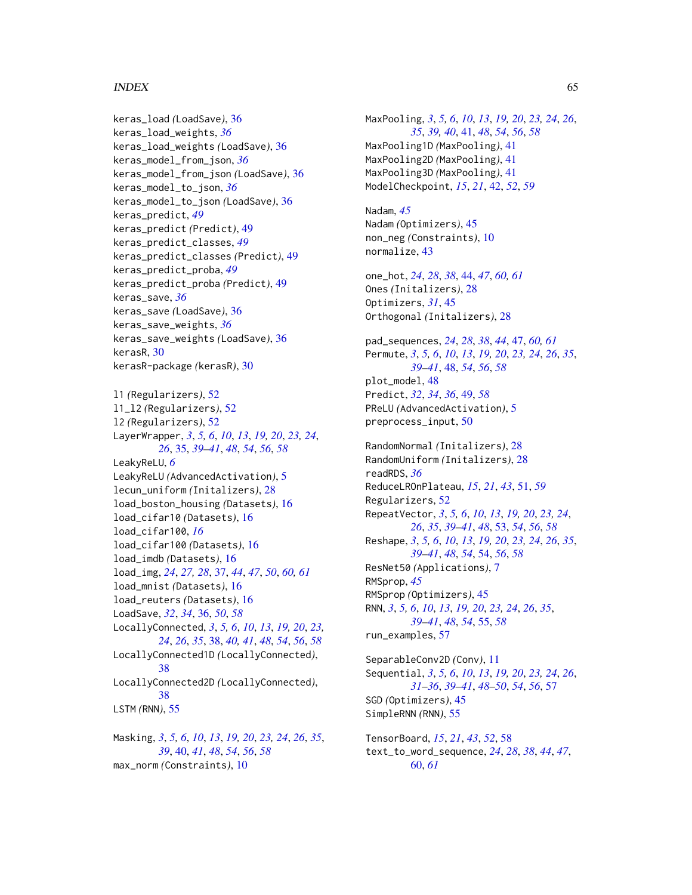### INDEX 65

keras\_load *(*LoadSave*)*, [36](#page-35-0) keras\_load\_weights, *[36](#page-35-0)* keras\_load\_weights *(*LoadSave*)*, [36](#page-35-0) keras\_model\_from\_json, *[36](#page-35-0)* keras\_model\_from\_json *(*LoadSave*)*, [36](#page-35-0) keras\_model\_to\_json, *[36](#page-35-0)* keras\_model\_to\_json *(*LoadSave*)*, [36](#page-35-0) keras\_predict, *[49](#page-48-0)* keras\_predict *(*Predict*)*, [49](#page-48-0) keras\_predict\_classes, *[49](#page-48-0)* keras\_predict\_classes *(*Predict*)*, [49](#page-48-0) keras\_predict\_proba, *[49](#page-48-0)* keras\_predict\_proba *(*Predict*)*, [49](#page-48-0) keras\_save, *[36](#page-35-0)* keras\_save *(*LoadSave*)*, [36](#page-35-0) keras\_save\_weights, *[36](#page-35-0)* keras\_save\_weights *(*LoadSave*)*, [36](#page-35-0) kerasR, [30](#page-29-0) kerasR-package *(*kerasR*)*, [30](#page-29-0) l1 *(*Regularizers*)*, [52](#page-51-0) l1\_l2 *(*Regularizers*)*, [52](#page-51-0) l2 *(*Regularizers*)*, [52](#page-51-0) LayerWrapper, *[3](#page-2-0)*, *[5,](#page-4-0) [6](#page-5-0)*, *[10](#page-9-0)*, *[13](#page-12-0)*, *[19,](#page-18-0) [20](#page-19-0)*, *[23,](#page-22-0) [24](#page-23-0)*, *[26](#page-25-0)*, [35,](#page-34-0) *[39](#page-38-0)[–41](#page-40-0)*, *[48](#page-47-0)*, *[54](#page-53-0)*, *[56](#page-55-0)*, *[58](#page-57-0)* LeakyReLU, *[6](#page-5-0)* LeakyReLU *(*AdvancedActivation*)*, [5](#page-4-0) lecun\_uniform *(*Initalizers*)*, [28](#page-27-0) load\_boston\_housing *(*Datasets*)*, [16](#page-15-0) load\_cifar10 *(*Datasets*)*, [16](#page-15-0) load\_cifar100, *[16](#page-15-0)* load\_cifar100 *(*Datasets*)*, [16](#page-15-0) load\_imdb *(*Datasets*)*, [16](#page-15-0) load\_img, *[24](#page-23-0)*, *[27,](#page-26-0) [28](#page-27-0)*, [37,](#page-36-0) *[44](#page-43-0)*, *[47](#page-46-0)*, *[50](#page-49-0)*, *[60,](#page-59-0) [61](#page-60-0)* load\_mnist *(*Datasets*)*, [16](#page-15-0) load\_reuters *(*Datasets*)*, [16](#page-15-0) LoadSave, *[32](#page-31-0)*, *[34](#page-33-0)*, [36,](#page-35-0) *[50](#page-49-0)*, *[58](#page-57-0)* LocallyConnected, *[3](#page-2-0)*, *[5,](#page-4-0) [6](#page-5-0)*, *[10](#page-9-0)*, *[13](#page-12-0)*, *[19,](#page-18-0) [20](#page-19-0)*, *[23,](#page-22-0) [24](#page-23-0)*, *[26](#page-25-0)*, *[35](#page-34-0)*, [38,](#page-37-0) *[40,](#page-39-0) [41](#page-40-0)*, *[48](#page-47-0)*, *[54](#page-53-0)*, *[56](#page-55-0)*, *[58](#page-57-0)* LocallyConnected1D *(*LocallyConnected*)*, [38](#page-37-0) LocallyConnected2D *(*LocallyConnected*)*, [38](#page-37-0) LSTM *(*RNN*)*, [55](#page-54-0) Masking, *[3](#page-2-0)*, *[5,](#page-4-0) [6](#page-5-0)*, *[10](#page-9-0)*, *[13](#page-12-0)*, *[19,](#page-18-0) [20](#page-19-0)*, *[23,](#page-22-0) [24](#page-23-0)*, *[26](#page-25-0)*, *[35](#page-34-0)*, *[39](#page-38-0)*, [40,](#page-39-0) *[41](#page-40-0)*, *[48](#page-47-0)*, *[54](#page-53-0)*, *[56](#page-55-0)*, *[58](#page-57-0)*

max\_norm *(*Constraints*)*, [10](#page-9-0)

MaxPooling, *[3](#page-2-0)*, *[5,](#page-4-0) [6](#page-5-0)*, *[10](#page-9-0)*, *[13](#page-12-0)*, *[19,](#page-18-0) [20](#page-19-0)*, *[23,](#page-22-0) [24](#page-23-0)*, *[26](#page-25-0)*, *[35](#page-34-0)*, *[39,](#page-38-0) [40](#page-39-0)*, [41,](#page-40-0) *[48](#page-47-0)*, *[54](#page-53-0)*, *[56](#page-55-0)*, *[58](#page-57-0)* MaxPooling1D *(*MaxPooling*)*, [41](#page-40-0) MaxPooling2D *(*MaxPooling*)*, [41](#page-40-0) MaxPooling3D *(*MaxPooling*)*, [41](#page-40-0) ModelCheckpoint, *[15](#page-14-0)*, *[21](#page-20-0)*, [42,](#page-41-0) *[52](#page-51-0)*, *[59](#page-58-0)*

Nadam, *[45](#page-44-0)* Nadam *(*Optimizers*)*, [45](#page-44-0) non\_neg *(*Constraints*)*, [10](#page-9-0) normalize, [43](#page-42-0)

one\_hot, *[24](#page-23-0)*, *[28](#page-27-0)*, *[38](#page-37-0)*, [44,](#page-43-0) *[47](#page-46-0)*, *[60,](#page-59-0) [61](#page-60-0)* Ones *(*Initalizers*)*, [28](#page-27-0) Optimizers, *[31](#page-30-0)*, [45](#page-44-0) Orthogonal *(*Initalizers*)*, [28](#page-27-0)

pad\_sequences, *[24](#page-23-0)*, *[28](#page-27-0)*, *[38](#page-37-0)*, *[44](#page-43-0)*, [47,](#page-46-0) *[60,](#page-59-0) [61](#page-60-0)* Permute, *[3](#page-2-0)*, *[5,](#page-4-0) [6](#page-5-0)*, *[10](#page-9-0)*, *[13](#page-12-0)*, *[19,](#page-18-0) [20](#page-19-0)*, *[23,](#page-22-0) [24](#page-23-0)*, *[26](#page-25-0)*, *[35](#page-34-0)*, *[39](#page-38-0)[–41](#page-40-0)*, [48,](#page-47-0) *[54](#page-53-0)*, *[56](#page-55-0)*, *[58](#page-57-0)* plot\_model, [48](#page-47-0) Predict, *[32](#page-31-0)*, *[34](#page-33-0)*, *[36](#page-35-0)*, [49,](#page-48-0) *[58](#page-57-0)* PReLU *(*AdvancedActivation*)*, [5](#page-4-0) preprocess\_input, [50](#page-49-0)

RandomNormal *(*Initalizers*)*, [28](#page-27-0) RandomUniform *(*Initalizers*)*, [28](#page-27-0) readRDS, *[36](#page-35-0)* ReduceLROnPlateau, *[15](#page-14-0)*, *[21](#page-20-0)*, *[43](#page-42-0)*, [51,](#page-50-0) *[59](#page-58-0)* Regularizers, [52](#page-51-0) RepeatVector, *[3](#page-2-0)*, *[5,](#page-4-0) [6](#page-5-0)*, *[10](#page-9-0)*, *[13](#page-12-0)*, *[19,](#page-18-0) [20](#page-19-0)*, *[23,](#page-22-0) [24](#page-23-0)*, *[26](#page-25-0)*, *[35](#page-34-0)*, *[39](#page-38-0)[–41](#page-40-0)*, *[48](#page-47-0)*, [53,](#page-52-0) *[54](#page-53-0)*, *[56](#page-55-0)*, *[58](#page-57-0)* Reshape, *[3](#page-2-0)*, *[5,](#page-4-0) [6](#page-5-0)*, *[10](#page-9-0)*, *[13](#page-12-0)*, *[19,](#page-18-0) [20](#page-19-0)*, *[23,](#page-22-0) [24](#page-23-0)*, *[26](#page-25-0)*, *[35](#page-34-0)*, *[39](#page-38-0)[–41](#page-40-0)*, *[48](#page-47-0)*, *[54](#page-53-0)*, [54,](#page-53-0) *[56](#page-55-0)*, *[58](#page-57-0)* ResNet50 *(*Applications*)*, [7](#page-6-0) RMSprop, *[45](#page-44-0)* RMSprop *(*Optimizers*)*, [45](#page-44-0) RNN, *[3](#page-2-0)*, *[5,](#page-4-0) [6](#page-5-0)*, *[10](#page-9-0)*, *[13](#page-12-0)*, *[19,](#page-18-0) [20](#page-19-0)*, *[23,](#page-22-0) [24](#page-23-0)*, *[26](#page-25-0)*, *[35](#page-34-0)*, *[39](#page-38-0)[–41](#page-40-0)*, *[48](#page-47-0)*, *[54](#page-53-0)*, [55,](#page-54-0) *[58](#page-57-0)* run\_examples, [57](#page-56-0)

SeparableConv2D *(*Conv*)*, [11](#page-10-0) Sequential, *[3](#page-2-0)*, *[5,](#page-4-0) [6](#page-5-0)*, *[10](#page-9-0)*, *[13](#page-12-0)*, *[19,](#page-18-0) [20](#page-19-0)*, *[23,](#page-22-0) [24](#page-23-0)*, *[26](#page-25-0)*, *[31](#page-30-0)[–36](#page-35-0)*, *[39](#page-38-0)[–41](#page-40-0)*, *[48](#page-47-0)[–50](#page-49-0)*, *[54](#page-53-0)*, *[56](#page-55-0)*, [57](#page-56-0) SGD *(*Optimizers*)*, [45](#page-44-0) SimpleRNN *(*RNN*)*, [55](#page-54-0)

TensorBoard, *[15](#page-14-0)*, *[21](#page-20-0)*, *[43](#page-42-0)*, *[52](#page-51-0)*, [58](#page-57-0) text\_to\_word\_sequence, *[24](#page-23-0)*, *[28](#page-27-0)*, *[38](#page-37-0)*, *[44](#page-43-0)*, *[47](#page-46-0)*, [60,](#page-59-0) *[61](#page-60-0)*